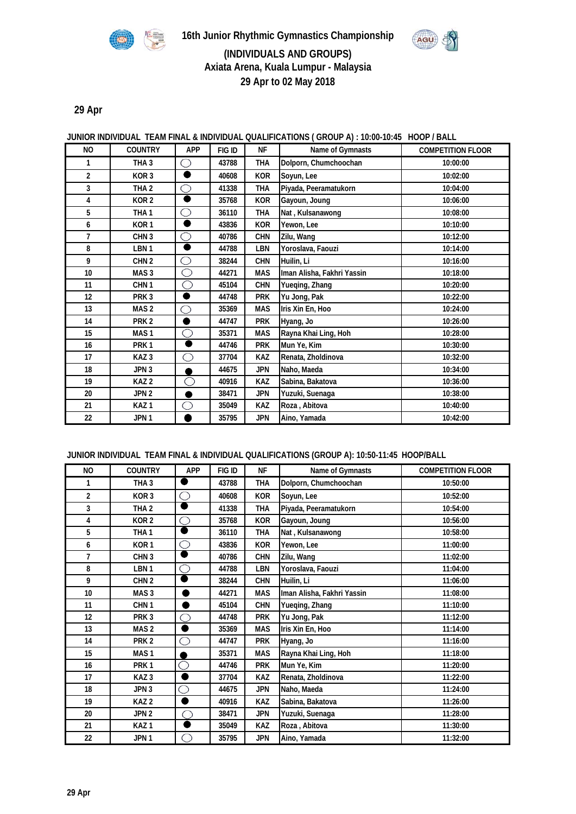

AGU



### **JUNIOR INDIVIDUAL TEAM FINAL & INDIVIDUAL QUALIFICATIONS ( GROUP A) : 10:00-10:45 HOOP / BALL**

| <b>NO</b>        | <b>COUNTRY</b>   | <b>APP</b> | FIG ID | <b>NF</b>  | Name of Gymnasts           | <b>COMPETITION FLOOR</b> |
|------------------|------------------|------------|--------|------------|----------------------------|--------------------------|
| 1                | THA <sub>3</sub> | $\Box$     | 43788  | <b>THA</b> | Dolporn, Chumchoochan      | 10:00:00                 |
| $\overline{2}$   | KOR <sub>3</sub> | ٠          | 40608  | <b>KOR</b> | Soyun, Lee                 | 10:02:00                 |
| 3                | THA <sub>2</sub> | ∩          | 41338  | <b>THA</b> | Piyada, Peeramatukorn      | 10:04:00                 |
| 4                | KOR <sub>2</sub> | ۰          | 35768  | <b>KOR</b> | Gayoun, Joung              | 10:06:00                 |
| 5                | THA <sub>1</sub> | ∩          | 36110  | <b>THA</b> | Nat, Kulsanawong           | 10:08:00                 |
| 6                | KOR <sub>1</sub> | ш          | 43836  | <b>KOR</b> | Yewon, Lee                 | 10:10:00                 |
| $\overline{1}$   | CHN <sub>3</sub> | ∩          | 40786  | <b>CHN</b> | Zilu, Wang                 | 10:12:00                 |
| 8                | LBN <sub>1</sub> | ш          | 44788  | LBN        | Yoroslava, Faouzi          | 10:14:00                 |
| 9                | CHN <sub>2</sub> | ◯          | 38244  | <b>CHN</b> | Huilin, Li                 | 10:16:00                 |
| 10 <sup>10</sup> | MAS <sub>3</sub> | ∩          | 44271  | <b>MAS</b> | Iman Alisha, Fakhri Yassin | 10:18:00                 |
| 11               | CHN <sub>1</sub> | ∩          | 45104  | <b>CHN</b> | Yueging, Zhang             | 10:20:00                 |
| 12               | PRK <sub>3</sub> | ●          | 44748  | <b>PRK</b> | Yu Jong, Pak               | 10:22:00                 |
| 13               | MAS <sub>2</sub> | ∩          | 35369  | <b>MAS</b> | Iris Xin En, Hoo           | 10:24:00                 |
| 14               | PRK <sub>2</sub> |            | 44747  | <b>PRK</b> | Hyang, Jo                  | 10:26:00                 |
| 15               | MAS <sub>1</sub> | ∩          | 35371  | <b>MAS</b> | Rayna Khai Ling, Hoh       | 10:28:00                 |
| 16               | PRK <sub>1</sub> |            | 44746  | <b>PRK</b> | Mun Ye, Kim                | 10:30:00                 |
| 17               | KAZ <sub>3</sub> | ∩          | 37704  | KAZ        | Renata, Zholdinova         | 10:32:00                 |
| 18               | JPN 3            |            | 44675  | <b>JPN</b> | Naho, Maeda                | 10:34:00                 |
| 19               | KAZ <sub>2</sub> | ∩          | 40916  | KAZ        | Sabina, Bakatova           | 10:36:00                 |
| 20               | JPN <sub>2</sub> |            | 38471  | <b>JPN</b> | Yuzuki, Suenaga            | 10:38:00                 |
| 21               | KAZ <sub>1</sub> | ∩          | 35049  | KAZ        | Roza, Abitova              | 10:40:00                 |
| 22               | JPN <sub>1</sub> |            | 35795  | <b>JPN</b> | Aino, Yamada               | 10:42:00                 |

#### **JUNIOR INDIVIDUAL TEAM FINAL & INDIVIDUAL QUALIFICATIONS (GROUP A): 10:50-11:45 HOOP/BALL**

| N <sub>O</sub>   | <b>COUNTRY</b>   | <b>APP</b> | FIG ID | <b>NF</b>  | Name of Gymnasts           | <b>COMPETITION FLOOR</b> |
|------------------|------------------|------------|--------|------------|----------------------------|--------------------------|
| 1                | THA <sub>3</sub> |            | 43788  | <b>THA</b> | Dolporn, Chumchoochan      | 10:50:00                 |
| $\overline{2}$   | KOR <sub>3</sub> | ∩          | 40608  | <b>KOR</b> | Soyun, Lee                 | 10:52:00                 |
| 3                | THA <sub>2</sub> | D          | 41338  | <b>THA</b> | Piyada, Peeramatukorn      | 10:54:00                 |
| 4                | KOR <sub>2</sub> | O          | 35768  | <b>KOR</b> | Gayoun, Joung              | 10:56:00                 |
| 5                | THA <sub>1</sub> | D          | 36110  | THA        | Nat, Kulsanawong           | 10:58:00                 |
| 6                | KOR <sub>1</sub> | ∩          | 43836  | <b>KOR</b> | Yewon, Lee                 | 11:00:00                 |
| $\overline{1}$   | CHN <sub>3</sub> |            | 40786  | <b>CHN</b> | Zilu, Wang                 | 11:02:00                 |
| 8                | LBN <sub>1</sub> | ⌒          | 44788  | LBN        | Yoroslava, Faouzi          | 11:04:00                 |
| 9                | CHN <sub>2</sub> |            | 38244  | <b>CHN</b> | Huilin, Li                 | 11:06:00                 |
| 10 <sup>10</sup> | MAS <sub>3</sub> |            | 44271  | <b>MAS</b> | Iman Alisha, Fakhri Yassin | 11:08:00                 |
| 11               | CHN <sub>1</sub> |            | 45104  | <b>CHN</b> | Yueqing, Zhang             | 11:10:00                 |
| 12               | PRK <sub>3</sub> | ∩          | 44748  | <b>PRK</b> | Yu Jong, Pak               | 11:12:00                 |
| 13               | MAS <sub>2</sub> |            | 35369  | <b>MAS</b> | Iris Xin En, Hoo           | 11:14:00                 |
| 14               | PRK <sub>2</sub> | O          | 44747  | <b>PRK</b> | Hyang, Jo                  | 11:16:00                 |
| 15               | MAS <sub>1</sub> |            | 35371  | <b>MAS</b> | Rayna Khai Ling, Hoh       | 11:18:00                 |
| 16               | PRK <sub>1</sub> | ∩          | 44746  | <b>PRK</b> | Mun Ye, Kim                | 11:20:00                 |
| 17               | KAZ <sub>3</sub> |            | 37704  | KAZ        | Renata, Zholdinova         | 11:22:00                 |
| 18               | JPN 3            | O          | 44675  | <b>JPN</b> | Naho, Maeda                | 11:24:00                 |
| 19               | KAZ <sub>2</sub> |            | 40916  | <b>KAZ</b> | Sabina, Bakatova           | 11:26:00                 |
| 20               | JPN <sub>2</sub> | ◠          | 38471  | <b>JPN</b> | Yuzuki, Suenaga            | 11:28:00                 |
| 21               | KAZ <sub>1</sub> |            | 35049  | <b>KAZ</b> | Roza, Abitova              | 11:30:00                 |
| 22               | JPN <sub>1</sub> | m          | 35795  | <b>JPN</b> | Aino, Yamada               | 11:32:00                 |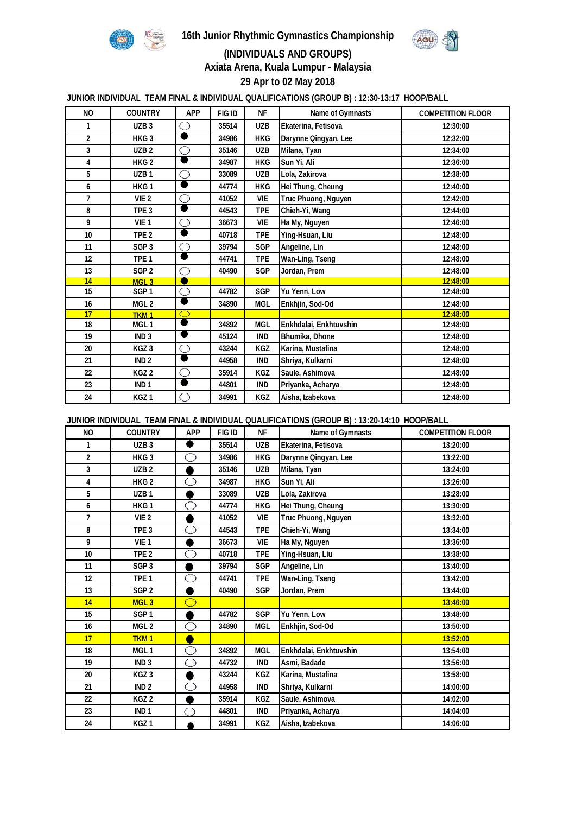

**16th Junior Rhythmic Gymnastics Championship**



## **(INDIVIDUALS AND GROUPS)**

**Axiata Arena, Kuala Lumpur - Malaysia 29 Apr to 02 May 2018**

**JUNIOR INDIVIDUAL TEAM FINAL & INDIVIDUAL QUALIFICATIONS (GROUP B) : 12:30-13:17 HOOP/BALL**

| <b>NO</b>       | <b>COUNTRY</b>   | <b>APP</b> | FIG ID | <b>NF</b>  | Name of Gymnasts       | <b>COMPETITION FLOOR</b> |
|-----------------|------------------|------------|--------|------------|------------------------|--------------------------|
| 1               | UZB <sub>3</sub> | ∩          | 35514  | <b>UZB</b> | Ekaterina, Fetisova    | 12:30:00                 |
| $\overline{2}$  | HKG <sub>3</sub> |            | 34986  | HKG        | Darynne Qingyan, Lee   | 12:32:00                 |
| 3               | UZB <sub>2</sub> | O          | 35146  | <b>UZB</b> | Milana, Tyan           | 12:34:00                 |
| 4               | HKG <sub>2</sub> |            | 34987  | HKG        | Sun Yi, Ali            | 12:36:00                 |
| 5               | UZB <sub>1</sub> | $\bigcirc$ | 33089  | <b>UZB</b> | Lola, Zakirova         | 12:38:00                 |
| 6               | HKG1             | D          | 44774  | <b>HKG</b> | Hei Thung, Cheung      | 12:40:00                 |
| $\overline{7}$  | VIE <sub>2</sub> | O          | 41052  | <b>VIE</b> | Truc Phuong, Nguyen    | 12:42:00                 |
| 8               | TPE <sub>3</sub> |            | 44543  | <b>TPE</b> | Chieh-Yi, Wang         | 12:44:00                 |
| 9               | VIE <sub>1</sub> | O          | 36673  | <b>VIE</b> | Ha My, Nguyen          | 12:46:00                 |
| 10 <sup>°</sup> | TPE <sub>2</sub> | D          | 40718  | <b>TPE</b> | Ying-Hsuan, Liu        | 12:48:00                 |
| 11              | SGP <sub>3</sub> | O          | 39794  | SGP        | Angeline, Lin          | 12:48:00                 |
| 12              | TPE <sub>1</sub> |            | 44741  | <b>TPE</b> | Wan-Ling, Tseng        | 12:48:00                 |
| 13              | SGP <sub>2</sub> | ∩          | 40490  | SGP        | Jordan, Prem           | 12:48:00                 |
| 14              | MGI <sub>3</sub> |            |        |            |                        | 12:48:00                 |
| 15              | SGP <sub>1</sub> | O          | 44782  | <b>SGP</b> | Yu Yenn, Low           | 12:48:00                 |
| 16              | MGL <sub>2</sub> |            | 34890  | <b>MGL</b> | Enkhjin, Sod-Od        | 12:48:00                 |
| 17              | TKM <sub>1</sub> | $\bigcirc$ |        |            |                        | 12:48:00                 |
| 18              | MGL <sub>1</sub> |            | 34892  | <b>MGL</b> | Enkhdalai, Enkhtuvshin | 12:48:00                 |
| 19              | IND <sub>3</sub> |            | 45124  | <b>IND</b> | Bhumika, Dhone         | 12:48:00                 |
| 20              | KGZ <sub>3</sub> | Ō          | 43244  | <b>KGZ</b> | Karina, Mustafina      | 12:48:00                 |
| 21              | IND <sub>2</sub> | D          | 44958  | <b>IND</b> | Shriya, Kulkarni       | 12:48:00                 |
| 22              | KGZ 2            | O          | 35914  | <b>KGZ</b> | Saule, Ashimova        | 12:48:00                 |
| 23              | IND <sub>1</sub> | D          | 44801  | <b>IND</b> | Priyanka, Acharya      | 12:48:00                 |
| 24              | KGZ <sub>1</sub> | ∩          | 34991  | KGZ        | Aisha, Izabekova       | 12:48:00                 |

**JUNIOR INDIVIDUAL TEAM FINAL & INDIVIDUAL QUALIFICATIONS (GROUP B) : 13:20-14:10 HOOP/BALL**

| N <sub>O</sub>  | <b>COUNTRY</b>   | <b>APP</b> | FIG ID | <b>NF</b>  | Name of Gymnasts       | <b>COMPETITION FLOOR</b> |
|-----------------|------------------|------------|--------|------------|------------------------|--------------------------|
| 1               | UZB <sub>3</sub> | Ð          | 35514  | UZB        | Ekaterina, Fetisova    | 13:20:00                 |
| $\overline{2}$  | HKG <sub>3</sub> | ∩          | 34986  | <b>HKG</b> | Darynne Qingyan, Lee   | 13:22:00                 |
| 3               | UZB <sub>2</sub> |            | 35146  | <b>UZB</b> | Milana, Tyan           | 13:24:00                 |
| 4               | HKG <sub>2</sub> | ∩          | 34987  | <b>HKG</b> | Sun Yi, Ali            | 13:26:00                 |
| 5               | UZB <sub>1</sub> |            | 33089  | <b>UZB</b> | Lola, Zakirova         | 13:28:00                 |
| 6               | HKG1             | ∩          | 44774  | <b>HKG</b> | Hei Thung, Cheung      | 13:30:00                 |
| $\overline{7}$  | VIE <sub>2</sub> |            | 41052  | VIE        | Truc Phuong, Nguyen    | 13:32:00                 |
| 8               | TPE <sub>3</sub> | ∩          | 44543  | <b>TPE</b> | Chieh-Yi, Wang         | 13:34:00                 |
| 9               | VIE <sub>1</sub> |            | 36673  | VIE        | Ha My, Nguyen          | 13:36:00                 |
| 10 <sup>°</sup> | TPE <sub>2</sub> | ∩          | 40718  | <b>TPE</b> | Ying-Hsuan, Liu        | 13:38:00                 |
| 11              | SGP <sub>3</sub> |            | 39794  | SGP        | Angeline, Lin          | 13:40:00                 |
| 12              | TPE <sub>1</sub> | ∩          | 44741  | <b>TPE</b> | Wan-Ling, Tseng        | 13:42:00                 |
| 13              | SGP <sub>2</sub> |            | 40490  | <b>SGP</b> | Jordan, Prem           | 13:44:00                 |
| 14              | MGL <sub>3</sub> | ∩          |        |            |                        | 13:46:00                 |
| 15              | SGP <sub>1</sub> |            | 44782  | SGP        | Yu Yenn, Low           | 13:48:00                 |
| 16              | MGL <sub>2</sub> | ∩          | 34890  | <b>MGL</b> | Enkhjin, Sod-Od        | 13:50:00                 |
| 17              | TKM <sub>1</sub> |            |        |            |                        | 13:52:00                 |
| 18              | MGL <sub>1</sub> | ∩          | 34892  | <b>MGL</b> | Enkhdalai, Enkhtuvshin | 13:54:00                 |
| 19              | IND <sub>3</sub> | ∩          | 44732  | <b>IND</b> | Asmi, Badade           | 13:56:00                 |
| 20              | KGZ <sub>3</sub> |            | 43244  | <b>KGZ</b> | Karina, Mustafina      | 13:58:00                 |
| 21              | IND <sub>2</sub> | ∩          | 44958  | <b>IND</b> | Shriya, Kulkarni       | 14:00:00                 |
| 22              | KGZ <sub>2</sub> |            | 35914  | KGZ        | Saule, Ashimova        | 14:02:00                 |
| 23              | IND <sub>1</sub> |            | 44801  | <b>IND</b> | Priyanka, Acharya      | 14:04:00                 |
| 24              | KGZ <sub>1</sub> |            | 34991  | KGZ        | Aisha, Izabekova       | 14:06:00                 |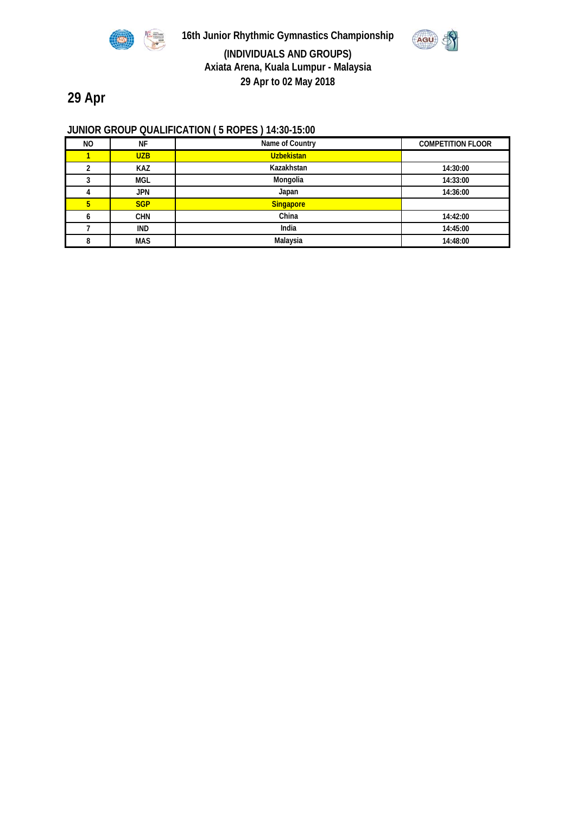

**16th Junior Rhythmic Gymnastics Championship (INDIVIDUALS AND GROUPS) Axiata Arena, Kuala Lumpur - Malaysia 29 Apr to 02 May 2018**



# **29 Apr**

## **JUNIOR GROUP QUALIFICATION ( 5 ROPES ) 14:30-15:00**

| ΝO | <b>NF</b>  | Name of Country   | <b>COMPETITION FLOOR</b> |
|----|------------|-------------------|--------------------------|
|    | <b>UZB</b> | <b>Uzbekistan</b> |                          |
| ∩  | <b>KAZ</b> | Kazakhstan        | 14:30:00                 |
| ົ  | <b>MGL</b> | Mongolia          | 14:33:00                 |
|    | <b>JPN</b> | Japan             | 14:36:00                 |
| 5  | <b>SGP</b> | <b>Singapore</b>  |                          |
|    | <b>CHN</b> | China             | 14:42:00                 |
|    | <b>IND</b> | India             | 14:45:00                 |
|    | <b>MAS</b> | Malaysia          | 14:48:00                 |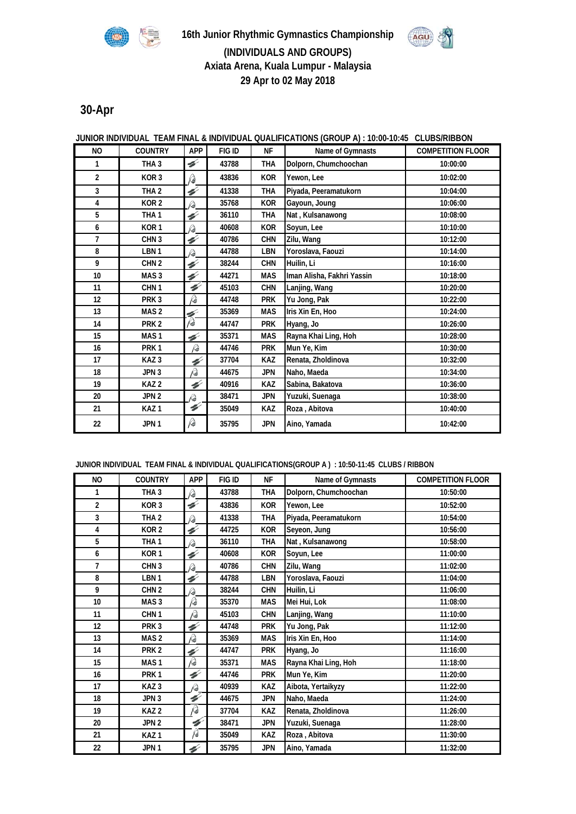



## **(INDIVIDUALS AND GROUPS) Axiata Arena, Kuala Lumpur - Malaysia 29 Apr to 02 May 2018**

## **30-Apr**

### **JUNIOR INDIVIDUAL TEAM FINAL & INDIVIDUAL QUALIFICATIONS (GROUP A) : 10:00-10:45 CLUBS/RIBBON**

| N <sub>O</sub>   | <b>COUNTRY</b>   | APP                      | FIG ID | <b>NF</b>  | Name of Gymnasts           | <b>COMPETITION FLOOR</b> |
|------------------|------------------|--------------------------|--------|------------|----------------------------|--------------------------|
| 1                | THA <sub>3</sub> | ¥                        | 43788  | <b>THA</b> | Dolporn, Chumchoochan      | 10:00:00                 |
| $\overline{2}$   | KOR <sub>3</sub> | P                        | 43836  | <b>KOR</b> | Yewon, Lee                 | 10:02:00                 |
| 3                | THA <sub>2</sub> | $\overline{\mathscr{C}}$ | 41338  | <b>THA</b> | Piyada, Peeramatukorn      | 10:04:00                 |
| 4                | KOR <sub>2</sub> | R                        | 35768  | <b>KOR</b> | Gayoun, Joung              | 10:06:00                 |
| 5                | THA <sub>1</sub> | H                        | 36110  | <b>THA</b> | Nat, Kulsanawong           | 10:08:00                 |
| 6                | KOR <sub>1</sub> | R                        | 40608  | <b>KOR</b> | Soyun, Lee                 | 10:10:00                 |
| $\overline{1}$   | CHN <sub>3</sub> | ¥                        | 40786  | <b>CHN</b> | Zilu, Wang                 | 10:12:00                 |
| 8                | LBN 1            | Þ                        | 44788  | <b>LBN</b> | Yoroslava, Faouzi          | 10:14:00                 |
| 9                | CHN <sub>2</sub> | H                        | 38244  | <b>CHN</b> | Huilin, Li                 | 10:16:00                 |
| 10 <sup>10</sup> | MAS <sub>3</sub> | H                        | 44271  | <b>MAS</b> | Iman Alisha, Fakhri Yassin | 10:18:00                 |
| 11               | CHN <sub>1</sub> | H                        | 45103  | <b>CHN</b> | Lanjing, Wang              | 10:20:00                 |
| 12               | PRK <sub>3</sub> | $\beta$                  | 44748  | <b>PRK</b> | Yu Jong, Pak               | 10:22:00                 |
| 13               | MAS <sub>2</sub> | H                        | 35369  | <b>MAS</b> | Iris Xin En, Hoo           | 10:24:00                 |
| 14               | PRK <sub>2</sub> | p                        | 44747  | <b>PRK</b> | Hyang, Jo                  | 10:26:00                 |
| 15               | MAS <sub>1</sub> | V                        | 35371  | <b>MAS</b> | Rayna Khai Ling, Hoh       | 10:28:00                 |
| 16               | PRK <sub>1</sub> | R                        | 44746  | <b>PRK</b> | Mun Ye, Kim                | 10:30:00                 |
| 17               | KAZ <sub>3</sub> | $\mathcal{C}$            | 37704  | <b>KAZ</b> | Renata, Zholdinova         | 10:32:00                 |
| 18               | JPN <sub>3</sub> | Q                        | 44675  | <b>JPN</b> | Naho, Maeda                | 10:34:00                 |
| 19               | KAZ <sub>2</sub> | H                        | 40916  | KAZ        | Sabina, Bakatova           | 10:36:00                 |
| 20               | JPN <sub>2</sub> | Þ                        | 38471  | <b>JPN</b> | Yuzuki, Suenaga            | 10:38:00                 |
| 21               | KAZ <sub>1</sub> | H                        | 35049  | <b>KAZ</b> | Roza, Abitova              | 10:40:00                 |
| 22               | JPN <sub>1</sub> | p                        | 35795  | <b>JPN</b> | Aino, Yamada               | 10:42:00                 |

#### **JUNIOR INDIVIDUAL TEAM FINAL & INDIVIDUAL QUALIFICATIONS(GROUP A ) : 10:50-11:45 CLUBS / RIBBON**

| N <sub>O</sub> | <b>COUNTRY</b>   | <b>APP</b>    | FIG ID | <b>NF</b>  | Name of Gymnasts      | <b>COMPETITION FLOOR</b> |
|----------------|------------------|---------------|--------|------------|-----------------------|--------------------------|
| 1              | THA <sub>3</sub> | Pa            | 43788  | <b>THA</b> | Dolporn, Chumchoochan | 10:50:00                 |
| 2              | KOR <sub>3</sub> | $\mathscr{C}$ | 43836  | <b>KOR</b> | Yewon, Lee            | 10:52:00                 |
| 3              | THA <sub>2</sub> | Þ             | 41338  | <b>THA</b> | Piyada, Peeramatukorn | 10:54:00                 |
| 4              | KOR <sub>2</sub> | H             | 44725  | <b>KOR</b> | Seyeon, Jung          | 10:56:00                 |
| 5              | THA <sub>1</sub> | R             | 36110  | <b>THA</b> | Nat, Kulsanawong      | 10:58:00                 |
| 6              | KOR <sub>1</sub> | H             | 40608  | <b>KOR</b> | Soyun, Lee            | 11:00:00                 |
| 7              | CHN <sub>3</sub> | Þ             | 40786  | <b>CHN</b> | Zilu, Wang            | 11:02:00                 |
| 8              | LBN <sub>1</sub> | ¥             | 44788  | <b>LBN</b> | Yoroslava, Faouzi     | 11:04:00                 |
| 9              | CHN <sub>2</sub> | R             | 38244  | <b>CHN</b> | Huilin, Li            | 11:06:00                 |
| 10             | MAS <sub>3</sub> | p             | 35370  | <b>MAS</b> | Mei Hui, Lok          | 11:08:00                 |
| 11             | CHN <sub>1</sub> | Q             | 45103  | <b>CHN</b> | Lanjing, Wang         | 11:10:00                 |
| 12             | PRK <sub>3</sub> | V             | 44748  | <b>PRK</b> | Yu Jong, Pak          | 11:12:00                 |
| 13             | MAS <sub>2</sub> | Þ             | 35369  | <b>MAS</b> | Iris Xin En, Hoo      | 11:14:00                 |
| 14             | PRK <sub>2</sub> | ¥             | 44747  | <b>PRK</b> | Hyang, Jo             | 11:16:00                 |
| 15             | MAS <sub>1</sub> | P             | 35371  | <b>MAS</b> | Rayna Khai Ling, Hoh  | 11:18:00                 |
| 16             | PRK <sub>1</sub> | ¥             | 44746  | <b>PRK</b> | Mun Ye, Kim           | 11:20:00                 |
| 17             | KAZ <sub>3</sub> | Q             | 40939  | <b>KAZ</b> | Aibota, Yertaikyzy    | 11:22:00                 |
| 18             | JPN <sub>3</sub> | ¥             | 44675  | <b>JPN</b> | Naho, Maeda           | 11:24:00                 |
| 19             | KAZ <sub>2</sub> | Q             | 37704  | <b>KAZ</b> | Renata, Zholdinova    | 11:26:00                 |
| 20             | JPN 2            | H             | 38471  | <b>JPN</b> | Yuzuki, Suenaga       | 11:28:00                 |
| 21             | KAZ <sub>1</sub> | Ιè            | 35049  | <b>KAZ</b> | Roza, Abitova         | 11:30:00                 |
| 22             | JPN <sub>1</sub> | H             | 35795  | <b>JPN</b> | Aino, Yamada          | 11:32:00                 |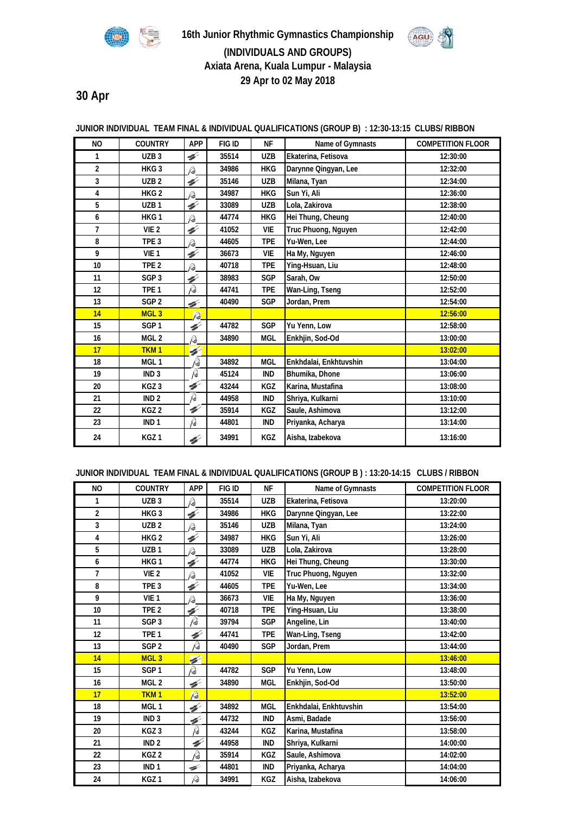



## **(INDIVIDUALS AND GROUPS) Axiata Arena, Kuala Lumpur - Malaysia 29 Apr to 02 May 2018**

**30 Apr**

| NO.              | <b>COUNTRY</b>   | <b>APP</b>    | FIG ID | <b>NF</b>  | Name of Gymnasts       | <b>COMPETITION FLOOR</b> |
|------------------|------------------|---------------|--------|------------|------------------------|--------------------------|
| 1                | UZB <sub>3</sub> | H             | 35514  | <b>UZB</b> | Ekaterina, Fetisova    | 12:30:00                 |
| $\overline{2}$   | HKG <sub>3</sub> | R₩            | 34986  | <b>HKG</b> | Darynne Qingyan, Lee   | 12:32:00                 |
| 3                | UZB <sub>2</sub> | H             | 35146  | <b>UZB</b> | Milana, Tyan           | 12:34:00                 |
| 4                | HKG <sub>2</sub> | Pa            | 34987  | <b>HKG</b> | Sun Yi, Ali            | 12:36:00                 |
| 5                | UZB <sub>1</sub> | $\mathscr{C}$ | 33089  | <b>UZB</b> | Lola, Zakirova         | 12:38:00                 |
| 6                | HKG1             | Þ             | 44774  | <b>HKG</b> | Hei Thung, Cheung      | 12:40:00                 |
| $\overline{1}$   | VIE <sub>2</sub> | H             | 41052  | <b>VIE</b> | Truc Phuong, Nguyen    | 12:42:00                 |
| 8                | TPE <sub>3</sub> | Þ             | 44605  | <b>TPE</b> | Yu-Wen, Lee            | 12:44:00                 |
| 9                | VIE <sub>1</sub> | V             | 36673  | <b>VIE</b> | Ha My, Nguyen          | 12:46:00                 |
| 10 <sup>10</sup> | TPE <sub>2</sub> | Þ             | 40718  | <b>TPE</b> | Ying-Hsuan, Liu        | 12:48:00                 |
| 11               | SGP <sub>3</sub> | H             | 38983  | <b>SGP</b> | Sarah, Ow              | 12:50:00                 |
| $12 \,$          | TPE <sub>1</sub> | P             | 44741  | <b>TPE</b> | Wan-Ling, Tseng        | 12:52:00                 |
| 13               | SGP <sub>2</sub> | ◢             | 40490  | <b>SGP</b> | Jordan, Prem           | 12:54:00                 |
| 14               | MGL <sub>3</sub> | $\sqrt{2}$    |        |            |                        | 12:56:00                 |
| 15               | SGP <sub>1</sub> | H             | 44782  | SGP        | Yu Yenn, Low           | 12:58:00                 |
| 16               | MGL <sub>2</sub> | Q,            | 34890  | <b>MGL</b> | Enkhjin, Sod-Od        | 13:00:00                 |
| 17               | <b>TKM1</b>      | 4             |        |            |                        | 13:02:00                 |
| 18               | MGL <sub>1</sub> | p             | 34892  | <b>MGL</b> | Enkhdalai, Enkhtuvshin | 13:04:00                 |
| 19               | IND <sub>3</sub> | p             | 45124  | <b>IND</b> | Bhumika, Dhone         | 13:06:00                 |
| 20               | KGZ <sub>3</sub> | H             | 43244  | <b>KGZ</b> | Karina, Mustafina      | 13:08:00                 |
| 21               | IND <sub>2</sub> | P             | 44958  | <b>IND</b> | Shriya, Kulkarni       | 13:10:00                 |
| 22               | KGZ <sub>2</sub> | H             | 35914  | <b>KGZ</b> | Saule, Ashimova        | 13:12:00                 |
| 23               | IND <sub>1</sub> | B             | 44801  | IND        | Priyanka, Acharya      | 13:14:00                 |
| 24               | KGZ <sub>1</sub> | V             | 34991  | KGZ        | Aisha, Izabekova       | 13:16:00                 |

## **JUNIOR INDIVIDUAL TEAM FINAL & INDIVIDUAL QUALIFICATIONS (GROUP B) : 12:30-13:15 CLUBS/ RIBBON**

**JUNIOR INDIVIDUAL TEAM FINAL & INDIVIDUAL QUALIFICATIONS (GROUP B ) : 13:20-14:15 CLUBS / RIBBON** 

| N <sub>O</sub>   | <b>COUNTRY</b>   | <b>APP</b>               | FIG ID | <b>NF</b>  | Name of Gymnasts       | <b>COMPETITION FLOOR</b> |
|------------------|------------------|--------------------------|--------|------------|------------------------|--------------------------|
| 1                | UZB <sub>3</sub> | P)                       | 35514  | <b>UZB</b> | Ekaterina, Fetisova    | 13:20:00                 |
| $\overline{2}$   | HKG <sub>3</sub> | H                        | 34986  | <b>HKG</b> | Darynne Qingyan, Lee   | 13:22:00                 |
| 3                | UZB <sub>2</sub> | Þ                        | 35146  | <b>UZB</b> | Milana, Tyan           | 13:24:00                 |
| 4                | HKG <sub>2</sub> | H                        | 34987  | <b>HKG</b> | Sun Yi, Ali            | 13:26:00                 |
| 5                | UZB <sub>1</sub> | P#                       | 33089  | <b>UZB</b> | Lola, Zakirova         | 13:28:00                 |
| 6                | HKG <sub>1</sub> | $\mathscr{C}$            | 44774  | <b>HKG</b> | Hei Thung, Cheung      | 13:30:00                 |
| $\overline{1}$   | VIE <sub>2</sub> | R                        | 41052  | <b>VIE</b> | Truc Phuong, Nguyen    | 13:32:00                 |
| 8                | TPE <sub>3</sub> | ¥                        | 44605  | <b>TPE</b> | Yu-Wen, Lee            | 13:34:00                 |
| 9                | VIE <sub>1</sub> | Þ                        | 36673  | <b>VIE</b> | Ha My, Nguyen          | 13:36:00                 |
| 10 <sup>10</sup> | TPE <sub>2</sub> | H                        | 40718  | <b>TPE</b> | Ying-Hsuan, Liu        | 13:38:00                 |
| 11               | SGP <sub>3</sub> | p                        | 39794  | <b>SGP</b> | Angeline, Lin          | 13:40:00                 |
| 12               | TPE <sub>1</sub> | H                        | 44741  | <b>TPE</b> | Wan-Ling, Tseng        | 13:42:00                 |
| 13               | SGP <sub>2</sub> | p                        | 40490  | <b>SGP</b> | Jordan, Prem           | 13:44:00                 |
| 14               | MGL <sub>3</sub> | Ø.                       |        |            |                        | 13:46:00                 |
| 15               | SGP <sub>1</sub> | p                        | 44782  | <b>SGP</b> | Yu Yenn, Low           | 13:48:00                 |
| 16               | MGL <sub>2</sub> | ¥                        | 34890  | <b>MGL</b> | Enkhjin, Sod-Od        | 13:50:00                 |
| 17               | TKM <sub>1</sub> | $\overline{\mathscr{P}}$ |        |            |                        | 13:52:00                 |
| 18               | MGL <sub>1</sub> | ¥                        | 34892  | <b>MGL</b> | Enkhdalai, Enkhtuvshin | 13:54:00                 |
| 19               | IND <sub>3</sub> | ¥                        | 44732  | <b>IND</b> | Asmi, Badade           | 13:56:00                 |
| 20               | KGZ <sub>3</sub> | B                        | 43244  | KGZ        | Karina, Mustafina      | 13:58:00                 |
| 21               | IND <sub>2</sub> | ¥                        | 44958  | <b>IND</b> | Shriya, Kulkarni       | 14:00:00                 |
| 22               | KGZ <sub>2</sub> | p                        | 35914  | KGZ        | Saule, Ashimova        | 14:02:00                 |
| 23               | IND <sub>1</sub> | ⇙                        | 44801  | <b>IND</b> | Priyanka, Acharya      | 14:04:00                 |
| 24               | KGZ <sub>1</sub> | p                        | 34991  | <b>KGZ</b> | Aisha, Izabekova       | 14:06:00                 |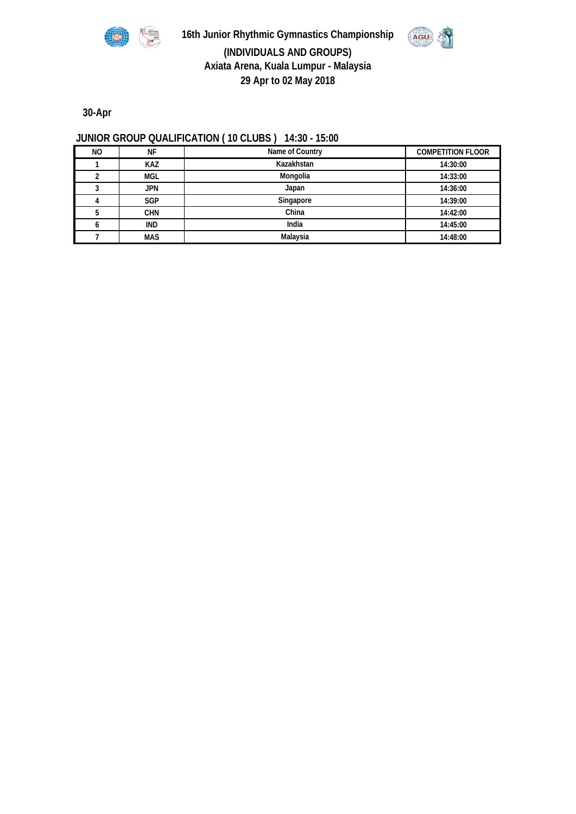

**16th Junior Rhythmic Gymnastics Championship**



**(INDIVIDUALS AND GROUPS) Axiata Arena, Kuala Lumpur - Malaysia 29 Apr to 02 May 2018**

**30-Apr**

## **JUNIOR GROUP QUALIFICATION ( 10 CLUBS ) 14:30 - 15:00**

| NO. | ΝF         | Name of Country | <b>COMPETITION FLOOR</b> |
|-----|------------|-----------------|--------------------------|
|     | <b>KAZ</b> | Kazakhstan      | 14:30:00                 |
|     | <b>MGL</b> | Mongolia        | 14:33:00                 |
|     | <b>JPN</b> | Japan           | 14:36:00                 |
|     | <b>SGP</b> | Singapore       | 14:39:00                 |
|     | <b>CHN</b> | China           | 14:42:00                 |
|     | IND        | India           | 14:45:00                 |
|     | <b>MAS</b> | Malaysia        | 14:48:00                 |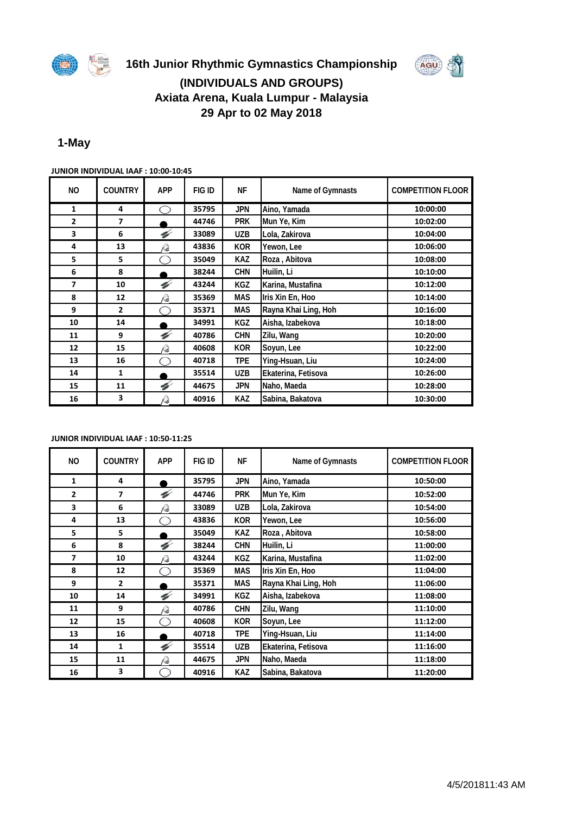

# **16th Junior Rhythmic Gymnastics Championship (INDIVIDUALS AND GROUPS)**



# **Axiata Arena, Kuala Lumpur - Malaysia 29 Apr to 02 May 2018**

## **1-May**

| NO.            | <b>COUNTRY</b> | <b>APP</b> | FIG ID | ΝF         | Name of Gymnasts     | <b>COMPETITION FLOOR</b> |
|----------------|----------------|------------|--------|------------|----------------------|--------------------------|
| 1              | 4              | 11 11      | 35795  | JPN        | Aino, Yamada         | 10:00:00                 |
| $\overline{2}$ | $\overline{ }$ |            | 44746  | <b>PRK</b> | Mun Ye, Kim          | 10:02:00                 |
| 3              | 6              | V          | 33089  | UZB        | Lola, Zakirova       | 10:04:00                 |
| 4              | 13             | ᢙ          | 43836  | <b>KOR</b> | Yewon, Lee           | 10:06:00                 |
| 5              | 5              |            | 35049  | <b>KAZ</b> | Roza, Abitova        | 10:08:00                 |
| 6              | 8              |            | 38244  | <b>CHN</b> | Huilin, Li           | 10:10:00                 |
| 7              | 10             | V          | 43244  | KGZ        | Karina, Mustafina    | 10:12:00                 |
| 8              | 12             | Þ          | 35369  | <b>MAS</b> | Iris Xin En, Hoo     | 10:14:00                 |
| 9              | $\overline{2}$ |            | 35371  | <b>MAS</b> | Rayna Khai Ling, Hoh | 10:16:00                 |
| 10             | 14             |            | 34991  | <b>KGZ</b> | Aisha, Izabekova     | 10:18:00                 |
| 11             | 9              | ¥          | 40786  | <b>CHN</b> | Zilu, Wang           | 10:20:00                 |
| 12             | 15             | Q          | 40608  | <b>KOR</b> | Soyun, Lee           | 10:22:00                 |
| 13             | 16             |            | 40718  | <b>TPE</b> | Ying-Hsuan, Liu      | 10:24:00                 |
| 14             | 1              |            | 35514  | UZB        | Ekaterina, Fetisova  | 10:26:00                 |
| 15             | 11             | V          | 44675  | JPN        | Naho, Maeda          | 10:28:00                 |
| 16             | 3              | p          | 40916  | <b>KAZ</b> | Sabina, Bakatova     | 10:30:00                 |

**JUNIOR INDIVIDUAL IAAF : 10:00-10:45** 

**JUNIOR INDIVIDUAL IAAF : 10:50-11:25** 

| <b>NO</b>                | <b>COUNTRY</b> | <b>APP</b> | FIG ID | ΝF         | Name of Gymnasts     | <b>COMPETITION FLOOR</b> |
|--------------------------|----------------|------------|--------|------------|----------------------|--------------------------|
| 1                        | 4              |            | 35795  | <b>JPN</b> | Aino, Yamada         | 10:50:00                 |
| $\overline{2}$           | 7              | V          | 44746  | <b>PRK</b> | Mun Ye, Kim          | 10:52:00                 |
| 3                        | 6              | Q          | 33089  | <b>UZB</b> | Lola, Zakirova       | 10:54:00                 |
| 4                        | 13             |            | 43836  | <b>KOR</b> | Yewon, Lee           | 10:56:00                 |
| 5                        | 5              |            | 35049  | <b>KAZ</b> | Roza, Abitova        | 10:58:00                 |
| 6                        | 8              | V          | 38244  | <b>CHN</b> | Huilin, Li           | 11:00:00                 |
| $\overline{\phantom{a}}$ | 10             | Q          | 43244  | <b>KGZ</b> | Karina, Mustafina    | 11:02:00                 |
| 8                        | 12             |            | 35369  | <b>MAS</b> | Iris Xin En, Hoo     | 11:04:00                 |
| 9                        | $\overline{2}$ |            | 35371  | <b>MAS</b> | Rayna Khai Ling, Hoh | 11:06:00                 |
| 10                       | 14             | V          | 34991  | <b>KGZ</b> | Aisha, Izabekova     | 11:08:00                 |
| 11                       | 9              | Q          | 40786  | <b>CHN</b> | Zilu, Wang           | 11:10:00                 |
| 12                       | 15             |            | 40608  | <b>KOR</b> | Soyun, Lee           | 11:12:00                 |
| 13                       | 16             |            | 40718  | <b>TPE</b> | Ying-Hsuan, Liu      | 11:14:00                 |
| 14                       | 1              | V          | 35514  | <b>UZB</b> | Ekaterina, Fetisova  | 11:16:00                 |
| 15                       | 11             | Q          | 44675  | <b>JPN</b> | Naho, Maeda          | 11:18:00                 |
| 16                       | 3              |            | 40916  | <b>KAZ</b> | Sabina, Bakatova     | 11:20:00                 |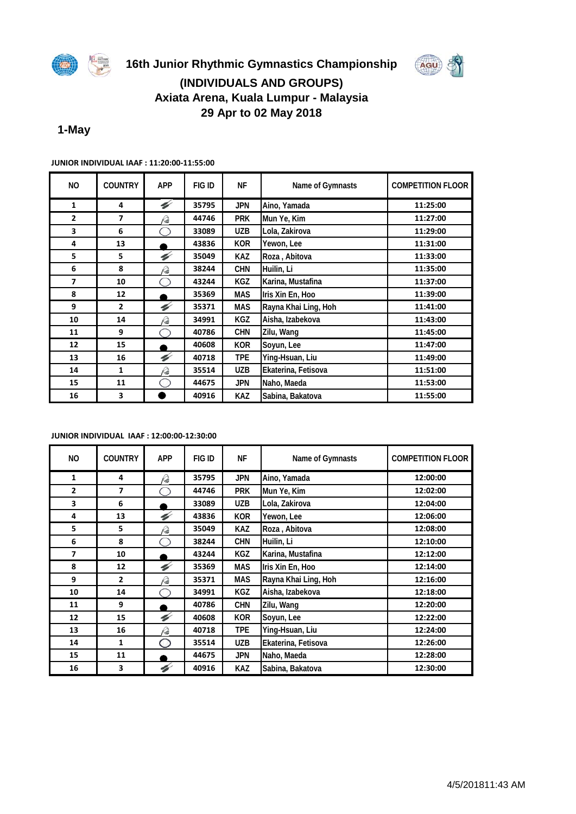



# **Axiata Arena, Kuala Lumpur - Malaysia 29 Apr to 02 May 2018**

## **1-May**

| NO.            | <b>COUNTRY</b> | <b>APP</b> | FIG ID | <b>NF</b>  | Name of Gymnasts     | <b>COMPETITION FLOOR</b> |  |  |
|----------------|----------------|------------|--------|------------|----------------------|--------------------------|--|--|
| $\mathbf{1}$   | 4              | V          | 35795  | <b>JPN</b> | Aino, Yamada         | 11:25:00                 |  |  |
| $\overline{2}$ | 7              | R₹         | 44746  | <b>PRK</b> | Mun Ye, Kim          | 11:27:00                 |  |  |
| 3              | 6              | 11 X       | 33089  | <b>UZB</b> | Lola, Zakirova       | 11:29:00                 |  |  |
| 4              | 13             |            | 43836  | <b>KOR</b> | Yewon, Lee           | 11:31:00                 |  |  |
| 5              | 5              | V          | 35049  | <b>KAZ</b> | Roza, Abitova        | 11:33:00                 |  |  |
| 6              | 8              | p          | 38244  | <b>CHN</b> | Huilin, Li           | 11:35:00                 |  |  |
| $\overline{ }$ | 10             |            | 43244  | KGZ        | Karina, Mustafina    | 11:37:00                 |  |  |
| 8              | 12             |            | 35369  | <b>MAS</b> | Iris Xin En, Hoo     | 11:39:00                 |  |  |
| 9              | $\overline{2}$ | V          | 35371  | <b>MAS</b> | Rayna Khai Ling, Hoh | 11:41:00                 |  |  |
| 10             | 14             | Þ          | 34991  | <b>KGZ</b> | Aisha, Izabekova     | 11:43:00                 |  |  |
| 11             | 9              | iН         | 40786  | <b>CHN</b> | Zilu, Wang           | 11:45:00                 |  |  |
| 12             | 15             |            | 40608  | <b>KOR</b> | Soyun, Lee           | 11:47:00                 |  |  |
| 13             | 16             | V          | 40718  | <b>TPE</b> | Ying-Hsuan, Liu      | 11:49:00                 |  |  |
| 14             | 1              | p          | 35514  | <b>UZB</b> | Ekaterina, Fetisova  | 11:51:00                 |  |  |
| 15             | 11             | m          | 44675  | <b>JPN</b> | Naho, Maeda          | 11:53:00                 |  |  |
| 16             | 3              |            | 40916  | <b>KAZ</b> | Sabina, Bakatova     | 11:55:00                 |  |  |

#### **JUNIOR INDIVIDUAL IAAF : 11:20:00-11:55:00**

#### **JUNIOR INDIVIDUAL IAAF : 12:00:00-12:30:00**

| NO.            | <b>COUNTRY</b>           | <b>APP</b> | FIG ID | NF         | Name of Gymnasts     | <b>COMPETITION FLOOR</b> |
|----------------|--------------------------|------------|--------|------------|----------------------|--------------------------|
| 1              | 4                        | Q          | 35795  | <b>JPN</b> | Aino, Yamada         | 12:00:00                 |
| $\overline{2}$ | $\overline{\phantom{a}}$ |            | 44746  | <b>PRK</b> | Mun Ye, Kim          | 12:02:00                 |
| 3              | 6                        |            | 33089  | <b>UZB</b> | Lola, Zakirova       | 12:04:00                 |
| 4              | 13                       | V          | 43836  | <b>KOR</b> | Yewon, Lee           | 12:06:00                 |
| 5              | 5                        | rð         | 35049  | <b>KAZ</b> | Roza, Abitova        | 12:08:00                 |
| 6              | 8                        |            | 38244  | <b>CHN</b> | Huilin, Li           | 12:10:00                 |
| 7              | 10                       |            | 43244  | <b>KGZ</b> | Karina, Mustafina    | 12:12:00                 |
| 8              | 12                       | V          | 35369  | <b>MAS</b> | Iris Xin En, Hoo     | 12:14:00                 |
| 9              | $\overline{2}$           | rð         | 35371  | <b>MAS</b> | Rayna Khai Ling, Hoh | 12:16:00                 |
| 10             | 14                       | 11 7       | 34991  | <b>KGZ</b> | Aisha, Izabekova     | 12:18:00                 |
| 11             | 9                        |            | 40786  | <b>CHN</b> | Zilu, Wang           | 12:20:00                 |
| 12             | 15                       | V          | 40608  | <b>KOR</b> | Soyun, Lee           | 12:22:00                 |
| 13             | 16                       | rð         | 40718  | <b>TPE</b> | Ying-Hsuan, Liu      | 12:24:00                 |
| 14             | 1                        | ◠          | 35514  | <b>UZB</b> | Ekaterina, Fetisova  | 12:26:00                 |
| 15             | 11                       |            | 44675  | <b>JPN</b> | Naho, Maeda          | 12:28:00                 |
| 16             | 3                        | V          | 40916  | <b>KAZ</b> | Sabina, Bakatova     | 12:30:00                 |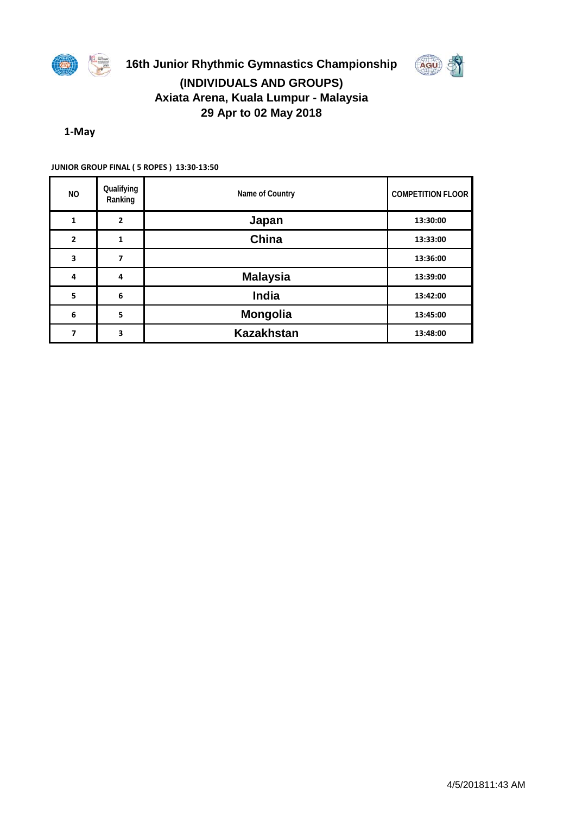

## **16th Junior Rhythmic Gymnastics Championship (INDIVIDUALS AND GROUPS) Axiata Arena, Kuala Lumpur - Malaysia 29 Apr to 02 May 2018**

AGU



| NO.            | Qualifying<br>Ranking | Name of Country   | <b>COMPETITION FLOOR</b> |
|----------------|-----------------------|-------------------|--------------------------|
| 1              | $\overline{2}$        | Japan             | 13:30:00                 |
| $\overline{2}$ | 1                     | China             | 13:33:00                 |
| 3              | 7                     |                   | 13:36:00                 |
| 4              | 4                     | <b>Malaysia</b>   | 13:39:00                 |
| 5              | 6                     | <b>India</b>      | 13:42:00                 |
| 6              | 5                     | <b>Mongolia</b>   | 13:45:00                 |
| 7              | 3                     | <b>Kazakhstan</b> | 13:48:00                 |

**JUNIOR GROUP FINAL ( 5 ROPES ) 13:30-13:50**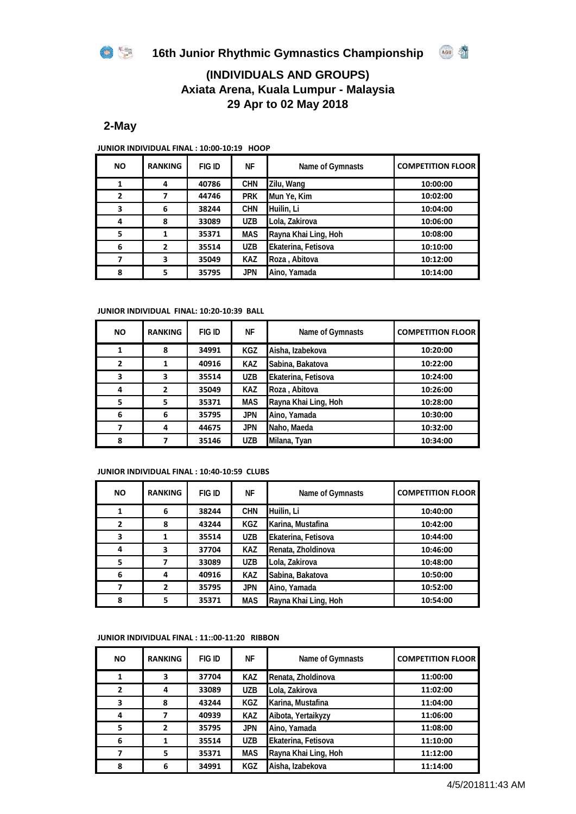

AGU S



## **2-May**

**JUNIOR INDIVIDUAL FINAL : 10:00-10:19 HOOP** 

| <b>NO</b>      | <b>RANKING</b> | FIG ID | ΝF         | Name of Gymnasts     | <b>COMPETITION FLOOR</b> |  |  |
|----------------|----------------|--------|------------|----------------------|--------------------------|--|--|
| 1              | 4              | 40786  | <b>CHN</b> | Zilu, Wang           | 10:00:00                 |  |  |
| $\overline{2}$ |                | 44746  | <b>PRK</b> | Mun Ye, Kim          | 10:02:00                 |  |  |
| 3              | 6              | 38244  | <b>CHN</b> | Huilin, Li           | 10:04:00                 |  |  |
| 4              | 8              | 33089  | <b>UZB</b> | Lola, Zakirova       | 10:06:00                 |  |  |
| 5              |                | 35371  | <b>MAS</b> | Rayna Khai Ling, Hoh | 10:08:00                 |  |  |
| 6              | 2              | 35514  | <b>UZB</b> | Ekaterina, Fetisova  | 10:10:00                 |  |  |
|                | 3              | 35049  | <b>KAZ</b> | Roza, Abitova        | 10:12:00                 |  |  |
| 8              | 5              | 35795  | <b>JPN</b> | Aino, Yamada         | 10:14:00                 |  |  |

#### **JUNIOR INDIVIDUAL FINAL: 10:20-10:39 BALL**

| <b>NO</b>    | <b>RANKING</b> | <b>FIG ID</b> | NF         | Name of Gymnasts     | <b>COMPETITION FLOOR</b> |  |  |
|--------------|----------------|---------------|------------|----------------------|--------------------------|--|--|
| 1            | 8              | 34991         | KGZ        | Aisha, Izabekova     | 10:20:00                 |  |  |
| $\mathbf{2}$ |                | 40916         | <b>KAZ</b> | Sabina, Bakatova     | 10:22:00                 |  |  |
| 3            | 3              | 35514         | <b>UZB</b> | Ekaterina, Fetisova  | 10:24:00                 |  |  |
| 4            | 2              | 35049         | <b>KAZ</b> | Roza, Abitova        | 10:26:00                 |  |  |
| 5            | 5.             | 35371         | <b>MAS</b> | Rayna Khai Ling, Hoh | 10:28:00                 |  |  |
| 6            | 6              | 35795         | <b>JPN</b> | Aino, Yamada         | 10:30:00                 |  |  |
|              | 4              | 44675         | <b>JPN</b> | Naho, Maeda          | 10:32:00                 |  |  |
| 8            |                | 35146         | <b>UZB</b> | Milana, Tyan         | 10:34:00                 |  |  |

#### **JUNIOR INDIVIDUAL FINAL : 10:40-10:59 CLUBS**

| <b>NO</b>    | <b>RANKING</b> | <b>FIG ID</b> | ΝF         | Name of Gymnasts     | <b>COMPETITION FLOOR</b> |
|--------------|----------------|---------------|------------|----------------------|--------------------------|
|              | 6              | 38244         | <b>CHN</b> | Huilin, Li           | 10:40:00                 |
| $\mathbf{2}$ | 8              | 43244         | <b>KGZ</b> | Karina, Mustafina    | 10:42:00                 |
| 3            |                | 35514         | <b>UZB</b> | Ekaterina, Fetisova  | 10:44:00                 |
| 4            | 3              | 37704         | <b>KAZ</b> | Renata, Zholdinova   | 10:46:00                 |
| 5            |                | 33089         | <b>UZB</b> | Lola, Zakirova       | 10:48:00                 |
| 6            | 4              | 40916         | <b>KAZ</b> | Sabina, Bakatova     | 10:50:00                 |
|              | $\overline{2}$ | 35795         | <b>JPN</b> | Aino, Yamada         | 10:52:00                 |
| 8            | 5              | 35371         | <b>MAS</b> | Rayna Khai Ling, Hoh | 10:54:00                 |

#### **JUNIOR INDIVIDUAL FINAL : 11::00-11:20 RIBBON**

| <b>NO</b>    | <b>RANKING</b> | FIG ID | ΝF         | Name of Gymnasts     | <b>COMPETITION FLOOR</b> |
|--------------|----------------|--------|------------|----------------------|--------------------------|
| 1            | 3              | 37704  | <b>KAZ</b> | Renata, Zholdinova   | 11:00:00                 |
| $\mathbf{2}$ | 4              | 33089  | <b>UZB</b> | Lola, Zakirova       | 11:02:00                 |
| 3            | 8              | 43244  | KGZ        | Karina, Mustafina    | 11:04:00                 |
| 4            |                | 40939  | <b>KAZ</b> | Aibota, Yertaikyzy   | 11:06:00                 |
| 5            | 2              | 35795  | <b>JPN</b> | Aino, Yamada         | 11:08:00                 |
| 6            |                | 35514  | <b>UZB</b> | Ekaterina, Fetisova  | 11:10:00                 |
|              | 5              | 35371  | <b>MAS</b> | Rayna Khai Ling, Hoh | 11:12:00                 |
| 8            | 6              | 34991  | KGZ        | Aisha, Izabekova     | 11:14:00                 |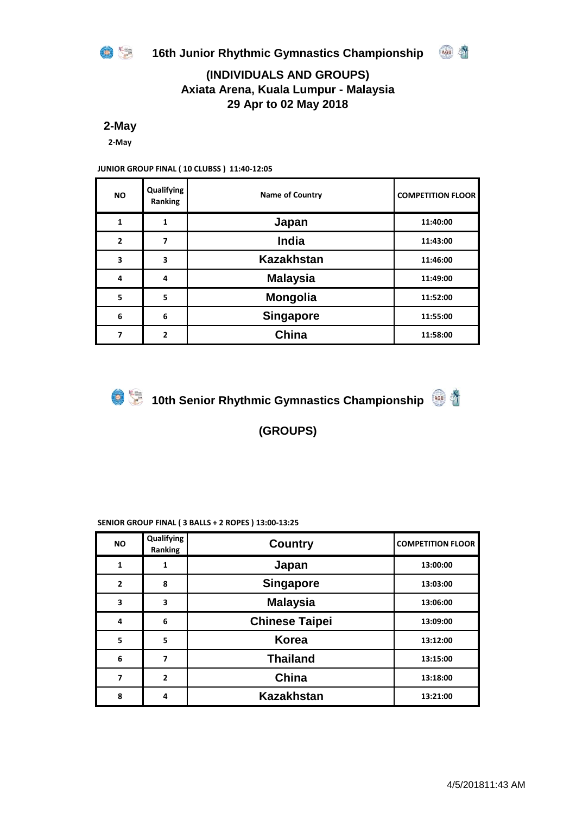

AGU S

## **(INDIVIDUALS AND GROUPS) Axiata Arena, Kuala Lumpur - Malaysia 29 Apr to 02 May 2018**

**2-May**

**2-May**

### **JUNIOR GROUP FINAL ( 10 CLUBSS ) 11:40-12:05**

| <b>NO</b>      | Qualifying<br>Ranking    | <b>Name of Country</b> | <b>COMPETITION FLOOR</b> |
|----------------|--------------------------|------------------------|--------------------------|
| 1              | 1                        | Japan                  | 11:40:00                 |
| $\overline{2}$ | 7                        | <b>India</b>           | 11:43:00                 |
| 3              | 3                        | <b>Kazakhstan</b>      | 11:46:00                 |
| 4              | 4                        | <b>Malaysia</b>        | 11:49:00                 |
| 5              | 5                        | <b>Mongolia</b>        | 11:52:00                 |
| 6              | 6                        | <b>Singapore</b>       | 11:55:00                 |
| 7              | $\overline{\phantom{a}}$ | China                  | 11:58:00                 |



**10th Senior Rhythmic Gymnastics Championship** 

**(GROUPS)**

#### **SENIOR GROUP FINAL ( 3 BALLS + 2 ROPES ) 13:00-13:25**

| <b>NO</b>                | Qualifying<br>Ranking | <b>Country</b>        | <b>COMPETITION FLOOR</b> |
|--------------------------|-----------------------|-----------------------|--------------------------|
| $\mathbf{1}$             | 1                     | Japan                 | 13:00:00                 |
| $\overline{2}$           | 8                     | <b>Singapore</b>      | 13:03:00                 |
| 3                        | 3                     | <b>Malaysia</b>       | 13:06:00                 |
| 4                        | 6                     | <b>Chinese Taipei</b> | 13:09:00                 |
| 5                        | 5                     | <b>Korea</b>          | 13:12:00                 |
| 6                        | 7                     | <b>Thailand</b>       | 13:15:00                 |
| $\overline{\phantom{a}}$ | $\overline{2}$        | China                 | 13:18:00                 |
| 8                        | 4                     | <b>Kazakhstan</b>     | 13:21:00                 |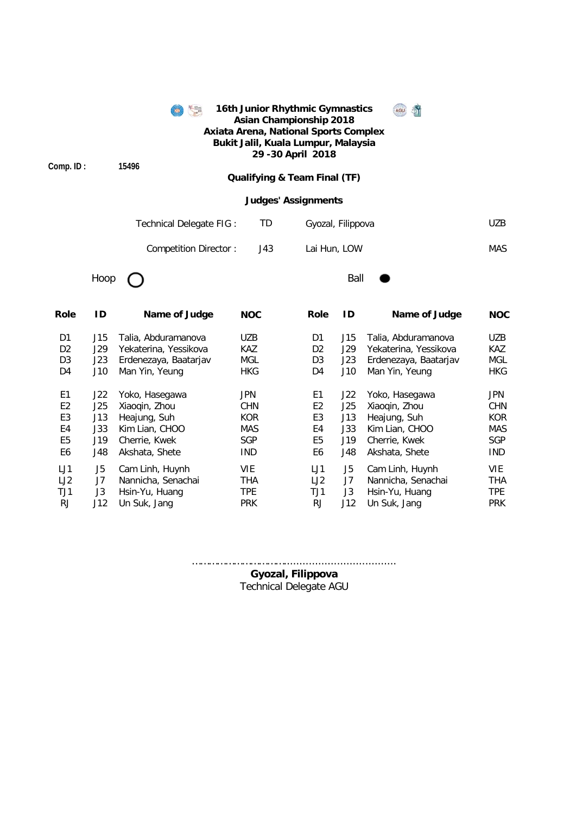|                |      |                          | 16th Junior Rhythmic Gymnastics<br><b>Asian Championship 2018</b><br>Axiata Arena, National Sports Complex<br>Bukit Jalil, Kuala Lumpur, Malaysia<br>29 - 30 April 2018 |                            |      |                       |            |  |  |  |
|----------------|------|--------------------------|-------------------------------------------------------------------------------------------------------------------------------------------------------------------------|----------------------------|------|-----------------------|------------|--|--|--|
| Comp. ID:      |      | 15496                    | <b>Qualifying &amp; Team Final (TF)</b>                                                                                                                                 |                            |      |                       |            |  |  |  |
|                |      |                          |                                                                                                                                                                         | <b>Judges' Assignments</b> |      |                       |            |  |  |  |
|                |      | Technical Delegate FIG : | TD                                                                                                                                                                      | Gyozal, Filippova          |      |                       | <b>UZB</b> |  |  |  |
|                |      | Competition Director:    | J43                                                                                                                                                                     | Lai Hun, LOW               |      |                       | <b>MAS</b> |  |  |  |
|                | Hoop |                          |                                                                                                                                                                         |                            | Ball |                       |            |  |  |  |
| Role           | ID   | Name of Judge            | <b>NOC</b>                                                                                                                                                              | <b>Role</b>                | ID   | Name of Judge         | <b>NOC</b> |  |  |  |
| D1             | J15  | Talia, Abduramanova      | <b>UZB</b>                                                                                                                                                              | D1                         | J15  | Talia, Abduramanova   | UZB        |  |  |  |
| D <sub>2</sub> | J29  | Yekaterina, Yessikova    | <b>KAZ</b>                                                                                                                                                              | D <sub>2</sub>             | J29  | Yekaterina, Yessikova | KAZ        |  |  |  |
| D <sub>3</sub> | J23  | Erdenezaya, Baatarjav    | <b>MGL</b>                                                                                                                                                              | D <sub>3</sub>             | J23  | Erdenezaya, Baatarjav | <b>MGL</b> |  |  |  |
| D <sub>4</sub> | J10  | Man Yin, Yeung           | <b>HKG</b>                                                                                                                                                              | D4                         | J10  | Man Yin, Yeung        | <b>HKG</b> |  |  |  |
| E <sub>1</sub> | J22  | Yoko, Hasegawa           | <b>JPN</b>                                                                                                                                                              | E <sub>1</sub>             | J22  | Yoko, Hasegawa        | <b>JPN</b> |  |  |  |
| E <sub>2</sub> | J25  | Xiaoqin, Zhou            | <b>CHN</b>                                                                                                                                                              | E <sub>2</sub>             | J25  | Xiaoqin, Zhou         | <b>CHN</b> |  |  |  |
| E <sub>3</sub> | J13  | Heajung, Suh             | <b>KOR</b>                                                                                                                                                              | E3                         | J13  | Heajung, Suh          | <b>KOR</b> |  |  |  |
| E4             | J33  | Kim Lian, CHOO           | <b>MAS</b>                                                                                                                                                              | E4                         | J33  | Kim Lian, CHOO        | <b>MAS</b> |  |  |  |
| E <sub>5</sub> | J19  | Cherrie, Kwek            | SGP                                                                                                                                                                     | E <sub>5</sub>             | J19  | Cherrie, Kwek         | SGP        |  |  |  |
| E <sub>6</sub> | J48  | Akshata, Shete           | <b>IND</b>                                                                                                                                                              | E <sub>6</sub>             | J48  | Akshata, Shete        | <b>IND</b> |  |  |  |
| LJ1            | J5   | Cam Linh, Huynh          | <b>VIE</b>                                                                                                                                                              | LJ1                        | J5   | Cam Linh, Huynh       | <b>VIE</b> |  |  |  |
| LJ2            | J7   | Nannicha, Senachai       | <b>THA</b>                                                                                                                                                              | LJ2                        | J7   | Nannicha, Senachai    | <b>THA</b> |  |  |  |
| TJ1            | J3   | Hsin-Yu, Huang           | <b>TPE</b>                                                                                                                                                              | TJ1                        | J3   | Hsin-Yu, Huang        | <b>TPE</b> |  |  |  |
| <b>RJ</b>      | J12  | Un Suk, Jang             | <b>PRK</b>                                                                                                                                                              | <b>RJ</b>                  | J12  | Un Suk, Jang          | <b>PRK</b> |  |  |  |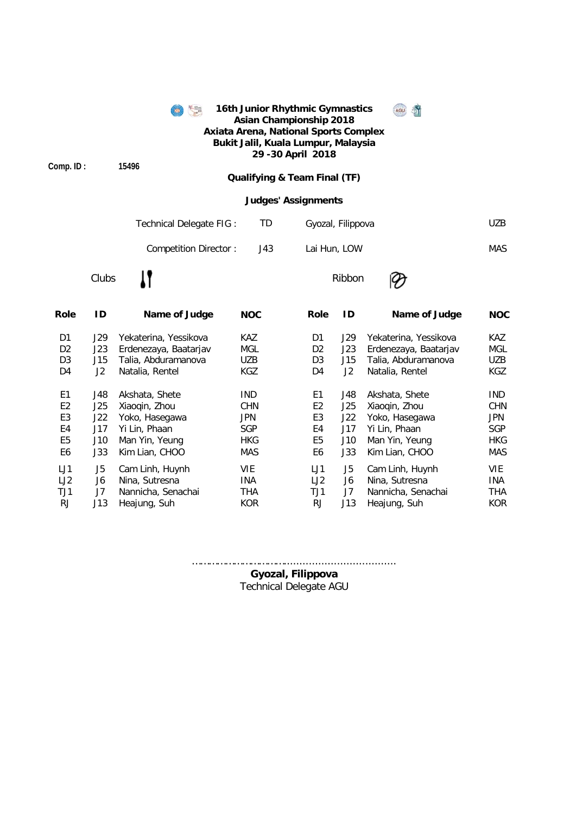|                | 16th Junior Rhythmic Gymnastics<br>毛黒<br>AGU<br><b>Asian Championship 2018</b><br><b>Axiata Arena, National Sports Complex</b><br>Bukit Jalil, Kuala Lumpur, Malaysia<br>29 - 30 April 2018 |                                                  |            |                            |                   |                       |            |  |  |  |  |  |
|----------------|---------------------------------------------------------------------------------------------------------------------------------------------------------------------------------------------|--------------------------------------------------|------------|----------------------------|-------------------|-----------------------|------------|--|--|--|--|--|
| Comp. ID:      |                                                                                                                                                                                             | 15496<br><b>Qualifying &amp; Team Final (TF)</b> |            |                            |                   |                       |            |  |  |  |  |  |
|                |                                                                                                                                                                                             |                                                  |            | <b>Judges' Assignments</b> |                   |                       |            |  |  |  |  |  |
|                |                                                                                                                                                                                             | Technical Delegate FIG :                         |            | TD                         | Gyozal, Filippova |                       | <b>UZB</b> |  |  |  |  |  |
|                |                                                                                                                                                                                             | <b>Competition Director:</b>                     |            | J43                        | Lai Hun, LOW      |                       | <b>MAS</b> |  |  |  |  |  |
|                | Clubs                                                                                                                                                                                       |                                                  |            |                            | Ribbon            |                       |            |  |  |  |  |  |
| Role           | ID                                                                                                                                                                                          | Name of Judge                                    | <b>NOC</b> | <b>Role</b>                | ID                | Name of Judge         | <b>NOC</b> |  |  |  |  |  |
| D <sub>1</sub> | J29                                                                                                                                                                                         | Yekaterina, Yessikova                            | <b>KAZ</b> | D <sub>1</sub>             | J29               | Yekaterina, Yessikova | KAZ        |  |  |  |  |  |
| D <sub>2</sub> | J23                                                                                                                                                                                         | Erdenezaya, Baatarjav                            | <b>MGL</b> | D <sub>2</sub>             | J23               | Erdenezaya, Baatarjav | <b>MGL</b> |  |  |  |  |  |
| D <sub>3</sub> | J15                                                                                                                                                                                         | Talia, Abduramanova                              | <b>UZB</b> | D <sub>3</sub>             | J15               | Talia, Abduramanova   | <b>UZB</b> |  |  |  |  |  |
| D <sub>4</sub> | J2                                                                                                                                                                                          | Natalia, Rentel                                  | <b>KGZ</b> | D4                         | J2                | Natalia, Rentel       | <b>KGZ</b> |  |  |  |  |  |
| E <sub>1</sub> | J48                                                                                                                                                                                         | Akshata, Shete                                   | <b>IND</b> | E <sub>1</sub>             | J48               | Akshata, Shete        | <b>IND</b> |  |  |  |  |  |
| E <sub>2</sub> | J25                                                                                                                                                                                         | Xiaoqin, Zhou                                    | <b>CHN</b> | E <sub>2</sub>             | J25               | Xiaoqin, Zhou         | <b>CHN</b> |  |  |  |  |  |
| E <sub>3</sub> | J22                                                                                                                                                                                         | Yoko, Hasegawa                                   | <b>JPN</b> | E <sub>3</sub>             | J22               | Yoko, Hasegawa        | <b>JPN</b> |  |  |  |  |  |
| E <sub>4</sub> | J17                                                                                                                                                                                         | Yi Lin, Phaan                                    | SGP        | E4                         | J17               | Yi Lin, Phaan         | SGP        |  |  |  |  |  |
| E <sub>5</sub> | J10                                                                                                                                                                                         | Man Yin, Yeung                                   | <b>HKG</b> | E <sub>5</sub>             | J10               | Man Yin, Yeung        | <b>HKG</b> |  |  |  |  |  |
| E <sub>6</sub> | J33                                                                                                                                                                                         | Kim Lian, CHOO                                   | <b>MAS</b> | E <sub>6</sub>             | J33               | Kim Lian, CHOO        | <b>MAS</b> |  |  |  |  |  |
| LJ1            | J5                                                                                                                                                                                          | Cam Linh, Huynh                                  | <b>VIE</b> | LJ1                        | J <sub>5</sub>    | Cam Linh, Huynh       | <b>VIE</b> |  |  |  |  |  |
| LJ2            | J6                                                                                                                                                                                          | Nina, Sutresna                                   | <b>INA</b> | LJ2                        | J6                | Nina, Sutresna        | INA        |  |  |  |  |  |
| TJ1            | J7                                                                                                                                                                                          | Nannicha, Senachai                               | <b>THA</b> | TJ1                        | J7                | Nannicha, Senachai    | <b>THA</b> |  |  |  |  |  |

Technical Delegate AGU …………………………….................................... **Gyozal, Filippova**

RJ J13 Heajung, Suh KOR RJ J13 Heajung, Suh KOR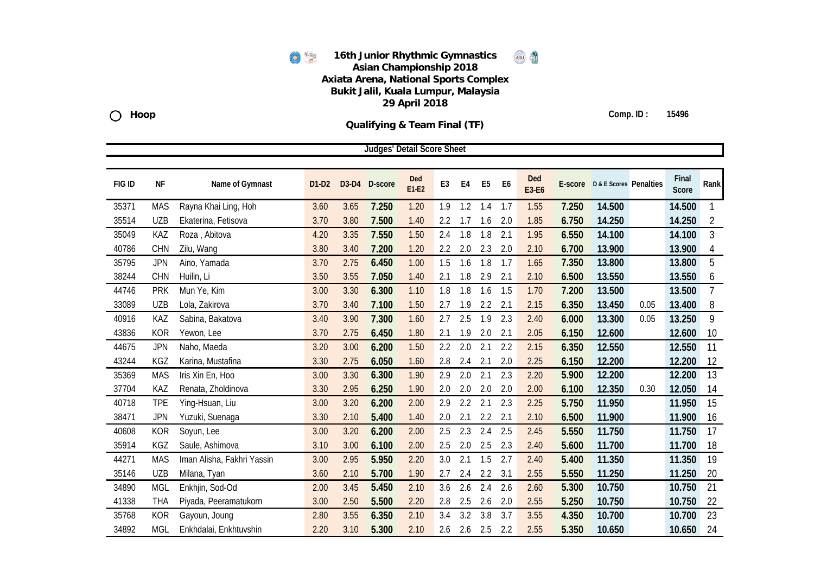

**Qualifying & Team Final (TF)**



**Comp. ID : 15496**

|        | <b>Judges' Detail Score Sheet</b> |                            |         |       |         |                |                |     |                |                |              |         |                        |      |                |                |
|--------|-----------------------------------|----------------------------|---------|-------|---------|----------------|----------------|-----|----------------|----------------|--------------|---------|------------------------|------|----------------|----------------|
| FIG ID | NF                                | Name of Gymnast            | $D1-D2$ | D3-D4 | D-score | Ded<br>$E1-E2$ | E <sub>3</sub> | E4  | E <sub>5</sub> | E <sub>6</sub> | Ded<br>E3-E6 | E-score | D & E Scores Penalties |      | Final<br>Score | Rank           |
| 35371  | <b>MAS</b>                        | Rayna Khai Ling, Hoh       | 3.60    | 3.65  | 7.250   | 1.20           | 1.9            | 1.2 | 1.4            | 1.7            | 1.55         | 7.250   | 14.500                 |      | 14.500         | 1              |
| 35514  | <b>UZB</b>                        | Ekaterina, Fetisova        | 3.70    | 3.80  | 7.500   | 1.40           | 2.2            | 1.7 | 1.6            | 2.0            | 1.85         | 6.750   | 14.250                 |      | 14.250         | $\overline{2}$ |
| 35049  | KAZ                               | Roza, Abitova              | 4.20    | 3.35  | 7.550   | 1.50           | 2.4            | 1.8 | 1.8            | 2.1            | 1.95         | 6.550   | 14.100                 |      | 14.100         | $\overline{3}$ |
| 40786  | <b>CHN</b>                        | Zilu, Wang                 | 3.80    | 3.40  | 7.200   | 1.20           | 2.2            | 2.0 | 2.3            | 2.0            | 2.10         | 6.700   | 13.900                 |      | 13.900         | 4              |
| 35795  | <b>JPN</b>                        | Aino, Yamada               | 3.70    | 2.75  | 6.450   | 1.00           | 1.5            | 1.6 | 1.8            | 1.7            | 1.65         | 7.350   | 13.800                 |      | 13.800         | 5              |
| 38244  | <b>CHN</b>                        | Huilin, Li                 | 3.50    | 3.55  | 7.050   | 1.40           | 2.1            | 1.8 | 2.9            | 2.1            | 2.10         | 6.500   | 13.550                 |      | 13.550         | 6              |
| 44746  | <b>PRK</b>                        | Mun Ye, Kim                | 3.00    | 3.30  | 6.300   | 1.10           | 1.8            | 1.8 | 1.6            | 1.5            | 1.70         | 7.200   | 13.500                 |      | 13.500         | $\overline{7}$ |
| 33089  | <b>UZB</b>                        | Lola, Zakirova             | 3.70    | 3.40  | 7.100   | 1.50           | 2.7            | 1.9 | 2.2            | 2.1            | 2.15         | 6.350   | 13.450                 | 0.05 | 13.400         | 8              |
| 40916  | KAZ                               | Sabina, Bakatova           | 3.40    | 3.90  | 7.300   | 1.60           | 2.7            | 2.5 | 1.9            | 2.3            | 2.40         | 6.000   | 13.300                 | 0.05 | 13.250         | 9              |
| 43836  | <b>KOR</b>                        | Yewon, Lee                 | 3.70    | 2.75  | 6.450   | 1.80           | 2.1            | 1.9 | 2.0            | 2.1            | 2.05         | 6.150   | 12.600                 |      | 12.600         | 10             |
| 44675  | <b>JPN</b>                        | Naho, Maeda                | 3.20    | 3.00  | 6.200   | 1.50           | 2.2            | 2.0 | 2.1            | 2.2            | 2.15         | 6.350   | 12.550                 |      | 12.550         | 11             |
| 43244  | KGZ                               | Karina, Mustafina          | 3.30    | 2.75  | 6.050   | 1.60           | 2.8            | 2.4 | 2.1            | 2.0            | 2.25         | 6.150   | 12.200                 |      | 12.200         | 12             |
| 35369  | <b>MAS</b>                        | Iris Xin En, Hoo           | 3.00    | 3.30  | 6.300   | 1.90           | 2.9            | 2.0 | 2.1            | 2.3            | 2.20         | 5.900   | 12.200                 |      | 12.200         | 13             |
| 37704  | KAZ                               | Renata, Zholdinova         | 3.30    | 2.95  | 6.250   | 1.90           | 2.0            | 2.0 | 2.0            | 2.0            | 2.00         | 6.100   | 12.350                 | 0.30 | 12.050         | 14             |
| 40718  | <b>TPE</b>                        | Ying-Hsuan, Liu            | 3.00    | 3.20  | 6.200   | 2.00           | 2.9            | 2.2 | 2.1            | 2.3            | 2.25         | 5.750   | 11.950                 |      | 11.950         | 15             |
| 38471  | <b>JPN</b>                        | Yuzuki, Suenaga            | 3.30    | 2.10  | 5.400   | 1.40           | 2.0            | 2.1 | 2.2            | 2.1            | 2.10         | 6.500   | 11.900                 |      | 11.900         | 16             |
| 40608  | <b>KOR</b>                        | Soyun, Lee                 | 3.00    | 3.20  | 6.200   | 2.00           | 2.5            | 2.3 | 2.4            | 2.5            | 2.45         | 5.550   | 11.750                 |      | 11.750         | 17             |
| 35914  | KGZ                               | Saule, Ashimova            | 3.10    | 3.00  | 6.100   | 2.00           | 2.5            | 2.0 | 2.5            | 2.3            | 2.40         | 5.600   | 11.700                 |      | 11.700         | 18             |
| 44271  | <b>MAS</b>                        | Iman Alisha, Fakhri Yassin | 3.00    | 2.95  | 5.950   | 2.20           | 3.0            | 2.1 | 1.5            | 2.7            | 2.40         | 5.400   | 11.350                 |      | 11.350         | 19             |
| 35146  | <b>UZB</b>                        | Milana, Tyan               | 3.60    | 2.10  | 5.700   | 1.90           | 2.7            | 2.4 | 2.2            | 3.1            | 2.55         | 5.550   | 11.250                 |      | 11.250         | 20             |
| 34890  | <b>MGL</b>                        | Enkhjin, Sod-Od            | 2.00    | 3.45  | 5.450   | 2.10           | 3.6            | 2.6 | 2.4            | 2.6            | 2.60         | 5.300   | 10.750                 |      | 10.750         | 21             |
| 41338  | <b>THA</b>                        | Piyada, Peeramatukorn      | 3.00    | 2.50  | 5.500   | 2.20           | 2.8            | 2.5 | 2.6            | 2.0            | 2.55         | 5.250   | 10.750                 |      | 10.750         | 22             |
| 35768  | <b>KOR</b>                        | Gayoun, Joung              | 2.80    | 3.55  | 6.350   | 2.10           | 3.4            | 3.2 | 3.8            | 3.7            | 3.55         | 4.350   | 10.700                 |      | 10.700         | 23             |
| 34892  | <b>MGL</b>                        | Enkhdalai, Enkhtuvshin     | 2.20    | 3.10  | 5.300   | 2.10           | 2.6            | 2.6 | 2.5            | 2.2            | 2.55         | 5.350   | 10.650                 |      | 10.650         | 24             |

**Hoop**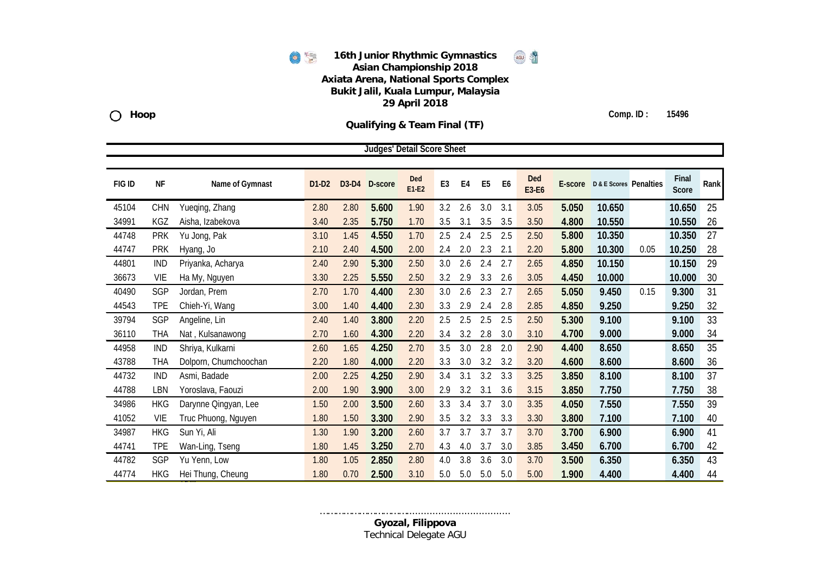

**Qualifying & Team Final (TF)**



**Comp. ID : 15496**

|               |            |                       |         |      | Judges' Detail Score Sheet |                |                |     |                |                |                     |         |                        |      |                |      |
|---------------|------------|-----------------------|---------|------|----------------------------|----------------|----------------|-----|----------------|----------------|---------------------|---------|------------------------|------|----------------|------|
|               |            |                       |         |      |                            |                |                |     |                |                |                     |         |                        |      |                |      |
| <b>FIG ID</b> | <b>NF</b>  | Name of Gymnast       | $D1-D2$ |      | D3-D4 D-score              | Ded<br>$E1-E2$ | E <sub>3</sub> | E4  | E <sub>5</sub> | E <sub>6</sub> | <b>Ded</b><br>E3-E6 | E-score | D & E Scores Penalties |      | Final<br>Score | Rank |
| 45104         | <b>CHN</b> | Yueqing, Zhang        | 2.80    | 2.80 | 5.600                      | 1.90           | 3.2            | 2.6 | 3.0            | 3.1            | 3.05                | 5.050   | 10.650                 |      | 10.650         | 25   |
| 34991         | <b>KGZ</b> | Aisha, Izabekova      | 3.40    | 2.35 | 5.750                      | 1.70           | 3.5            | 3.1 | 3.5            | 3.5            | 3.50                | 4.800   | 10.550                 |      | 10.550         | 26   |
| 44748         | <b>PRK</b> | Yu Jong, Pak          | 3.10    | 1.45 | 4.550                      | 1.70           | 2.5            | 2.4 | 2.5            | 2.5            | 2.50                | 5.800   | 10.350                 |      | 10.350         | 27   |
| 44747         | <b>PRK</b> | Hyang, Jo             | 2.10    | 2.40 | 4.500                      | 2.00           | 2.4            | 2.0 | 2.3            | 2.1            | 2.20                | 5.800   | 10.300                 | 0.05 | 10.250         | 28   |
| 44801         | <b>IND</b> | Priyanka, Acharya     | 2.40    | 2.90 | 5.300                      | 2.50           | 3.0            | 2.6 | 2.4            | 2.7            | 2.65                | 4.850   | 10.150                 |      | 10.150         | 29   |
| 36673         | <b>VIE</b> | Ha My, Nguyen         | 3.30    | 2.25 | 5.550                      | 2.50           | 3.2            | 2.9 | 3.3            | 2.6            | 3.05                | 4.450   | 10.000                 |      | 10.000         | 30   |
| 40490         | SGP        | Jordan, Prem          | 2.70    | 1.70 | 4.400                      | 2.30           | 3.0            | 2.6 | 2.3            | 2.7            | 2.65                | 5.050   | 9.450                  | 0.15 | 9.300          | 31   |
| 44543         | <b>TPE</b> | Chieh-Yi, Wang        | 3.00    | 1.40 | 4.400                      | 2.30           | 3.3            | 2.9 | 2.4            | 2.8            | 2.85                | 4.850   | 9.250                  |      | 9.250          | 32   |
| 39794         | SGP        | Angeline, Lin         | 2.40    | 1.40 | 3.800                      | 2.20           | 2.5            | 2.5 | 2.5            | 2.5            | 2.50                | 5.300   | 9.100                  |      | 9.100          | 33   |
| 36110         | <b>THA</b> | Nat, Kulsanawong      | 2.70    | 1.60 | 4.300                      | 2.20           | 3.4            | 3.2 | 2.8            | 3.0            | 3.10                | 4.700   | 9.000                  |      | 9.000          | 34   |
| 44958         | <b>IND</b> | Shriya, Kulkarni      | 2.60    | 1.65 | 4.250                      | 2.70           | 3.5            | 3.0 | 2.8            | 2.0            | 2.90                | 4.400   | 8.650                  |      | 8.650          | 35   |
| 43788         | <b>THA</b> | Dolporn, Chumchoochan | 2.20    | 1.80 | 4.000                      | 2.20           | 3.3            | 3.0 | 3.2            | 3.2            | 3.20                | 4.600   | 8.600                  |      | 8.600          | 36   |
| 44732         | <b>IND</b> | Asmi, Badade          | 2.00    | 2.25 | 4.250                      | 2.90           | 3.4            | 3.1 | 3.2            | 3.3            | 3.25                | 3.850   | 8.100                  |      | 8.100          | 37   |
| 44788         | LBN        | Yoroslava, Faouzi     | 2.00    | 1.90 | 3.900                      | 3.00           | 2.9            | 3.2 | 3.1            | 3.6            | 3.15                | 3.850   | 7.750                  |      | 7.750          | 38   |
| 34986         | <b>HKG</b> | Darynne Qingyan, Lee  | 1.50    | 2.00 | 3.500                      | 2.60           | 3.3            | 3.4 | 3.7            | 3.0            | 3.35                | 4.050   | 7.550                  |      | 7.550          | 39   |
| 41052         | <b>VIE</b> | Truc Phuong, Nguyen   | 1.80    | 1.50 | 3.300                      | 2.90           | 3.5            | 3.2 | 3.3            | 3.3            | 3.30                | 3.800   | 7.100                  |      | 7.100          | 40   |
| 34987         | <b>HKG</b> | Sun Yi, Ali           | 1.30    | 1.90 | 3.200                      | 2.60           | 3.7            | 3.7 | 3.7            | 3.7            | 3.70                | 3.700   | 6.900                  |      | 6.900          | 41   |
| 44741         | <b>TPE</b> | Wan-Ling, Tseng       | 1.80    | 1.45 | 3.250                      | 2.70           | 4.3            | 4.0 | 3.7            | 3.0            | 3.85                | 3.450   | 6.700                  |      | 6.700          | 42   |
| 44782         | SGP        | Yu Yenn, Low          | 1.80    | 1.05 | 2.850                      | 2.80           | 4.0            | 3.8 | 3.6            | 3.0            | 3.70                | 3.500   | 6.350                  |      | 6.350          | 43   |
| 44774         | <b>HKG</b> | Hei Thung, Cheung     | 1.80    | 0.70 | 2.500                      | 3.10           | 5.0            | 5.0 | 5.0            | 5.0            | 5.00                | 1.900   | 4.400                  |      | 4.400          | 44   |

**Hoop**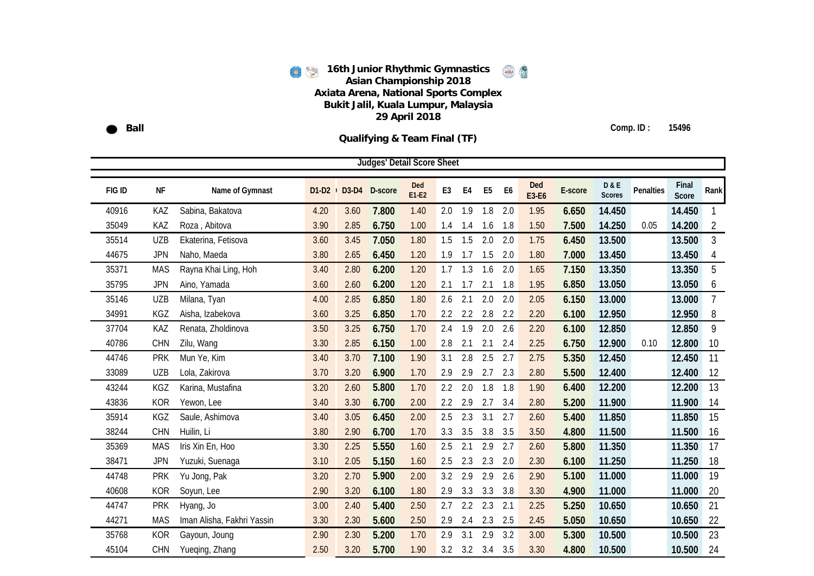**Ball** 

**Comp. ID : 15496**

**Qualifying & Team Final (TF)**

|        |            |                            |      |             | <b>Judges' Detail Score Sheet</b> |                |                |                 |                |                |                     |         |                                 |           |                |                |
|--------|------------|----------------------------|------|-------------|-----------------------------------|----------------|----------------|-----------------|----------------|----------------|---------------------|---------|---------------------------------|-----------|----------------|----------------|
| FIG ID | NF         | Name of Gymnast            |      | D1-D2 D3-D4 | D-score                           | Ded<br>$E1-E2$ | E <sub>3</sub> | E <sub>4</sub>  | E <sub>5</sub> | E <sub>6</sub> | <b>Ded</b><br>E3-E6 | E-score | <b>D&amp;E</b><br><b>Scores</b> | Penalties | Final<br>Score | Rank           |
| 40916  | KAZ        | Sabina, Bakatova           | 4.20 | 3.60        | 7.800                             | 1.40           | 2.0            | 1.9             | 1.8            | 2.0            | 1.95                | 6.650   | 14.450                          |           | 14.450         | 1              |
| 35049  | KAZ        | Roza, Abitova              | 3.90 | 2.85        | 6.750                             | 1.00           | 1.4            | 1.4             | 1.6            | 1.8            | 1.50                | 7.500   | 14.250                          | 0.05      | 14.200         | 2              |
| 35514  | <b>UZB</b> | Ekaterina, Fetisova        | 3.60 | 3.45        | 7.050                             | 1.80           | 1.5            | 1.5             | 2.0            | 2.0            | 1.75                | 6.450   | 13.500                          |           | 13.500         | $\mathfrak{Z}$ |
| 44675  | <b>JPN</b> | Naho, Maeda                | 3.80 | 2.65        | 6.450                             | 1.20           | 1.9            | 1.7             | 1.5            | 2.0            | 1.80                | 7.000   | 13.450                          |           | 13.450         | 4              |
| 35371  | <b>MAS</b> | Rayna Khai Ling, Hoh       | 3.40 | 2.80        | 6.200                             | 1.20           | 1.7            | 1.3             | 1.6            | 2.0            | 1.65                | 7.150   | 13.350                          |           | 13.350         | 5              |
| 35795  | <b>JPN</b> | Aino, Yamada               | 3.60 | 2.60        | 6.200                             | 1.20           | 2.1            | 1.7             | 2.1            | 1.8            | 1.95                | 6.850   | 13.050                          |           | 13.050         | 6              |
| 35146  | <b>UZB</b> | Milana, Tyan               | 4.00 | 2.85        | 6.850                             | 1.80           | 2.6            | 2.1             | 2.0            | 2.0            | 2.05                | 6.150   | 13.000                          |           | 13.000         | $\overline{7}$ |
| 34991  | KGZ        | Aisha, Izabekova           | 3.60 | 3.25        | 6.850                             | 1.70           | 2.2            | 2.2             | 2.8            | 2.2            | 2.20                | 6.100   | 12.950                          |           | 12.950         | 8              |
| 37704  | KAZ        | Renata, Zholdinova         | 3.50 | 3.25        | 6.750                             | 1.70           | 2.4            | 1.9             | 2.0            | 2.6            | 2.20                | 6.100   | 12.850                          |           | 12.850         | 9              |
| 40786  | <b>CHN</b> | Zilu, Wang                 | 3.30 | 2.85        | 6.150                             | 1.00           | 2.8            | 2.1             | 2.1            | 2.4            | 2.25                | 6.750   | 12.900                          | 0.10      | 12.800         | 10             |
| 44746  | <b>PRK</b> | Mun Ye, Kim                | 3.40 | 3.70        | 7.100                             | 1.90           | 3.1            | 2.8             | 2.5            | 2.7            | 2.75                | 5.350   | 12.450                          |           | 12.450         | 11             |
| 33089  | <b>UZB</b> | Lola, Zakirova             | 3.70 | 3.20        | 6.900                             | 1.70           | 2.9            | 2.9             | 2.7            | 2.3            | 2.80                | 5.500   | 12.400                          |           | 12.400         | 12             |
| 43244  | <b>KGZ</b> | Karina, Mustafina          | 3.20 | 2.60        | 5.800                             | 1.70           | 2.2            | 2.0             | 1.8            | 1.8            | 1.90                | 6.400   | 12.200                          |           | 12.200         | 13             |
| 43836  | <b>KOR</b> | Yewon, Lee                 | 3.40 | 3.30        | 6.700                             | 2.00           | 2.2            | 2.9             | 2.7            | 3.4            | 2.80                | 5.200   | 11.900                          |           | 11.900         | 14             |
| 35914  | KGZ        | Saule, Ashimova            | 3.40 | 3.05        | 6.450                             | 2.00           | 2.5            | 2.3             | 3.1            | 2.7            | 2.60                | 5.400   | 11.850                          |           | 11.850         | 15             |
| 38244  | CHN        | Huilin, Li                 | 3.80 | 2.90        | 6.700                             | 1.70           | 3.3            | 3.5             | 3.8            | 3.5            | 3.50                | 4.800   | 11.500                          |           | 11.500         | 16             |
| 35369  | <b>MAS</b> | Iris Xin En, Hoo           | 3.30 | 2.25        | 5.550                             | 1.60           | 2.5            | 2.1             | 2.9            | 2.7            | 2.60                | 5.800   | 11.350                          |           | 11.350         | 17             |
| 38471  | <b>JPN</b> | Yuzuki, Suenaga            | 3.10 | 2.05        | 5.150                             | 1.60           | 2.5            | 2.3             | 2.3            | 2.0            | 2.30                | 6.100   | 11.250                          |           | 11.250         | 18             |
| 44748  | <b>PRK</b> | Yu Jong, Pak               | 3.20 | 2.70        | 5.900                             | 2.00           | 3.2            | 2.9             | 2.9            | 2.6            | 2.90                | 5.100   | 11.000                          |           | 11.000         | 19             |
| 40608  | <b>KOR</b> | Soyun, Lee                 | 2.90 | 3.20        | 6.100                             | 1.80           | 2.9            | 3.3             | 3.3            | 3.8            | 3.30                | 4.900   | 11.000                          |           | 11.000         | 20             |
| 44747  | <b>PRK</b> | Hyang, Jo                  | 3.00 | 2.40        | 5.400                             | 2.50           | 2.7            | 2.2             | 2.3            | 2.1            | 2.25                | 5.250   | 10.650                          |           | 10.650         | 21             |
| 44271  | <b>MAS</b> | Iman Alisha, Fakhri Yassin | 3.30 | 2.30        | 5.600                             | 2.50           | 2.9            | 2.4             | 2.3            | 2.5            | 2.45                | 5.050   | 10.650                          |           | 10.650         | 22             |
| 35768  | <b>KOR</b> | Gayoun, Joung              | 2.90 | 2.30        | 5.200                             | 1.70           | 2.9            | 3.1             | 2.9            | 3.2            | 3.00                | 5.300   | 10.500                          |           | 10.500         | 23             |
| 45104  | <b>CHN</b> | Yueqing, Zhang             | 2.50 | 3.20        | 5.700                             | 1.90           |                | $3.2 \quad 3.2$ | 3.4            | 3.5            | 3.30                | 4.800   | 10.500                          |           | 10.500         | 24             |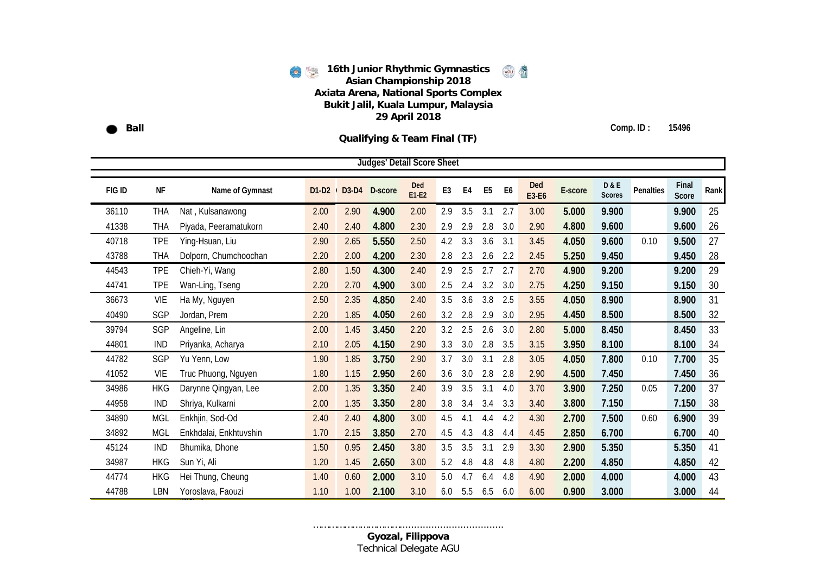**Ball** 

**Comp. ID : 15496**

**Qualifying & Team Final (TF)**

|        |            |                        |      |                 | <b>Judges' Detail Score Sheet</b> |                |     |     |                |                |                     |         |                                 |                  |                |      |
|--------|------------|------------------------|------|-----------------|-----------------------------------|----------------|-----|-----|----------------|----------------|---------------------|---------|---------------------------------|------------------|----------------|------|
| FIG ID | <b>NF</b>  | Name of Gymnast        |      | $D1-D2$ $D3-D4$ | D-score                           | Ded<br>$E1-E2$ | E3  | E4  | E <sub>5</sub> | E <sub>6</sub> | <b>Ded</b><br>E3-E6 | E-score | <b>D&amp;E</b><br><b>Scores</b> | <b>Penalties</b> | Final<br>Score | Rank |
| 36110  | THA        | Nat, Kulsanawong       | 2.00 | 2.90            | 4.900                             | 2.00           | 2.9 | 3.5 | 3.1            | 2.7            | 3.00                | 5.000   | 9.900                           |                  | 9.900          | 25   |
| 41338  | <b>THA</b> | Piyada, Peeramatukorn  | 2.40 | 2.40            | 4.800                             | 2.30           | 2.9 | 2.9 | 2.8            | 3.0            | 2.90                | 4.800   | 9.600                           |                  | 9.600          | 26   |
| 40718  | <b>TPE</b> | Ying-Hsuan, Liu        | 2.90 | 2.65            | 5.550                             | 2.50           | 4.2 | 3.3 | 3.6            | 3.1            | 3.45                | 4.050   | 9.600                           | 0.10             | 9.500          | 27   |
| 43788  | <b>THA</b> | Dolporn, Chumchoochan  | 2.20 | 2.00            | 4.200                             | 2.30           | 2.8 | 2.3 | 2.6            | 2.2            | 2.45                | 5.250   | 9.450                           |                  | 9.450          | 28   |
| 44543  | <b>TPE</b> | Chieh-Yi, Wang         | 2.80 | 1.50            | 4.300                             | 2.40           | 2.9 | 2.5 | 2.7            | 2.7            | 2.70                | 4.900   | 9.200                           |                  | 9.200          | 29   |
| 44741  | <b>TPE</b> | Wan-Ling, Tseng        | 2.20 | 2.70            | 4.900                             | 3.00           | 2.5 | 2.4 | 3.2            | 3.0            | 2.75                | 4.250   | 9.150                           |                  | 9.150          | 30   |
| 36673  | <b>VIE</b> | Ha My, Nguyen          | 2.50 | 2.35            | 4.850                             | 2.40           | 3.5 | 3.6 | 3.8            | 2.5            | 3.55                | 4.050   | 8.900                           |                  | 8.900          | 31   |
| 40490  | SGP        | Jordan, Prem           | 2.20 | 1.85            | 4.050                             | 2.60           | 3.2 | 2.8 | 2.9            | 3.0            | 2.95                | 4.450   | 8.500                           |                  | 8.500          | 32   |
| 39794  | SGP        | Angeline, Lin          | 2.00 | 1.45            | 3.450                             | 2.20           | 3.2 | 2.5 | 2.6            | 3.0            | 2.80                | 5.000   | 8.450                           |                  | 8.450          | 33   |
| 44801  | <b>IND</b> | Priyanka, Acharya      | 2.10 | 2.05            | 4.150                             | 2.90           | 3.3 | 3.0 | 2.8            | 3.5            | 3.15                | 3.950   | 8.100                           |                  | 8.100          | 34   |
| 44782  | SGP        | Yu Yenn, Low           | 1.90 | 1.85            | 3.750                             | 2.90           | 3.7 | 3.0 | 3.1            | 2.8            | 3.05                | 4.050   | 7.800                           | 0.10             | 7.700          | 35   |
| 41052  | VIE        | Truc Phuong, Nguyen    | 1.80 | 1.15            | 2.950                             | 2.60           | 3.6 | 3.0 | 2.8            | 2.8            | 2.90                | 4.500   | 7.450                           |                  | 7.450          | 36   |
| 34986  | <b>HKG</b> | Darynne Qingyan, Lee   | 2.00 | 1.35            | 3.350                             | 2.40           | 3.9 | 3.5 | 3.1            | 4.0            | 3.70                | 3.900   | 7.250                           | 0.05             | 7.200          | 37   |
| 44958  | <b>IND</b> | Shriya, Kulkarni       | 2.00 | 1.35            | 3.350                             | 2.80           | 3.8 | 3.4 | 3.4            | 3.3            | 3.40                | 3.800   | 7.150                           |                  | 7.150          | 38   |
| 34890  | <b>MGL</b> | Enkhjin, Sod-Od        | 2.40 | 2.40            | 4.800                             | 3.00           | 4.5 | 4.1 | 4.4            | 4.2            | 4.30                | 2.700   | 7.500                           | 0.60             | 6.900          | 39   |
| 34892  | <b>MGL</b> | Enkhdalai, Enkhtuvshin | 1.70 | 2.15            | 3.850                             | 2.70           | 4.5 | 4.3 | 4.8            | 4.4            | 4.45                | 2.850   | 6.700                           |                  | 6.700          | 40   |
| 45124  | <b>IND</b> | Bhumika, Dhone         | 1.50 | 0.95            | 2.450                             | 3.80           | 3.5 | 3.5 | 3.1            | 2.9            | 3.30                | 2.900   | 5.350                           |                  | 5.350          | 41   |
| 34987  | <b>HKG</b> | Sun Yi, Ali            | 1.20 | 1.45            | 2.650                             | 3.00           | 5.2 | 4.8 | 4.8            | 4.8            | 4.80                | 2.200   | 4.850                           |                  | 4.850          | 42   |
| 44774  | <b>HKG</b> | Hei Thung, Cheung      | 1.40 | 0.60            | 2.000                             | 3.10           | 5.0 | 4.7 | 6.4            | 4.8            | 4.90                | 2.000   | 4.000                           |                  | 4.000          | 43   |
| 44788  | <b>LBN</b> | Yoroslava, Faouzi      | 1.10 | 1.00            | 2.100                             | 3.10           | 6.0 | 5.5 | 6.5            | 6.0            | 6.00                | 0.900   | 3.000                           |                  | 3.000          | 44   |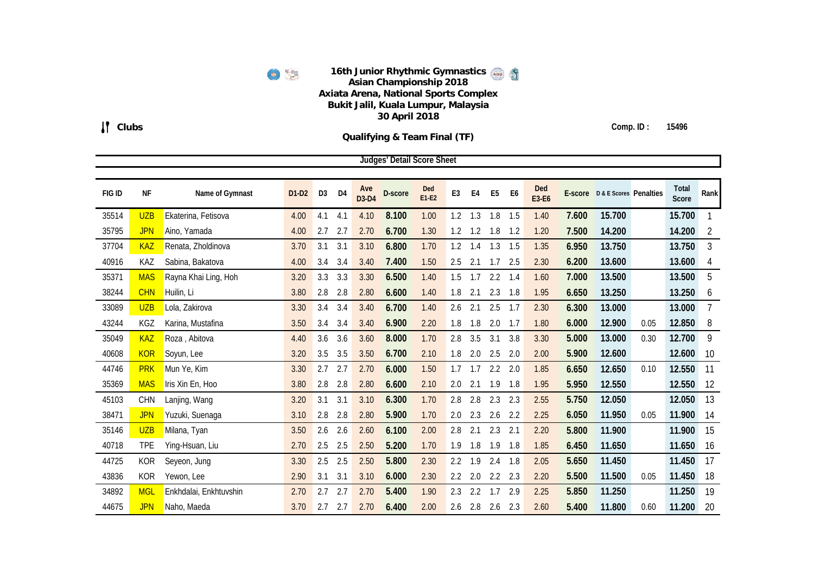6

**Clubs**

**Comp. ID : 15496**

**Qualifying & Team Final (TF)**

|        |            |                        |         |                |     |                     | <b>Judges' Detail Score Sheet</b> |                |                |                |                |     |              |       |                                |      |                       |                |
|--------|------------|------------------------|---------|----------------|-----|---------------------|-----------------------------------|----------------|----------------|----------------|----------------|-----|--------------|-------|--------------------------------|------|-----------------------|----------------|
|        |            |                        |         |                |     |                     |                                   |                |                |                |                |     |              |       |                                |      |                       |                |
| FIG ID | <b>NF</b>  | Name of Gymnast        | $D1-D2$ | D <sub>3</sub> | D4  | Ave<br><b>D3-D4</b> | D-score                           | Ded<br>$E1-E2$ | E <sub>3</sub> | E <sub>4</sub> | E <sub>5</sub> | E6  | Ded<br>E3-E6 |       | E-score D & E Scores Penalties |      | <b>Total</b><br>Score | Rank           |
| 35514  | <b>UZB</b> | Ekaterina, Fetisova    | 4.00    | 4.1            | 4.1 | 4.10                | 8.100                             | 1.00           | 1.2            | 1.3            | 1.8            | 1.5 | 1.40         | 7.600 | 15.700                         |      | 15.700                |                |
| 35795  | <b>JPN</b> | Aino, Yamada           | 4.00    | 2.7            | 2.7 | 2.70                | 6.700                             | 1.30           | 1.2            | 1.2            | 1.8            | 1.2 | 1.20         | 7.500 | 14.200                         |      | 14.200                | $\overline{2}$ |
| 37704  | <b>KAZ</b> | Renata, Zholdinova     | 3.70    | 3.1            | 3.1 | 3.10                | 6.800                             | 1.70           | 1.2            | 1.4            | 1.3            | 1.5 | 1.35         | 6.950 | 13.750                         |      | 13.750                | 3              |
| 40916  | KAZ        | Sabina, Bakatova       | 4.00    | 3.4            | 3.4 | 3.40                | 7.400                             | 1.50           | 2.5            | 2.1            | 1.7            | 2.5 | 2.30         | 6.200 | 13.600                         |      | 13.600                | 4              |
| 35371  | <b>MAS</b> | Rayna Khai Ling, Hoh   | 3.20    | 3.3            | 3.3 | 3.30                | 6.500                             | 1.40           | 1.5            | 1.7            | 2.2            | 1.4 | 1.60         | 7.000 | 13.500                         |      | 13.500                | 5              |
| 38244  | <b>CHN</b> | Huilin, Li             | 3.80    | 2.8            | 2.8 | 2.80                | 6.600                             | 1.40           | 1.8            | 2.1            | 2.3            | 1.8 | 1.95         | 6.650 | 13.250                         |      | 13.250                | 6              |
| 33089  | <b>UZB</b> | Lola, Zakirova         | 3.30    | 3.4            | 3.4 | 3.40                | 6.700                             | 1.40           | 2.6            | 2.1            | 2.5            | 1.7 | 2.30         | 6.300 | 13.000                         |      | 13.000                | $\overline{7}$ |
| 43244  | KGZ        | Karina, Mustafina      | 3.50    | 3.4            | 3.4 | 3.40                | 6.900                             | 2.20           | 1.8            | 1.8            | 2.0            | 1.7 | 1.80         | 6.000 | 12.900                         | 0.05 | 12.850                | 8              |
| 35049  | <b>KAZ</b> | Roza, Abitova          | 4.40    | 3.6            | 3.6 | 3.60                | 8.000                             | 1.70           | 2.8            | 3.5            | 3.1            | 3.8 | 3.30         | 5.000 | 13.000                         | 0.30 | 12.700                | 9              |
| 40608  | <b>KOR</b> | Soyun, Lee             | 3.20    | 3.5            | 3.5 | 3.50                | 6.700                             | 2.10           | 1.8            | 2.0            | 2.5            | 2.0 | 2.00         | 5.900 | 12.600                         |      | 12.600                | 10             |
| 44746  | <b>PRK</b> | Mun Ye, Kim            | 3.30    | 2.7            | 2.7 | 2.70                | 6.000                             | 1.50           | 1.7            | 1.7            | 2.2            | 2.0 | 1.85         | 6.650 | 12.650                         | 0.10 | 12.550                | 11             |
| 35369  | <b>MAS</b> | Iris Xin En, Hoo       | 3.80    | 2.8            | 2.8 | 2.80                | 6.600                             | 2.10           | 2.0            | 2.1            | 1.9            | 1.8 | 1.95         | 5.950 | 12.550                         |      | 12.550                | 12             |
| 45103  | <b>CHN</b> | Lanjing, Wang          | 3.20    | 3.1            | 3.1 | 3.10                | 6.300                             | 1.70           | 2.8            | 2.8            | 2.3            | 2.3 | 2.55         | 5.750 | 12.050                         |      | 12.050                | 13             |
| 38471  | <b>JPN</b> | Yuzuki, Suenaga        | 3.10    | 2.8            | 2.8 | 2.80                | 5.900                             | 1.70           | 2.0            | 2.3            | 2.6            | 2.2 | 2.25         | 6.050 | 11.950                         | 0.05 | 11.900                | 14             |
| 35146  | <b>UZB</b> | Milana, Tyan           | 3.50    | 2.6            | 2.6 | 2.60                | 6.100                             | 2.00           | 2.8            | 2.1            | 2.3            | 2.1 | 2.20         | 5.800 | 11.900                         |      | 11.900                | 15             |
| 40718  | <b>TPE</b> | Ying-Hsuan, Liu        | 2.70    | 2.5            | 2.5 | 2.50                | 5.200                             | 1.70           | 1.9            | 1.8            | 1.9            | 1.8 | 1.85         | 6.450 | 11.650                         |      | 11.650                | 16             |
| 44725  | <b>KOR</b> | Seyeon, Jung           | 3.30    | 2.5            | 2.5 | 2.50                | 5.800                             | 2.30           | 2.2            | 1.9            | 2.4            | 1.8 | 2.05         | 5.650 | 11.450                         |      | 11.450                | 17             |
| 43836  | <b>KOR</b> | Yewon, Lee             | 2.90    | 3.1            | 3.1 | 3.10                | 6.000                             | 2.30           | 2.2            | 2.0            | 2.2            | 2.3 | 2.20         | 5.500 | 11.500                         | 0.05 | 11.450                | 18             |
| 34892  | <b>MGL</b> | Enkhdalai, Enkhtuvshin | 2.70    | 2.7            | 2.7 | 2.70                | 5.400                             | 1.90           | 2.3            | 2.2            | 1.7            | 2.9 | 2.25         | 5.850 | 11.250                         |      | 11.250                | 19             |
| 44675  | <b>JPN</b> | Naho, Maeda            | 3.70    | 2.7            | 2.7 | 2.70                | 6.400                             | 2.00           | 2.6            | 2.8            | 2.6            | 2.3 | 2.60         | 5.400 | 11.800                         | 0.60 | 11.200                | 20             |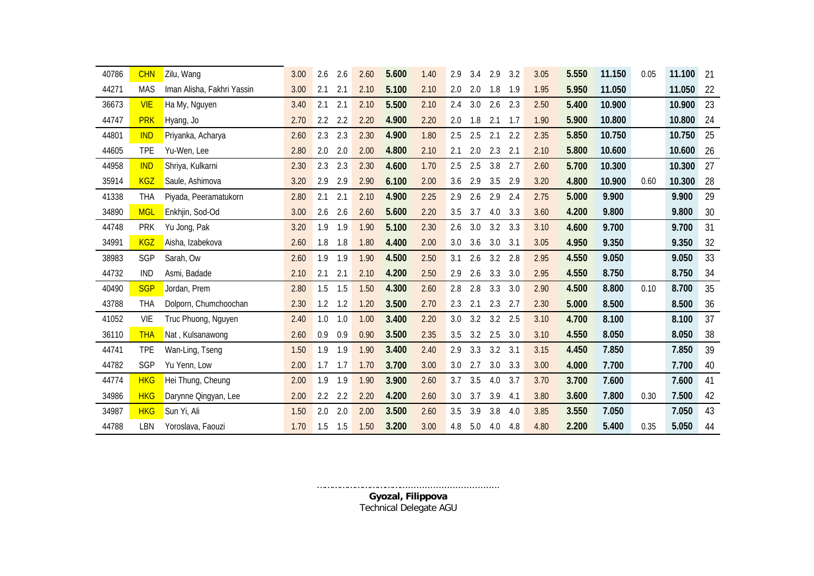| 40786 | <b>CHN</b> | Zilu, Wang                 | 3.00 | 2.6 | 2.6 | 2.60 | 5.600 | 1.40 | 2.9<br>3.4 |     | 2.9<br>3.2 | 3.05 | 5.550 | 11.150 | 0.05 | 11.100 | 21     |
|-------|------------|----------------------------|------|-----|-----|------|-------|------|------------|-----|------------|------|-------|--------|------|--------|--------|
| 44271 | <b>MAS</b> | Iman Alisha, Fakhri Yassin | 3.00 | 2.1 | 2.1 | 2.10 | 5.100 | 2.10 | 2.0<br>2.0 |     | 1.8<br>1.9 | 1.95 | 5.950 | 11.050 |      | 11.050 | 22     |
| 36673 | <b>VIE</b> | Ha My, Nguyen              | 3.40 | 2.1 | 2.1 | 2.10 | 5.500 | 2.10 | 3.0<br>2.4 |     | 2.6<br>2.3 | 2.50 | 5.400 | 10.900 |      | 10.900 | 23     |
| 44747 | <b>PRK</b> | Hyang, Jo                  | 2.70 | 2.2 | 2.2 | 2.20 | 4.900 | 2.20 | 1.8<br>2.0 |     | 2.1<br>1.7 | 1.90 | 5.900 | 10.800 |      | 10.800 | 24     |
| 44801 | <b>IND</b> | Priyanka, Acharya          | 2.60 | 2.3 | 2.3 | 2.30 | 4.900 | 1.80 | 2.5<br>2.5 | 2.1 | 2.2        | 2.35 | 5.850 | 10.750 |      | 10.750 | 25     |
| 44605 | <b>TPE</b> | Yu-Wen, Lee                | 2.80 | 2.0 | 2.0 | 2.00 | 4.800 | 2.10 | 2.1<br>2.0 |     | 2.3<br>2.1 | 2.10 | 5.800 | 10.600 |      | 10.600 | 26     |
| 44958 | <b>IND</b> | Shriya, Kulkarni           | 2.30 | 2.3 | 2.3 | 2.30 | 4.600 | 1.70 | 2.5<br>2.5 |     | 3.8<br>2.7 | 2.60 | 5.700 | 10.300 |      | 10.300 | 27     |
| 35914 | <b>KGZ</b> | Saule, Ashimova            | 3.20 | 2.9 | 2.9 | 2.90 | 6.100 | 2.00 | 2.9<br>3.6 |     | 3.5<br>2.9 | 3.20 | 4.800 | 10.900 | 0.60 | 10.300 | 28     |
| 41338 | THA        | Piyada, Peeramatukorn      | 2.80 | 2.1 | 2.1 | 2.10 | 4.900 | 2.25 | 2.9<br>2.6 |     | 2.9<br>2.4 | 2.75 | 5.000 | 9.900  |      | 9.900  | 29     |
| 34890 | <b>MGL</b> | Enkhjin, Sod-Od            | 3.00 | 2.6 | 2.6 | 2.60 | 5.600 | 2.20 | 3.7<br>3.5 |     | 4.0<br>3.3 | 3.60 | 4.200 | 9.800  |      | 9.800  | $30\,$ |
| 44748 | <b>PRK</b> | Yu Jong, Pak               | 3.20 | 1.9 | 1.9 | 1.90 | 5.100 | 2.30 | 3.0<br>2.6 |     | 3.2<br>3.3 | 3.10 | 4.600 | 9.700  |      | 9.700  | 31     |
| 34991 | <b>KGZ</b> | Aisha, Izabekova           | 2.60 | 1.8 | 1.8 | 1.80 | 4.400 | 2.00 | 3.0<br>3.6 |     | 3.0<br>3.1 | 3.05 | 4.950 | 9.350  |      | 9.350  | 32     |
| 38983 | SGP        | Sarah, Ow                  | 2.60 | 1.9 | 1.9 | 1.90 | 4.500 | 2.50 | 3.1<br>2.6 |     | 3.2<br>2.8 | 2.95 | 4.550 | 9.050  |      | 9.050  | 33     |
| 44732 | <b>IND</b> | Asmi, Badade               | 2.10 | 2.1 | 2.1 | 2.10 | 4.200 | 2.50 | 2.9<br>2.6 |     | 3.3<br>3.0 | 2.95 | 4.550 | 8.750  |      | 8.750  | 34     |
| 40490 | <b>SGP</b> | Jordan, Prem               | 2.80 | 1.5 | 1.5 | 1.50 | 4.300 | 2.60 | 2.8<br>2.8 |     | 3.3<br>3.0 | 2.90 | 4.500 | 8.800  | 0.10 | 8.700  | 35     |
| 43788 | THA        | Dolporn, Chumchoochan      | 2.30 | 1.2 | 1.2 | 1.20 | 3.500 | 2.70 | 2.3<br>2.1 |     | 2.3<br>2.7 | 2.30 | 5.000 | 8.500  |      | 8.500  | 36     |
| 41052 | <b>VIE</b> | Truc Phuong, Nguyen        | 2.40 | 1.0 | 1.0 | 1.00 | 3.400 | 2.20 | 3.2<br>3.0 |     | 3.2<br>2.5 | 3.10 | 4.700 | 8.100  |      | 8.100  | 37     |
| 36110 | <b>THA</b> | Nat, Kulsanawong           | 2.60 | 0.9 | 0.9 | 0.90 | 3.500 | 2.35 | 3.2<br>3.5 |     | 2.5<br>3.0 | 3.10 | 4.550 | 8.050  |      | 8.050  | 38     |
| 44741 | <b>TPE</b> | Wan-Ling, Tseng            | 1.50 | 1.9 | 1.9 | 1.90 | 3.400 | 2.40 | 3.3<br>2.9 |     | 3.2<br>3.1 | 3.15 | 4.450 | 7.850  |      | 7.850  | 39     |
| 44782 | SGP        | Yu Yenn, Low               | 2.00 | 1.7 | 1.7 | 1.70 | 3.700 | 3.00 | 3.0<br>2.7 |     | 3.0<br>3.3 | 3.00 | 4.000 | 7.700  |      | 7.700  | 40     |
| 44774 | <b>HKG</b> | Hei Thung, Cheung          | 2.00 | 1.9 | 1.9 | 1.90 | 3.900 | 2.60 | 3.7<br>3.5 |     | 4.0<br>3.7 | 3.70 | 3.700 | 7.600  |      | 7.600  | 41     |
| 34986 | <b>HKG</b> | Darynne Qingyan, Lee       | 2.00 | 2.2 | 2.2 | 2.20 | 4.200 | 2.60 | 3.0<br>3.7 |     | 3.9<br>4.1 | 3.80 | 3.600 | 7.800  | 0.30 | 7.500  | 42     |
| 34987 | <b>HKG</b> | Sun Yi, Ali                | 1.50 | 2.0 | 2.0 | 2.00 | 3.500 | 2.60 | 3.9<br>3.5 |     | 3.8<br>4.0 | 3.85 | 3.550 | 7.050  |      | 7.050  | 43     |
| 44788 | LBN        | Yoroslava, Faouzi          | 1.70 | 1.5 | 1.5 | 1.50 | 3.200 | 3.00 | 4.8<br>5.0 |     | 4.0<br>4.8 | 4.80 | 2.200 | 5.400  | 0.35 | 5.050  | 44     |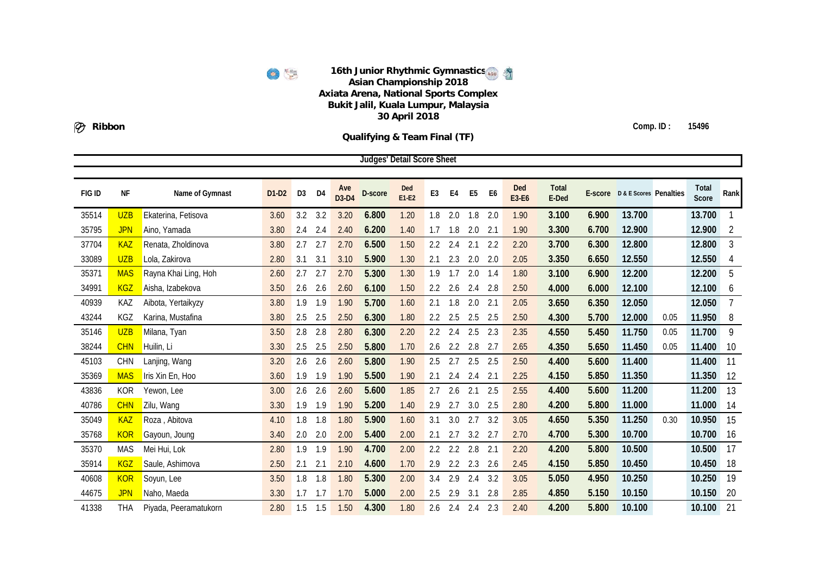6

**Qualifying & Team Final (TF)**

**Ribbon**

**Comp. ID : 15496**

|        |            |                       |         |                |     |              | <b>Judges' Detail Score Sheet</b> |              |                |     |                |                |              |                       |       |                                |      |                |                |
|--------|------------|-----------------------|---------|----------------|-----|--------------|-----------------------------------|--------------|----------------|-----|----------------|----------------|--------------|-----------------------|-------|--------------------------------|------|----------------|----------------|
|        |            |                       |         |                |     |              |                                   |              |                |     |                |                |              |                       |       |                                |      |                |                |
| FIG ID | NF         | Name of Gymnast       | $D1-D2$ | D <sub>3</sub> | D4  | Ave<br>D3-D4 | D-score                           | Ded<br>E1-E2 | E <sub>3</sub> | E4  | E <sub>5</sub> | E <sub>6</sub> | Ded<br>E3-E6 | <b>Total</b><br>E-Ded |       | E-score D & E Scores Penalties |      | Total<br>Score | Rank           |
| 35514  | <b>UZB</b> | Ekaterina, Fetisova   | 3.60    | 3.2            | 3.2 | 3.20         | 6.800                             | 1.20         | 1.8            | 2.0 | 1.8            | 2.0            | 1.90         | 3.100                 | 6.900 | 13.700                         |      | 13.700         | $\mathbf{1}$   |
| 35795  | <b>JPN</b> | Aino, Yamada          | 3.80    | 2.4            | 2.4 | 2.40         | 6.200                             | 1.40         | 1.7            | 1.8 | 2.0            | 2.1            | 1.90         | 3.300                 | 6.700 | 12.900                         |      | 12.900         | $\overline{2}$ |
| 37704  | <b>KAZ</b> | Renata, Zholdinova    | 3.80    | 2.7            | 2.7 | 2.70         | 6.500                             | 1.50         | 2.2            | 2.4 | 2.1            | 2.2            | 2.20         | 3.700                 | 6.300 | 12.800                         |      | 12.800         | $\overline{3}$ |
| 33089  | <b>UZB</b> | Lola, Zakirova        | 2.80    | 3.1            | 3.1 | 3.10         | 5.900                             | 1.30         | 2.1            | 2.3 | 2.0            | 2.0            | 2.05         | 3.350                 | 6.650 | 12.550                         |      | 12.550         | 4              |
| 35371  | <b>MAS</b> | Rayna Khai Ling, Hoh  | 2.60    | 2.7            | 2.7 | 2.70         | 5.300                             | 1.30         | 1.9            | 1.7 | 2.0            | 1.4            | 1.80         | 3.100                 | 6.900 | 12.200                         |      | 12.200         | 5              |
| 34991  | <b>KGZ</b> | Aisha, Izabekova      | 3.50    | 2.6            | 2.6 | 2.60         | 6.100                             | 1.50         | 2.2            | 2.6 | 2.4            | 2.8            | 2.50         | 4.000                 | 6.000 | 12.100                         |      | 12.100         | 6              |
| 40939  | KAZ        | Aibota, Yertaikyzy    | 3.80    | 1.9            | 1.9 | 1.90         | 5.700                             | 1.60         | 2.1            | 1.8 | 2.0            | 2.1            | 2.05         | 3.650                 | 6.350 | 12.050                         |      | 12.050         | $\overline{7}$ |
| 43244  | <b>KGZ</b> | Karina, Mustafina     | 3.80    | 2.5            | 2.5 | 2.50         | 6.300                             | 1.80         | 2.2            | 2.5 | 2.5            | 2.5            | 2.50         | 4.300                 | 5.700 | 12.000                         | 0.05 | 11.950         | 8              |
| 35146  | <b>UZB</b> | Milana, Tyan          | 3.50    | 2.8            | 2.8 | 2.80         | 6.300                             | 2.20         | 2.2            | 2.4 | 2.5            | 2.3            | 2.35         | 4.550                 | 5.450 | 11.750                         | 0.05 | 11.700         | 9              |
| 38244  | <b>CHN</b> | Huilin, Li            | 3.30    | 2.5            | 2.5 | 2.50         | 5.800                             | 1.70         | 2.6            | 2.2 | 2.8            | 2.7            | 2.65         | 4.350                 | 5.650 | 11.450                         | 0.05 | 11.400         | 10             |
| 45103  | <b>CHN</b> | Lanjing, Wang         | 3.20    | 2.6            | 2.6 | 2.60         | 5.800                             | 1.90         | 2.5            | 2.7 | 2.5            | 2.5            | 2.50         | 4.400                 | 5.600 | 11.400                         |      | 11.400         | 11             |
| 35369  | <b>MAS</b> | Iris Xin En, Hoo      | 3.60    | 1.9            | 1.9 | 1.90         | 5.500                             | 1.90         | 2.1            | 2.4 | 2.4            | 2.1            | 2.25         | 4.150                 | 5.850 | 11.350                         |      | 11.350         | 12             |
| 43836  | <b>KOR</b> | Yewon, Lee            | 3.00    | 2.6            | 2.6 | 2.60         | 5.600                             | 1.85         | 2.7            | 2.6 | 2.1            | 2.5            | 2.55         | 4.400                 | 5.600 | 11.200                         |      | 11.200         | 13             |
| 40786  | <b>CHN</b> | Zilu, Wang            | 3.30    | 1.9            | 1.9 | 1.90         | 5.200                             | 1.40         | 2.9            | 2.7 | 3.0            | 2.5            | 2.80         | 4.200                 | 5.800 | 11.000                         |      | 11.000         | 14             |
| 35049  | <b>KAZ</b> | Roza, Abitova         | 4.10    | 1.8            | 1.8 | 1.80         | 5.900                             | 1.60         | 3.1            | 3.0 | 2.7            | 3.2            | 3.05         | 4.650                 | 5.350 | 11.250                         | 0.30 | 10.950         | 15             |
| 35768  | <b>KOR</b> | Gayoun, Joung         | 3.40    | 2.0            | 2.0 | 2.00         | 5.400                             | 2.00         | 2.1            | 2.7 | 3.2            | 2.7            | 2.70         | 4.700                 | 5.300 | 10.700                         |      | 10.700         | 16             |
| 35370  | <b>MAS</b> | Mei Hui, Lok          | 2.80    | 1.9            | 1.9 | 1.90         | 4.700                             | 2.00         | 2.2            | 2.2 | 2.8            | 2.1            | 2.20         | 4.200                 | 5.800 | 10.500                         |      | 10.500         | 17             |
| 35914  | <b>KGZ</b> | Saule, Ashimova       | 2.50    | 2.1            | 2.1 | 2.10         | 4.600                             | 1.70         | 2.9            | 2.2 | 2.3            | 2.6            | 2.45         | 4.150                 | 5.850 | 10.450                         |      | 10.450         | 18             |
| 40608  | <b>KOR</b> | Soyun, Lee            | 3.50    | 1.8            | 1.8 | 1.80         | 5.300                             | 2.00         | 3.4            | 2.9 | 2.4            | 3.2            | 3.05         | 5.050                 | 4.950 | 10.250                         |      | 10.250         | 19             |
| 44675  | <b>JPN</b> | Naho, Maeda           | 3.30    | 1.7            | 1.7 | 1.70         | 5.000                             | 2.00         | 2.5            | 2.9 | 3.1            | 2.8            | 2.85         | 4.850                 | 5.150 | 10.150                         |      | 10.150         | 20             |
| 41338  | THA        | Piyada, Peeramatukorn | 2.80    | 1.5            | 1.5 | 1.50         | 4.300                             | 1.80         | 2.6            | 2.4 | 2.4            | 2.3            | 2.40         | 4.200                 | 5.800 | 10.100                         |      | 10.100         | 21             |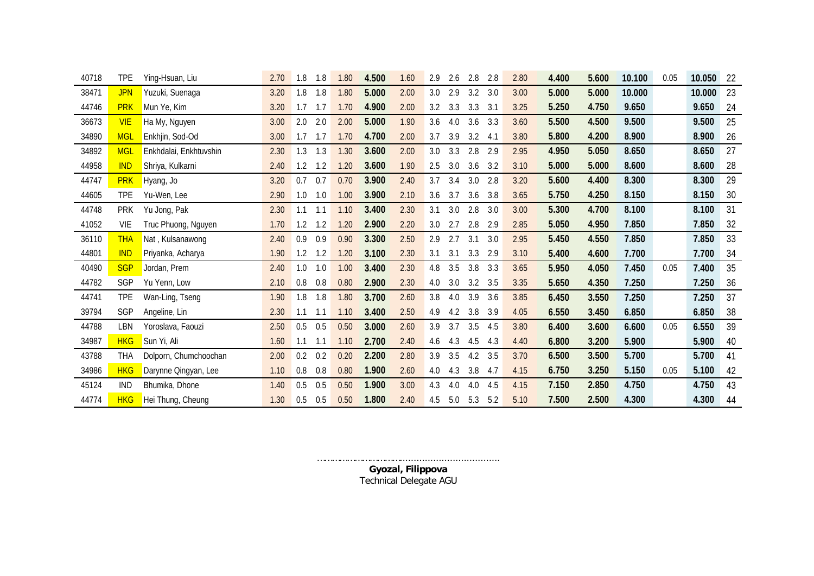| 40718 | <b>TPE</b> | Ying-Hsuan, Liu        | 2.70 | 1.8<br>1.8 | 1.80 | 4.500 | 1.60 | 2.9 | 2.6 | 2.8 | 2.8 | 2.80 | 4.400 | 5.600 | 10.100 | 0.05 | 10.050 | 22 |
|-------|------------|------------------------|------|------------|------|-------|------|-----|-----|-----|-----|------|-------|-------|--------|------|--------|----|
| 38471 | <b>JPN</b> | Yuzuki, Suenaga        | 3.20 | 1.8<br>1.8 | 1.80 | 5.000 | 2.00 | 3.0 | 2.9 | 3.2 | 3.0 | 3.00 | 5.000 | 5.000 | 10.000 |      | 10.000 | 23 |
| 44746 | <b>PRK</b> | Mun Ye, Kim            | 3.20 | 1.7<br>1.7 | 1.70 | 4.900 | 2.00 | 3.2 | 3.3 | 3.3 | 3.1 | 3.25 | 5.250 | 4.750 | 9.650  |      | 9.650  | 24 |
| 36673 | <b>VIE</b> | Ha My, Nguyen          | 3.00 | 2.0<br>2.0 | 2.00 | 5.000 | 1.90 | 3.6 | 4.0 | 3.6 | 3.3 | 3.60 | 5.500 | 4.500 | 9.500  |      | 9.500  | 25 |
| 34890 | <b>MGL</b> | Enkhjin, Sod-Od        | 3.00 | 1.7<br>1.7 | 1.70 | 4.700 | 2.00 | 3.7 | 3.9 | 3.2 | 4.1 | 3.80 | 5.800 | 4.200 | 8.900  |      | 8.900  | 26 |
| 34892 | <b>MGL</b> | Enkhdalai, Enkhtuvshin | 2.30 | 1.3<br>1.3 | 1.30 | 3.600 | 2.00 | 3.0 | 3.3 | 2.8 | 2.9 | 2.95 | 4.950 | 5.050 | 8.650  |      | 8.650  | 27 |
| 44958 | <b>IND</b> | Shriya, Kulkarni       | 2.40 | 1.2<br>1.2 | 1.20 | 3.600 | 1.90 | 2.5 | 3.0 | 3.6 | 3.2 | 3.10 | 5.000 | 5.000 | 8.600  |      | 8.600  | 28 |
| 44747 | <b>PRK</b> | Hyang, Jo              | 3.20 | 0.7<br>0.7 | 0.70 | 3.900 | 2.40 | 3.7 | 3.4 | 3.0 | 2.8 | 3.20 | 5.600 | 4.400 | 8.300  |      | 8.300  | 29 |
| 44605 | <b>TPE</b> | Yu-Wen, Lee            | 2.90 | 1.0<br>1.0 | 1.00 | 3.900 | 2.10 | 3.6 | 3.7 | 3.6 | 3.8 | 3.65 | 5.750 | 4.250 | 8.150  |      | 8.150  | 30 |
| 44748 | <b>PRK</b> | Yu Jong, Pak           | 2.30 | 1.1<br>1.1 | 1.10 | 3.400 | 2.30 | 3.1 | 3.0 | 2.8 | 3.0 | 3.00 | 5.300 | 4.700 | 8.100  |      | 8.100  | 31 |
| 41052 | VIE        | Truc Phuong, Nguyen    | 1.70 | 1.2<br>1.2 | 1.20 | 2.900 | 2.20 | 3.0 | 2.7 | 2.8 | 2.9 | 2.85 | 5.050 | 4.950 | 7.850  |      | 7.850  | 32 |
| 36110 | <b>THA</b> | Nat, Kulsanawong       | 2.40 | 0.9<br>0.9 | 0.90 | 3.300 | 2.50 | 2.9 | 2.7 | 3.1 | 3.0 | 2.95 | 5.450 | 4.550 | 7.850  |      | 7.850  | 33 |
| 44801 | <b>IND</b> | Priyanka, Acharya      | 1.90 | 1.2<br>1.2 | 1.20 | 3.100 | 2.30 | 3.1 | 3.1 | 3.3 | 2.9 | 3.10 | 5.400 | 4.600 | 7.700  |      | 7.700  | 34 |
| 40490 | <b>SGP</b> | Jordan, Prem           | 2.40 | 1.0<br>1.0 | 1.00 | 3.400 | 2.30 | 4.8 | 3.5 | 3.8 | 3.3 | 3.65 | 5.950 | 4.050 | 7.450  | 0.05 | 7.400  | 35 |
| 44782 | SGP        | Yu Yenn, Low           | 2.10 | 0.8<br>0.8 | 0.80 | 2.900 | 2.30 | 4.0 | 3.0 | 3.2 | 3.5 | 3.35 | 5.650 | 4.350 | 7.250  |      | 7.250  | 36 |
| 44741 | <b>TPE</b> | Wan-Ling, Tseng        | 1.90 | 1.8<br>1.8 | 1.80 | 3.700 | 2.60 | 3.8 | 4.0 | 3.9 | 3.6 | 3.85 | 6.450 | 3.550 | 7.250  |      | 7.250  | 37 |
| 39794 | SGP        | Angeline, Lin          | 2.30 | 1.1<br>1.1 | 1.10 | 3.400 | 2.50 | 4.9 | 4.2 | 3.8 | 3.9 | 4.05 | 6.550 | 3.450 | 6.850  |      | 6.850  | 38 |
| 44788 | LBN        | Yoroslava, Faouzi      | 2.50 | 0.5<br>0.5 | 0.50 | 3.000 | 2.60 | 3.9 | 3.7 | 3.5 | 4.5 | 3.80 | 6.400 | 3.600 | 6.600  | 0.05 | 6.550  | 39 |
| 34987 | <b>HKG</b> | Sun Yi, Ali            | 1.60 | 1.1<br>1.1 | 1.10 | 2.700 | 2.40 | 4.6 | 4.3 | 4.5 | 4.3 | 4.40 | 6.800 | 3.200 | 5.900  |      | 5.900  | 40 |
| 43788 | <b>THA</b> | Dolporn, Chumchoochan  | 2.00 | 0.2<br>0.2 | 0.20 | 2.200 | 2.80 | 3.9 | 3.5 | 4.2 | 3.5 | 3.70 | 6.500 | 3.500 | 5.700  |      | 5.700  | 41 |
| 34986 | <b>HKG</b> | Darynne Qingyan, Lee   | 1.10 | 0.8<br>0.8 | 0.80 | 1.900 | 2.60 | 4.0 | 4.3 | 3.8 | 4.7 | 4.15 | 6.750 | 3.250 | 5.150  | 0.05 | 5.100  | 42 |
| 45124 | <b>IND</b> | Bhumika, Dhone         | 1.40 | 0.5<br>0.5 | 0.50 | 1.900 | 3.00 | 4.3 | 4.0 | 4.0 | 4.5 | 4.15 | 7.150 | 2.850 | 4.750  |      | 4.750  | 43 |
| 44774 | <b>HKG</b> | Hei Thung, Cheung      | 1.30 | 0.5<br>0.5 | 0.50 | 1.800 | 2.40 | 4.5 | 5.0 | 5.3 | 5.2 | 5.10 | 7.500 | 2.500 | 4.300  |      | 4.300  | 44 |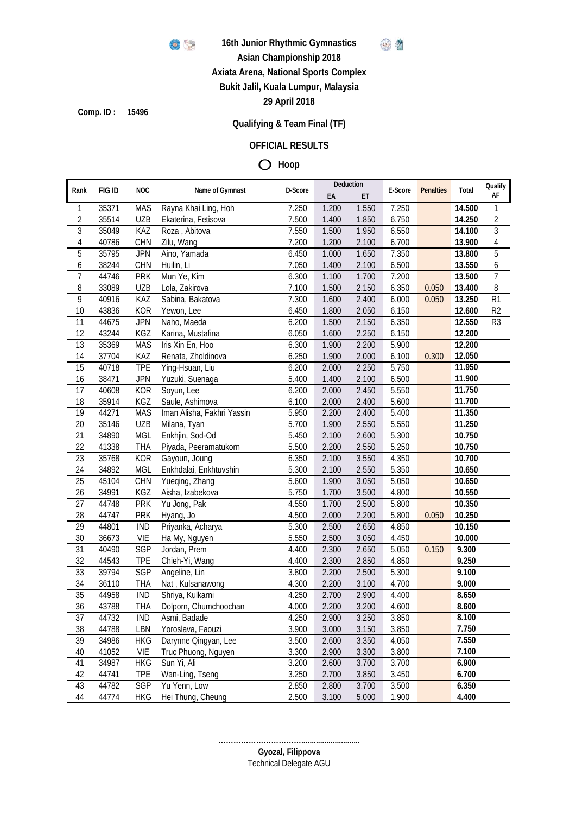

**16th Junior Rhythmic Gymnastics**



**Asian Championship 2018**

**Axiata Arena, National Sports Complex**

**Bukit Jalil, Kuala Lumpur, Malaysia**

**29 April 2018**

**Comp. ID : 15496**

# **Qualifying & Team Final (TF)**

### **OFFICIAL RESULTS**

**Hoop**

| Rank                    | FIG ID | <b>NOC</b> | Name of Gymnast            | D-Score            | Deduction |                    | E-Score | <b>Penalties</b> | Total  | Qualify         |
|-------------------------|--------|------------|----------------------------|--------------------|-----------|--------------------|---------|------------------|--------|-----------------|
|                         |        |            |                            |                    | EA        | ET                 |         |                  |        | AF              |
| 1                       | 35371  | <b>MAS</b> | Rayna Khai Ling, Hoh       | 7.250              | 1.200     | 1.550              | 7.250   |                  | 14.500 | 1               |
| $\overline{\mathbf{c}}$ | 35514  | UZB        | Ekaterina, Fetisova        | 7.500              | 1.400     | 1.850              | 6.750   |                  | 14.250 | 2               |
| $\overline{3}$          | 35049  | KAZ        | Roza, Abitova              | 7.550              | 1.500     | 1.950              | 6.550   |                  | 14.100 | $\overline{3}$  |
| 4                       | 40786  | CHN        | Zilu, Wang                 | 7.200              | 1.200     | 2.100              | 6.700   |                  | 13.900 | 4               |
| $\overline{5}$          | 35795  | <b>JPN</b> | Aino, Yamada               | 6.450              | 1.000     | 1.650              | 7.350   |                  | 13.800 | 5               |
| 6                       | 38244  | CHN        | Huilin, Li                 | 7.050              | 1.400     | 2.100              | 6.500   |                  | 13.550 | 6               |
| $\overline{7}$          | 44746  | <b>PRK</b> | Mun Ye, Kim                | 6.300              | 1.100     | 1.700              | 7.200   |                  | 13.500 | $\overline{7}$  |
| 8                       | 33089  | UZB        | Lola, Zakirova             | 7.100              | 1.500     | 2.150              | 6.350   | 0.050            | 13.400 | 8               |
| $\overline{9}$          | 40916  | KAZ        | Sabina, Bakatova           | 7.300              | 1.600     | 2.400              | 6.000   | 0.050            | 13.250 | $\overline{R1}$ |
| 10                      | 43836  | <b>KOR</b> | Yewon, Lee                 | 6.450              | 1.800     | 2.050              | 6.150   |                  | 12.600 | R <sub>2</sub>  |
| 11                      | 44675  | <b>JPN</b> | Naho, Maeda                | 6.200              | 1.500     | 2.150              | 6.350   |                  | 12.550 | R <sub>3</sub>  |
| 12                      | 43244  | KGZ        | Karina, Mustafina          | 6.050              | 1.600     | 2.250              | 6.150   |                  | 12.200 |                 |
| 13                      | 35369  | <b>MAS</b> | Iris Xin En, Hoo           | 6.300              | 1.900     | 2.200              | 5.900   |                  | 12.200 |                 |
| 14                      | 37704  | KAZ        | Renata, Zholdinova         | 6.250              | 1.900     | 2.000              | 6.100   | 0.300            | 12.050 |                 |
| 15                      | 40718  | <b>TPE</b> | Ying-Hsuan, Liu            | 6.200              | 2.000     | 2.250              | 5.750   |                  | 11.950 |                 |
| 16                      | 38471  | <b>JPN</b> | Yuzuki, Suenaga            | 5.400              | 1.400     | 2.100              | 6.500   |                  | 11.900 |                 |
| 17                      | 40608  | <b>KOR</b> | Soyun, Lee                 | 6.200              | 2.000     | 2.450              | 5.550   |                  | 11.750 |                 |
| 18                      | 35914  | KGZ        | Saule, Ashimova            | 6.100              | 2.000     | 2.400              | 5.600   |                  | 11.700 |                 |
| 19                      | 44271  | <b>MAS</b> | Iman Alisha, Fakhri Yassin | 5.950              | 2.200     | 2.400              | 5.400   |                  | 11.350 |                 |
| 20                      | 35146  | <b>UZB</b> | Milana, Tyan               | 5.700              | 1.900     | 2.550              | 5.550   |                  | 11.250 |                 |
| $\overline{21}$         | 34890  | <b>MGL</b> | Enkhjin, Sod-Od            | 5.450              | 2.100     | 2.600              | 5.300   |                  | 10.750 |                 |
| 22                      | 41338  | <b>THA</b> | Piyada, Peeramatukorn      | 5.500              | 2.200     | 2.550              | 5.250   |                  | 10.750 |                 |
| 23                      | 35768  | <b>KOR</b> | Gayoun, Joung              | 6.350              | 2.100     | $\overline{3.550}$ | 4.350   |                  | 10.700 |                 |
| 24                      | 34892  | <b>MGL</b> | Enkhdalai, Enkhtuvshin     | 5.300              | 2.100     | 2.550              | 5.350   |                  | 10.650 |                 |
| 25                      | 45104  | CHN        | Yueqing, Zhang             | 5.600              | 1.900     | $\overline{3.050}$ | 5.050   |                  | 10.650 |                 |
| 26                      | 34991  | KGZ        | Aisha, Izabekova           | 5.750              | 1.700     | 3.500              | 4.800   |                  | 10.550 |                 |
| 27                      | 44748  | <b>PRK</b> | Yu Jong, Pak               | 4.550              | 1.700     | 2.500              | 5.800   |                  | 10.350 |                 |
| 28                      | 44747  | <b>PRK</b> | Hyang, Jo                  | 4.500              | 2.000     | 2.200              | 5.800   | 0.050            | 10.250 |                 |
| 29                      | 44801  | <b>IND</b> | Priyanka, Acharya          | 5.300              | 2.500     | 2.650              | 4.850   |                  | 10.150 |                 |
| 30                      | 36673  | VIE        | Ha My, Nguyen              | 5.550              | 2.500     | 3.050              | 4.450   |                  | 10.000 |                 |
| 31                      | 40490  | SGP        | Jordan, Prem               | 4.400              | 2.300     | 2.650              | 5.050   | 0.150            | 9.300  |                 |
| 32                      | 44543  | <b>TPE</b> | Chieh-Yi, Wang             | 4.400              | 2.300     | 2.850              | 4.850   |                  | 9.250  |                 |
| 33                      | 39794  | SGP        | Angeline, Lin              | 3.800              | 2.200     | 2.500              | 5.300   |                  | 9.100  |                 |
| 34                      | 36110  | <b>THA</b> | Nat, Kulsanawong           | 4.300              | 2.200     | 3.100              | 4.700   |                  | 9.000  |                 |
| $\overline{35}$         | 44958  | <b>IND</b> | Shriya, Kulkarni           | 4.250              | 2.700     | 2.900              | 4.400   |                  | 8.650  |                 |
| 36                      | 43788  | <b>THA</b> | Dolporn, Chumchoochan      | 4.000              | 2.200     | 3.200              | 4.600   |                  | 8.600  |                 |
| 37                      | 44732  | <b>IND</b> | Asmi, Badade               | 4.250              | 2.900     | 3.250              | 3.850   |                  | 8.100  |                 |
| 38                      | 44788  | LBN        | Yoroslava, Faouzi          | 3.900              | 3.000     | 3.150              | 3.850   |                  | 7.750  |                 |
| 39                      | 34986  | <b>HKG</b> | Darynne Qingyan, Lee       | 3.500              | 2.600     | 3.350              | 4.050   |                  | 7.550  |                 |
| 40                      | 41052  | VIE        | Truc Phuong, Nguyen        | 3.300              | 2.900     | 3.300              | 3.800   |                  | 7.100  |                 |
| 41                      | 34987  | <b>HKG</b> | Sun Yi, Ali                | $\overline{3.200}$ | 2.600     | 3.700              | 3.700   |                  | 6.900  |                 |
| 42                      | 44741  | <b>TPE</b> | Wan-Ling, Tseng            | 3.250              | 2.700     | 3.850              | 3.450   |                  | 6.700  |                 |
| 43                      | 44782  | SGP        | Yu Yenn, Low               | 2.850              | 2.800     | 3.700              | 3.500   |                  | 6.350  |                 |
| 44                      | 44774  | <b>HKG</b> | Hei Thung, Cheung          | 2.500              | 3.100     | 5.000              | 1.900   |                  | 4.400  |                 |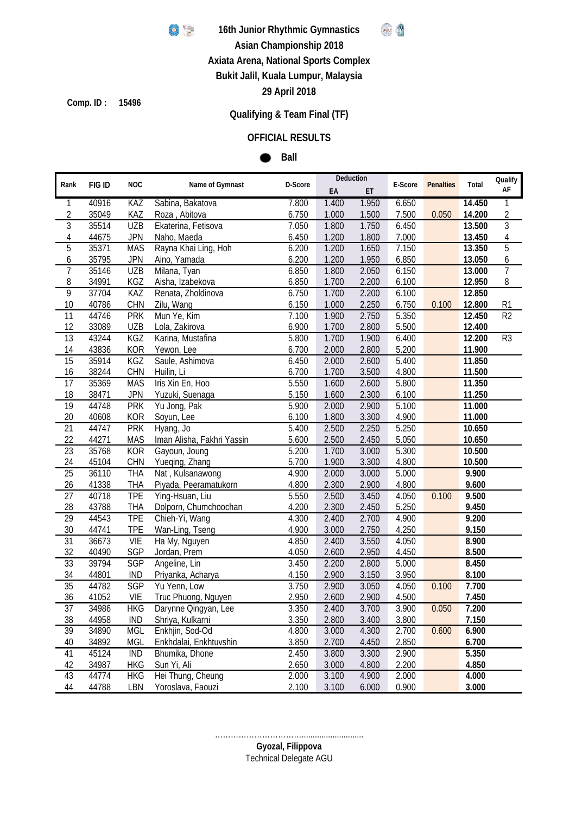

**16th Junior Rhythmic Gymnastics**



**Asian Championship 2018**

**Axiata Arena, National Sports Complex**

**Bukit Jalil, Kuala Lumpur, Malaysia**

**29 April 2018**

**15496 Comp. ID :**

## **Qualifying & Team Final (TF)**

## **OFFICIAL RESULTS**

#### **Ball**  $\bullet$

|                 |        |            |                            |         |       | Deduction |         |                  |        | Qualify        |
|-----------------|--------|------------|----------------------------|---------|-------|-----------|---------|------------------|--------|----------------|
| Rank            | FIG ID | <b>NOC</b> | Name of Gymnast            | D-Score | EA    | ET        | E-Score | <b>Penalties</b> | Total  | AF             |
| $\mathbf{1}$    | 40916  | <b>KAZ</b> | Sabina, Bakatova           | 7.800   | 1.400 | 1.950     | 6.650   |                  | 14.450 | 1              |
| $\overline{2}$  | 35049  | KAZ        | Roza, Abitova              | 6.750   | 1.000 | 1.500     | 7.500   | 0.050            | 14.200 | $\overline{2}$ |
| $\overline{3}$  | 35514  | <b>UZB</b> | Ekaterina, Fetisova        | 7.050   | 1.800 | 1.750     | 6.450   |                  | 13.500 | $\overline{3}$ |
| 4               | 44675  | <b>JPN</b> | Naho, Maeda                | 6.450   | 1.200 | 1.800     | 7.000   |                  | 13.450 | 4              |
| $\overline{5}$  | 35371  | <b>MAS</b> | Rayna Khai Ling, Hoh       | 6.200   | 1.200 | 1.650     | 7.150   |                  | 13.350 | $\overline{5}$ |
| 6               | 35795  | <b>JPN</b> | Aino, Yamada               | 6.200   | 1.200 | 1.950     | 6.850   |                  | 13.050 | 6              |
| 7               | 35146  | <b>UZB</b> | Milana, Tyan               | 6.850   | 1.800 | 2.050     | 6.150   |                  | 13.000 | $\overline{7}$ |
| 8               | 34991  | KGZ        | Aisha, Izabekova           | 6.850   | 1.700 | 2.200     | 6.100   |                  | 12.950 | 8              |
| $\overline{9}$  | 37704  | <b>KAZ</b> | Renata, Zholdinova         | 6.750   | 1.700 | 2.200     | 6.100   |                  | 12.850 |                |
| 10              | 40786  | CHN        | Zilu, Wang                 | 6.150   | 1.000 | 2.250     | 6.750   | 0.100            | 12.800 | R1             |
| $\overline{11}$ | 44746  | <b>PRK</b> | Mun Ye, Kim                | 7.100   | 1.900 | 2.750     | 5.350   |                  | 12.450 | R <sub>2</sub> |
| 12              | 33089  | <b>UZB</b> | Lola, Zakirova             | 6.900   | 1.700 | 2.800     | 5.500   |                  | 12.400 |                |
| 13              | 43244  | KGZ        | Karina, Mustafina          | 5.800   | 1.700 | 1.900     | 6.400   |                  | 12.200 | R <sub>3</sub> |
| 14              | 43836  | <b>KOR</b> | Yewon, Lee                 | 6.700   | 2.000 | 2.800     | 5.200   |                  | 11.900 |                |
| 15              | 35914  | <b>KGZ</b> | Saule, Ashimova            | 6.450   | 2.000 | 2.600     | 5.400   |                  | 11.850 |                |
| 16              | 38244  | CHN        | Huilin, Li                 | 6.700   | 1.700 | 3.500     | 4.800   |                  | 11.500 |                |
| 17              | 35369  | <b>MAS</b> | Iris Xin En, Hoo           | 5.550   | 1.600 | 2.600     | 5.800   |                  | 11.350 |                |
| 18              | 38471  | <b>JPN</b> | Yuzuki, Suenaga            | 5.150   | 1.600 | 2.300     | 6.100   |                  | 11.250 |                |
| 19              | 44748  | <b>PRK</b> | Yu Jong, Pak               | 5.900   | 2.000 | 2.900     | 5.100   |                  | 11.000 |                |
| 20              | 40608  | <b>KOR</b> | Soyun, Lee                 | 6.100   | 1.800 | 3.300     | 4.900   |                  | 11.000 |                |
| 21              | 44747  | <b>PRK</b> | Hyang, Jo                  | 5.400   | 2.500 | 2.250     | 5.250   |                  | 10.650 |                |
| 22              | 44271  | <b>MAS</b> | Iman Alisha, Fakhri Yassin | 5.600   | 2.500 | 2.450     | 5.050   |                  | 10.650 |                |
| $\overline{23}$ | 35768  | <b>KOR</b> | Gayoun, Joung              | 5.200   | 1.700 | 3.000     | 5.300   |                  | 10.500 |                |
| 24              | 45104  | <b>CHN</b> | Yueging, Zhang             | 5.700   | 1.900 | 3.300     | 4.800   |                  | 10.500 |                |
| 25              | 36110  | <b>THA</b> | Nat, Kulsanawong           | 4.900   | 2.000 | 3.000     | 5.000   |                  | 9.900  |                |
| 26              | 41338  | <b>THA</b> | Piyada, Peeramatukorn      | 4.800   | 2.300 | 2.900     | 4.800   |                  | 9.600  |                |
| $\overline{27}$ | 40718  | <b>TPE</b> | Ying-Hsuan, Liu            | 5.550   | 2.500 | 3.450     | 4.050   | 0.100            | 9.500  |                |
| 28              | 43788  | <b>THA</b> | Dolporn, Chumchoochan      | 4.200   | 2.300 | 2.450     | 5.250   |                  | 9.450  |                |
| 29              | 44543  | <b>TPE</b> | Chieh-Yi, Wang             | 4.300   | 2.400 | 2.700     | 4.900   |                  | 9.200  |                |
| 30              | 44741  | <b>TPE</b> | Wan-Ling, Tseng            | 4.900   | 3.000 | 2.750     | 4.250   |                  | 9.150  |                |
| $\overline{31}$ | 36673  | <b>VIE</b> | Ha My, Nguyen              | 4.850   | 2.400 | 3.550     | 4.050   |                  | 8.900  |                |
| 32              | 40490  | <b>SGP</b> | Jordan, Prem               | 4.050   | 2.600 | 2.950     | 4.450   |                  | 8.500  |                |
| 33              | 39794  | <b>SGP</b> | Angeline, Lin              | 3.450   | 2.200 | 2.800     | 5.000   |                  | 8.450  |                |
| 34              | 44801  | <b>IND</b> | Priyanka, Acharya          | 4.150   | 2.900 | 3.150     | 3.950   |                  | 8.100  |                |
| 35              | 44782  | <b>SGP</b> | Yu Yenn, Low               | 3.750   | 2.900 | 3.050     | 4.050   | 0.100            | 7.700  |                |
| 36              | 41052  | <b>VIE</b> | Truc Phuong, Nguyen        | 2.950   | 2.600 | 2.900     | 4.500   |                  | 7.450  |                |
| 37              | 34986  | HKG        | Darynne Qingyan, Lee       | 3.350   | 2.400 | 3.700     | 3.900   | 0.050            | 7.200  |                |
| <u>38</u>       | 44958  | <b>IND</b> | Shriya, Kulkarni           | 3.350   | 2.800 | 3.400     | 3.800   |                  | 7.150  |                |
| 39              | 34890  | MGL        | Enkhjin, Sod-Od            | 4.800   | 3.000 | 4.300     | 2.700   | 0.600            | 6.900  |                |
| 40              | 34892  | <b>MGL</b> | Enkhdalai, Enkhtuvshin     | 3.850   | 2.700 | 4.450     | 2.850   |                  | 6.700  |                |
| 41              | 45124  | <b>IND</b> | Bhumika, Dhone             | 2.450   | 3.800 | 3.300     | 2.900   |                  | 5.350  |                |
| 42              | 34987  | <b>HKG</b> | Sun Yi, Ali                | 2.650   | 3.000 | 4.800     | 2.200   |                  | 4.850  |                |
| 43              | 44774  | <b>HKG</b> | Hei Thung, Cheung          | 2.000   | 3.100 | 4.900     | 2.000   |                  | 4.000  |                |
| 44              | 44788  | LBN        | Yoroslava, Faouzi          | 2.100   | 3.100 | 6.000     | 0.900   |                  | 3.000  |                |

**Gyozal, Filippova** ……………………………............................ Technical Delegate AGU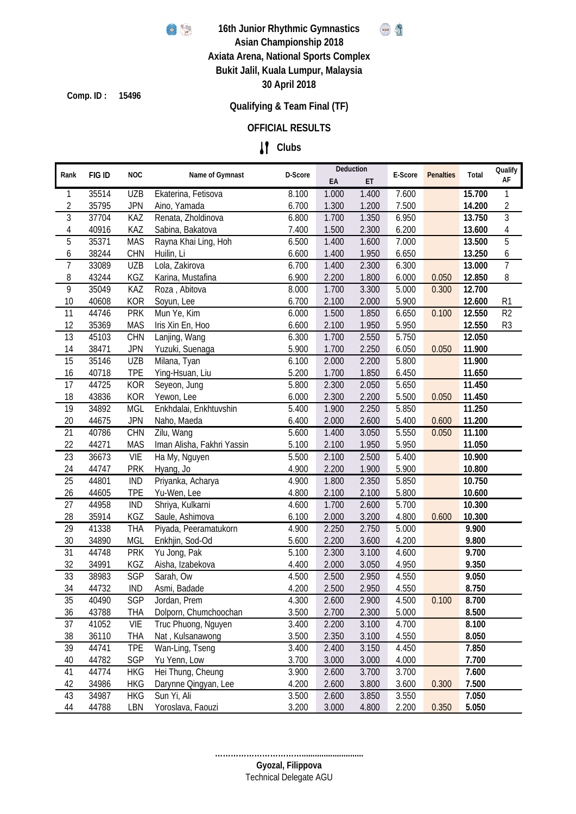

**Ref** K

**15496 Comp. ID :**

## **Qualifying & Team Final (TF)**

## **OFFICIAL RESULTS**

## **Clubs**

| Rank            | FIG ID | <b>NOC</b> | Name of Gymnast            | D-Score | Deduction |                         | E-Score | <b>Penalties</b> | Total  | Qualify        |
|-----------------|--------|------------|----------------------------|---------|-----------|-------------------------|---------|------------------|--------|----------------|
|                 |        |            |                            |         | EA        | ET                      |         |                  |        | AF             |
| 1               | 35514  | <b>UZB</b> | Ekaterina, Fetisova        | 8.100   | 1.000     | 1.400                   | 7.600   |                  | 15.700 | 1              |
| $\sqrt{2}$      | 35795  | <b>JPN</b> | Aino, Yamada               | 6.700   | 1.300     | 1.200                   | 7.500   |                  | 14.200 | 2              |
| 3               | 37704  | KAZ        | Renata, Zholdinova         | 6.800   | 1.700     | 1.350                   | 6.950   |                  | 13.750 | $\overline{3}$ |
| 4               | 40916  | KAZ        | Sabina, Bakatova           | 7.400   | 1.500     | 2.300                   | 6.200   |                  | 13.600 | $\overline{4}$ |
| 5               | 35371  | <b>MAS</b> | Rayna Khai Ling, Hoh       | 6.500   | 1.400     | 1.600                   | 7.000   |                  | 13.500 | 5              |
| 6               | 38244  | <b>CHN</b> | Huilin, Li                 | 6.600   | 1.400     | 1.950                   | 6.650   |                  | 13.250 | 6              |
| $\overline{7}$  | 33089  | <b>UZB</b> | Lola, Zakirova             | 6.700   | 1.400     | 2.300                   | 6.300   |                  | 13.000 | $\overline{7}$ |
| 8               | 43244  | KGZ        | Karina, Mustafina          | 6.900   | 2.200     | 1.800                   | 6.000   | 0.050            | 12.850 | 8              |
| 9               | 35049  | KAZ        | Roza, Abitova              | 8.000   | 1.700     | 3.300                   | 5.000   | 0.300            | 12.700 |                |
| 10              | 40608  | <b>KOR</b> | Soyun, Lee                 | 6.700   | 2.100     | 2.000                   | 5.900   |                  | 12.600 | R1             |
| 11              | 44746  | <b>PRK</b> | Mun Ye, Kim                | 6.000   | 1.500     | 1.850                   | 6.650   | 0.100            | 12.550 | R <sub>2</sub> |
| 12              | 35369  | <b>MAS</b> | Iris Xin En, Hoo           | 6.600   | 2.100     | 1.950                   | 5.950   |                  | 12.550 | R <sub>3</sub> |
| 13              | 45103  | CHN        | Lanjing, Wang              | 6.300   | 1.700     | 2.550                   | 5.750   |                  | 12.050 |                |
| 14              | 38471  | <b>JPN</b> | Yuzuki, Suenaga            | 5.900   | 1.700     | 2.250                   | 6.050   | 0.050            | 11.900 |                |
| 15              | 35146  | <b>UZB</b> | Milana, Tyan               | 6.100   | 2.000     | 2.200                   | 5.800   |                  | 11.900 |                |
| 16              | 40718  | <b>TPE</b> | Ying-Hsuan, Liu            | 5.200   | 1.700     | 1.850                   | 6.450   |                  | 11.650 |                |
| 17              | 44725  | <b>KOR</b> | Seyeon, Jung               | 5.800   | 2.300     | 2.050                   | 5.650   |                  | 11.450 |                |
| 18              | 43836  | <b>KOR</b> | Yewon, Lee                 | 6.000   | 2.300     | 2.200                   | 5.500   | 0.050            | 11.450 |                |
| 19              | 34892  | <b>MGL</b> | Enkhdalai, Enkhtuvshin     | 5.400   | 1.900     | 2.250                   | 5.850   |                  | 11.250 |                |
| 20              | 44675  | <b>JPN</b> | Naho, Maeda                | 6.400   | 2.000     | 2.600                   | 5.400   | 0.600            | 11.200 |                |
| 21              | 40786  | <b>CHN</b> | Zilu, Wang                 | 5.600   | 1.400     | 3.050                   | 5.550   | 0.050            | 11.100 |                |
| 22              | 44271  | <b>MAS</b> | Iman Alisha, Fakhri Yassin | 5.100   | 2.100     | 1.950                   | 5.950   |                  | 11.050 |                |
| $\overline{23}$ | 36673  | VIE        | Ha My, Nguyen              | 5.500   | 2.100     | 2.500                   | 5.400   |                  | 10.900 |                |
| 24              | 44747  | <b>PRK</b> | Hyang, Jo                  | 4.900   | 2.200     | 1.900                   | 5.900   |                  | 10.800 |                |
| 25              | 44801  | <b>IND</b> | Priyanka, Acharya          | 4.900   | 1.800     | 2.350                   | 5.850   |                  | 10.750 |                |
| 26              | 44605  | <b>TPE</b> | Yu-Wen, Lee                | 4.800   | 2.100     | 2.100                   | 5.800   |                  | 10.600 |                |
| 27              | 44958  | <b>IND</b> | Shriya, Kulkarni           | 4.600   | 1.700     | 2.600                   | 5.700   |                  | 10.300 |                |
| 28              | 35914  | KGZ        | Saule, Ashimova            | 6.100   | 2.000     | 3.200                   | 4.800   | 0.600            | 10.300 |                |
| 29              | 41338  | <b>THA</b> | Piyada, Peeramatukorn      | 4.900   | 2.250     | 2.750                   | 5.000   |                  | 9.900  |                |
| 30              | 34890  | <b>MGL</b> | Enkhjin, Sod-Od            | 5.600   | 2.200     | 3.600                   | 4.200   |                  | 9.800  |                |
| 31              | 44748  | <b>PRK</b> | Yu Jong, Pak               | 5.100   | 2.300     | 3.100                   | 4.600   |                  | 9.700  |                |
| 32              | 34991  | KGZ        | Aisha, Izabekova           | 4.400   | 2.000     | 3.050                   | 4.950   |                  | 9.350  |                |
| 33              | 38983  | <b>SGP</b> | Sarah, Ow                  | 4.500   | 2.500     | 2.950                   | 4.550   |                  | 9.050  |                |
| 34              | 44732  | <b>IND</b> | Asmi, Badade               | 4.200   | 2.500     | 2.950                   | 4.550   |                  | 8.750  |                |
| 35              | 40490  |            | SGP Jordan, Prem           |         |           | 4.300 2.600 2.900 4.500 |         | 0.100            | 8.700  |                |
| 36              | 43788  | <b>THA</b> | Dolporn, Chumchoochan      | 3.500   | 2.700     | 2.300                   | 5.000   |                  | 8.500  |                |
| 37              | 41052  | VIE        | Truc Phuong, Nguyen        | 3.400   | 2.200     | 3.100                   | 4.700   |                  | 8.100  |                |
| 38              | 36110  | <b>THA</b> | Nat, Kulsanawong           | 3.500   | 2.350     | 3.100                   | 4.550   |                  | 8.050  |                |
| 39              | 44741  | <b>TPE</b> | Wan-Ling, Tseng            | 3.400   | 2.400     | 3.150                   | 4.450   |                  | 7.850  |                |
| 40              | 44782  | SGP        | Yu Yenn, Low               | 3.700   | 3.000     | 3.000                   | 4.000   |                  | 7.700  |                |
| 41              | 44774  | <b>HKG</b> | Hei Thung, Cheung          | 3.900   | 2.600     | 3.700                   | 3.700   |                  | 7.600  |                |
| 42              | 34986  | <b>HKG</b> | Darynne Qingyan, Lee       | 4.200   | 2.600     | 3.800                   | 3.600   | 0.300            | 7.500  |                |
| 43              | 34987  | <b>HKG</b> | Sun Yi, Ali                | 3.500   | 2.600     | 3.850                   | 3.550   |                  | 7.050  |                |
| 44              | 44788  | LBN        | Yoroslava, Faouzi          | 3.200   | 3.000     | 4.800                   | 2.200   | 0.350            | 5.050  |                |

**Gyozal, Filippova ……………………………............................** Technical Delegate AGU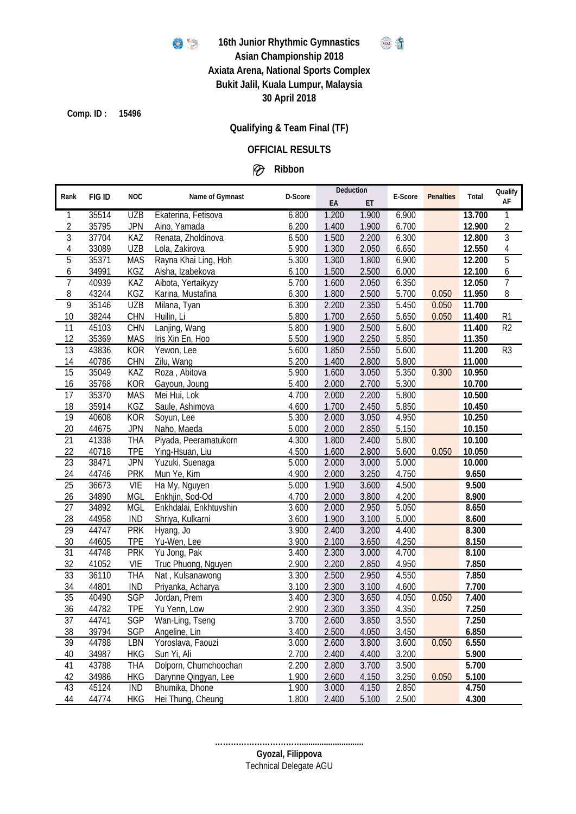

#### **16th Junior Rhythmic Gymnastics** AGU S

# **Asian Championship 2018**

**Axiata Arena, National Sports Complex Bukit Jalil, Kuala Lumpur, Malaysia**

**30 April 2018**

**15496 Comp. ID :**

## **Qualifying & Team Final (TF)**

### **OFFICIAL RESULTS**

## **Ribbon**

|                 |        |            |                        |                    | Deduction |       |         |                  |        | Qualify        |
|-----------------|--------|------------|------------------------|--------------------|-----------|-------|---------|------------------|--------|----------------|
| Rank            | FIG ID | <b>NOC</b> | Name of Gymnast        | D-Score            | EA        | ET    | E-Score | <b>Penalties</b> | Total  | AF             |
| 1               | 35514  | <b>UZB</b> | Ekaterina, Fetisova    | 6.800              | 1.200     | 1.900 | 6.900   |                  | 13.700 | 1              |
| $\sqrt{2}$      | 35795  | <b>JPN</b> | Aino, Yamada           | 6.200              | 1.400     | 1.900 | 6.700   |                  | 12.900 | $\overline{2}$ |
| 3               | 37704  | KAZ        | Renata, Zholdinova     | 6.500              | 1.500     | 2.200 | 6.300   |                  | 12.800 | $\overline{3}$ |
| 4               | 33089  | <b>UZB</b> | Lola, Zakirova         | 5.900              | 1.300     | 2.050 | 6.650   |                  | 12.550 | $\overline{4}$ |
| $\overline{5}$  | 35371  | <b>MAS</b> | Rayna Khai Ling, Hoh   | 5.300              | 1.300     | 1.800 | 6.900   |                  | 12.200 | $\overline{5}$ |
| 6               | 34991  | KGZ        | Aisha, Izabekova       | 6.100              | 1.500     | 2.500 | 6.000   |                  | 12.100 | 6              |
| $\overline{7}$  | 40939  | KAZ        | Aibota, Yertaikyzy     | 5.700              | 1.600     | 2.050 | 6.350   |                  | 12.050 | $\overline{7}$ |
| 8               | 43244  | KGZ        | Karina, Mustafina      | 6.300              | 1.800     | 2.500 | 5.700   | 0.050            | 11.950 | 8              |
| 9               | 35146  | <b>UZB</b> | Milana, Tyan           | 6.300              | 2.200     | 2.350 | 5.450   | 0.050            | 11.700 |                |
| 10              | 38244  | <b>CHN</b> | Huilin, Li             | 5.800              | 1.700     | 2.650 | 5.650   | 0.050            | 11.400 | R <sub>1</sub> |
| 11              | 45103  | <b>CHN</b> | Lanjing, Wang          | 5.800              | 1.900     | 2.500 | 5.600   |                  | 11.400 | R <sub>2</sub> |
| 12              | 35369  | <b>MAS</b> | Iris Xin En, Hoo       | 5.500              | 1.900     | 2.250 | 5.850   |                  | 11.350 |                |
| 13              | 43836  | <b>KOR</b> | Yewon, Lee             | 5.600              | 1.850     | 2.550 | 5.600   |                  | 11.200 | R <sub>3</sub> |
| 14              | 40786  | <b>CHN</b> | Zilu, Wang             | 5.200              | 1.400     | 2.800 | 5.800   |                  | 11.000 |                |
| $\overline{15}$ | 35049  | <b>KAZ</b> | Roza, Abitova          | 5.900              | 1.600     | 3.050 | 5.350   | 0.300            | 10.950 |                |
| 16              | 35768  | <b>KOR</b> | Gayoun, Joung          | 5.400              | 2.000     | 2.700 | 5.300   |                  | 10.700 |                |
| $\overline{17}$ | 35370  | <b>MAS</b> | Mei Hui, Lok           | 4.700              | 2.000     | 2.200 | 5.800   |                  | 10.500 |                |
| 18              | 35914  | KGZ        | Saule, Ashimova        | 4.600              | 1.700     | 2.450 | 5.850   |                  | 10.450 |                |
| 19              | 40608  | <b>KOR</b> | Soyun, Lee             | 5.300              | 2.000     | 3.050 | 4.950   |                  | 10.250 |                |
| 20              | 44675  | <b>JPN</b> | Naho, Maeda            | 5.000              | 2.000     | 2.850 | 5.150   |                  | 10.150 |                |
| 21              | 41338  | <b>THA</b> | Piyada, Peeramatukorn  | 4.300              | 1.800     | 2.400 | 5.800   |                  | 10.100 |                |
| 22              | 40718  | <b>TPE</b> | Ying-Hsuan, Liu        | 4.500              | 1.600     | 2.800 | 5.600   | 0.050            | 10.050 |                |
| 23              | 38471  | <b>JPN</b> | Yuzuki, Suenaga        | 5.000              | 2.000     | 3.000 | 5.000   |                  | 10.000 |                |
| 24              | 44746  | <b>PRK</b> | Mun Ye, Kim            | 4.900              | 2.000     | 3.250 | 4.750   |                  | 9.650  |                |
| 25              | 36673  | <b>VIE</b> | Ha My, Nguyen          | $\overline{5.000}$ | 1.900     | 3.600 | 4.500   |                  | 9.500  |                |
| 26              | 34890  | <b>MGL</b> | Enkhjin, Sod-Od        | 4.700              | 2.000     | 3.800 | 4.200   |                  | 8.900  |                |
| 27              | 34892  | <b>MGL</b> | Enkhdalai, Enkhtuvshin | 3.600              | 2.000     | 2.950 | 5.050   |                  | 8.650  |                |
| 28              | 44958  | <b>IND</b> | Shriya, Kulkarni       | 3.600              | 1.900     | 3.100 | 5.000   |                  | 8.600  |                |
| $\overline{29}$ | 44747  | <b>PRK</b> | Hyang, Jo              | 3.900              | 2.400     | 3.200 | 4.400   |                  | 8.300  |                |
| 30              | 44605  | <b>TPE</b> | Yu-Wen, Lee            | 3.900              | 2.100     | 3.650 | 4.250   |                  | 8.150  |                |
| $\overline{31}$ | 44748  | <b>PRK</b> | Yu Jong, Pak           | 3.400              | 2.300     | 3.000 | 4.700   |                  | 8.100  |                |
| 32              | 41052  | VIE        | Truc Phuong, Nguyen    | 2.900              | 2.200     | 2.850 | 4.950   |                  | 7.850  |                |
| $\overline{33}$ | 36110  | <b>THA</b> | Nat, Kulsanawong       | 3.300              | 2.500     | 2.950 | 4.550   |                  | 7.850  |                |
| 34              | 44801  | <b>IND</b> | Priyanka, Acharya      | 3.100              | 2.300     | 3.100 | 4.600   |                  | 7.700  |                |
| 35              | 40490  | <b>SGP</b> | Jordan, Prem           | 3.400              | 2.300     | 3.650 | 4.050   | 0.050            | 7.400  |                |
| 36              | 44782  | <b>TPE</b> | Yu Yenn, Low           | 2.900              | 2.300     | 3.350 | 4.350   |                  | 7.250  |                |
| 37              | 44741  | SGP        | Wan-Ling, Tseng        | 3.700              | 2.600     | 3.850 | 3.550   |                  | 7.250  |                |
| <u>38</u>       | 39794  | SGP        | Angeline, Lin          | 3.400              | 2.500     | 4.050 | 3.450   |                  | 6.850  |                |
| 39              | 44788  | LBN        | Yoroslava, Faouzi      | 3.000              | 2.600     | 3.800 | 3.600   | 0.050            | 6.550  |                |
| 40              | 34987  | <b>HKG</b> | Sun Yi, Ali            | 2.700              | 2.400     | 4.400 | 3.200   |                  | 5.900  |                |
| 41              | 43788  | <b>THA</b> | Dolporn, Chumchoochan  | $\overline{2.200}$ | 2.800     | 3.700 | 3.500   |                  | 5.700  |                |
| 42              | 34986  | <b>HKG</b> | Darynne Qingyan, Lee   | 1.900              | 2.600     | 4.150 | 3.250   | 0.050            | 5.100  |                |
| 43              | 45124  | <b>IND</b> | Bhumika, Dhone         | 1.900              | 3.000     | 4.150 | 2.850   |                  | 4.750  |                |
| 44              | 44774  | <b>HKG</b> | Hei Thung, Cheung      | 1.800              | 2.400     | 5.100 | 2.500   |                  | 4.300  |                |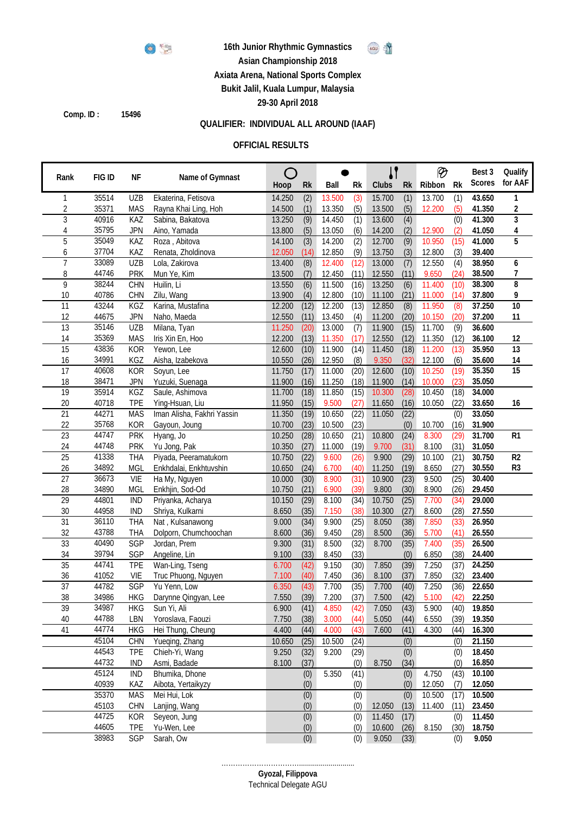

#### **16th Junior Rhythmic Gymnastics**



## **Asian Championship 2018**

**Axiata Arena, National Sports Complex**

**Bukit Jalil, Kuala Lumpur, Malaysia**

**29-30 April 2018**

**Comp. ID : 15496**

## **QUALIFIER: INDIVIDUAL ALL AROUND (IAAF)**

#### **OFFICIAL RESULTS**

|                       |                |                   |                                    |                  |              |                  |              |                  |                  | ℗      |              | Best 3           | Qualify               |
|-----------------------|----------------|-------------------|------------------------------------|------------------|--------------|------------------|--------------|------------------|------------------|--------|--------------|------------------|-----------------------|
| Rank                  | FIG ID         | ΝF                | Name of Gymnast                    | Hoop             | <b>Rk</b>    | Ball             | Rk           | Clubs            | <b>Rk</b>        | Ribbon | <b>Rk</b>    | <b>Scores</b>    | for AAF               |
|                       | 35514          | <b>UZB</b>        | Ekaterina, Fetisova                | 14.250           | (2)          | 13.500           | (3)          | 15.700           | (1)              | 13.700 | (1)          | 43.650           | 1                     |
| 2                     | 35371          | <b>MAS</b>        | Rayna Khai Ling, Hoh               | 14.500           | (1)          | 13.350           | (5)          | 13.500           | (5)              | 12.200 | (5)          | 41.350           | 2                     |
| 3                     | 40916          | KAZ               | Sabina, Bakatova                   | 13.250           | (9)          | 14.450           | (1)          | 13.600           | (4)              |        | (0)          | 41.300           | 3                     |
| 4                     | 35795          | <b>JPN</b>        | Aino, Yamada                       | 13.800           | (5)          | 13.050           | (6)          | 14.200           | (2)              | 12.900 | (2)          | 41.050           | 4                     |
| 5                     | 35049          | KAZ               | Roza, Abitova                      | 14.100           | (3)          | 14.200           | (2)          | 12.700           | (9)              | 10.950 | (15)         | 41.000           | 5                     |
| 6                     | 37704          | KAZ               | Renata, Zholdinova                 | 12.050           | (14)         | 12.850           | (9)          | 13.750           | (3)              | 12.800 | (3)          | 39.400           |                       |
| 7                     | 33089          | <b>UZB</b>        | Lola, Zakirova                     | 13.400           | (8)          | 12.400           | (12)         | 13.000           | (7)              | 12.550 | (4)          | 38.950           | 6                     |
| 8                     | 44746          | <b>PRK</b>        | Mun Ye, Kim                        | 13.500           | (7)          | 12.450           | (11)         | 12.550           | (11)             | 9.650  | (24)         | 38.500           | 7                     |
| 9                     | 38244          | CHN               | Huilin, Li                         | 13.550           | (6)          | 11.500           | (16)         | 13.250           | $\overline{(6)}$ | 11.400 | (10)         | 38.300           | 8                     |
| 10                    | 40786          | <b>CHN</b>        | Zilu, Wang                         | 13.900           | (4)          | 12.800           | (10)         | 11.100           | (21)             | 11.000 | (14)         | 37.800           | 9                     |
| $\overline{11}$       | 43244          | KGZ               | Karina, Mustafina                  | 12.200           | (12)         | 12.200           | (13)         | 12.850           | (8)              | 11.950 | (8)          | 37.250           | $\overline{10}$       |
| 12                    | 44675          | <b>JPN</b>        | Naho, Maeda                        | 12.550           | (11)         | 13.450           | (4)          | 11.200           | (20)             | 10.150 | (20)         | 37.200           | 11                    |
| 13                    | 35146          | <b>UZB</b>        | Milana, Tyan                       | 11.250           | (20)         | 13.000           | (7)          | 11.900           | (15)             | 11.700 | (9)          | 36.600           |                       |
| 14                    | 35369          | <b>MAS</b>        | Iris Xin En, Hoo                   | 12.200           | (13)         | 11.350           | (17)         | 12.550           | (12)             | 11.350 | (12)         | 36.100           | 12                    |
| $\overline{15}$       | 43836          | <b>KOR</b>        | Yewon, Lee                         | 12.600           | (10)         | 11.900           | (14)         | 11.450           | (18)             | 11.200 | (13)         | 35.950           | 13                    |
| 16<br>$\overline{17}$ | 34991<br>40608 | KGZ               | Aisha, Izabekova                   | 10.550           | (26)         | 12.950           | (8)          | 9.350<br>12.600  | (32)             | 12.100 | (6)          | 35.600           | 14<br>$\overline{15}$ |
|                       | 38471          | <b>KOR</b>        | Soyun, Lee                         | 11.750           | (17)         | 11.000           | (20)         |                  | (10)             | 10.250 | (19)         | 35.350           |                       |
| 18<br>19              | 35914          | <b>JPN</b><br>KGZ | Yuzuki, Suenaga<br>Saule, Ashimova | 11.900<br>11.700 | (16)<br>(18) | 11.250<br>11.850 | (18)<br>(15) | 11.900<br>10.300 | (14)<br>(28)     | 10.000 | (23)<br>(18) | 35.050<br>34.000 |                       |
| 20                    | 40718          | <b>TPE</b>        | Ying-Hsuan, Liu                    | 11.950           | (15)         | 9.500            | (27)         |                  | (16)             | 10.450 | (22)         | 33.650           | 16                    |
| $\overline{21}$       | 44271          | <b>MAS</b>        | Iman Alisha, Fakhri Yassin         | 11.350           | (19)         | 10.650           | (22)         | 11.650<br>11.050 | (22)             | 10.050 | (0)          | 33.050           |                       |
| 22                    | 35768          | <b>KOR</b>        | Gayoun, Joung                      | 10.700           | (23)         | 10.500           | (23)         |                  | (0)              | 10.700 | (16)         | 31.900           |                       |
| $\overline{23}$       | 44747          | <b>PRK</b>        | Hyang, Jo                          | 10.250           | (28)         | 10.650           | (21)         | 10.800           | (24)             | 8.300  | (29)         | 31.700           | R <sub>1</sub>        |
| 24                    | 44748          | <b>PRK</b>        | Yu Jong, Pak                       | 10.350           | (27)         | 11.000           | (19)         | 9.700            | (31)             | 8.100  | (31)         | 31.050           |                       |
| 25                    | 41338          | <b>THA</b>        | Piyada, Peeramatukorn              | 10.750           | (22)         | 9.600            | (26)         | 9.900            | (29)             | 10.100 | (21)         | 30.750           | R <sub>2</sub>        |
| 26                    | 34892          | <b>MGL</b>        | Enkhdalai, Enkhtuvshin             | 10.650           | (24)         | 6.700            | (40)         | 11.250           | (19)             | 8.650  | (27)         | 30.550           | R <sub>3</sub>        |
| $\overline{27}$       | 36673          | VIE               | Ha My, Nguyen                      | 10.000           | (30)         | 8.900            | (31)         | 10.900           | (23)             | 9.500  | (25)         | 30.400           |                       |
| 28                    | 34890          | <b>MGL</b>        | Enkhjin, Sod-Od                    | 10.750           | (21)         | 6.900            | (39)         | 9.800            | (30)             | 8.900  | (26)         | 29.450           |                       |
| 29                    | 44801          | <b>IND</b>        | Priyanka, Acharya                  | 10.150           | (29)         | 8.100            | (34)         | 10.750           | (25)             | 7.700  | (34)         | 29.000           |                       |
| 30                    | 44958          | <b>IND</b>        | Shriya, Kulkarni                   | 8.650            | (35)         | 7.150            | (38)         | 10.300           | (27)             | 8.600  | (28)         | 27.550           |                       |
| $\overline{31}$       | 36110          | <b>THA</b>        | Nat, Kulsanawong                   | 9.000            | (34)         | 9.900            | (25)         | 8.050            | (38)             | 7.850  | (33)         | 26.950           |                       |
| 32                    | 43788          | <b>THA</b>        | Dolporn, Chumchoochan              | 8.600            | (36)         | 9.450            | (28)         | 8.500            | (36)             | 5.700  | (41)         | 26.550           |                       |
| 33                    | 40490          | SGP               | Jordan, Prem                       | 9.300            | (31)         | 8.500            | (32)         | 8.700            | (35)             | 7.400  | (35)         | 26.500           |                       |
| 34                    | 39794          | SGP               | Angeline, Lin                      | 9.100            | (33)         | 8.450            | (33)         |                  | (0)              | 6.850  | (38)         | 24.400           |                       |
| $\overline{35}$       | 44741          | <b>TPE</b>        | Wan-Ling, Tseng                    | 6.700            | (42)         | 9.150            | (30)         | 7.850            | (39)             | 7.250  | (37)         | 24.250           |                       |
| 36                    | 41052          | VIE               | Truc Phuong, Nguyen                | 7.100            | (40)         | 7.450            | (36)         | 8.100            | (37)             | 7.850  | (32)         | 23.400           |                       |
| $\overline{37}$       | 44782          | SGP               | Yu Yenn, Low                       | 6.350            | (43)         | 7.700            | (35)         | 7.700            | (40)             | 7.250  | (36)         | 22.650           |                       |
| 38                    | 34986          | <b>HKG</b>        | Darynne Qingyan, Lee               | 7.550            | (39)         | 7.200            | (37)         | 7.500            | (42)             | 5.100  | (42)         | 22.250           |                       |
| $\overline{39}$       | 34987          | <b>HKG</b>        | Sun Yi, Ali                        | 6.900            | (41)         | 4.850            | (42)         | 7.050            | (43)             | 5.900  | (40)         | 19.850           |                       |
| 40                    | 44788          | LBN               | Yoroslava, Faouzi                  | 7.750            | (38)         | 3.000            | (44)         | 5.050            | (44)             | 6.550  | (39)         | 19.350           |                       |
| 41                    | 44774          | <b>HKG</b>        | Hei Thung, Cheung                  | 4.400            | (44)         | 4.000            | (43)         | 7.600            | (41)             | 4.300  | (44)         | 16.300           |                       |
|                       | 45104          | <b>CHN</b>        | Yueqing, Zhang                     | 10.650           | (25)         | 10.500           | (24)         |                  | (0)              |        | (0)          | 21.150           |                       |
|                       | 44543          | <b>TPE</b>        | Chieh-Yi, Wang                     | 9.250            | (32)         | 9.200            | (29)         |                  | (0)              |        | (0)          | 18.450           |                       |
|                       | 44732          | <b>IND</b>        | Asmi, Badade                       | 8.100            | (37)         |                  | (0)          | 8.750            | (34)             |        | (0)          | 16.850           |                       |
|                       | 45124          | IND               | Bhumika, Dhone                     |                  | (0)          | 5.350            | (41)         |                  | (0)              | 4.750  | (43)         | 10.100           |                       |
|                       | 40939          | KAZ               | Aibota, Yertaikyzy                 |                  | (0)          |                  | (0)          |                  | (0)              | 12.050 | (7)          | 12.050           |                       |
|                       | 35370          | <b>MAS</b>        | Mei Hui, Lok                       |                  | (0)          |                  | (0)          |                  | $\overline{(0)}$ | 10.500 | (17)         | 10.500           |                       |
|                       | 45103          | <b>CHN</b>        | Lanjing, Wang                      |                  | (0)          |                  | (0)          | 12.050           | (13)             | 11.400 | (11)         | 23.450           |                       |
|                       | 44725          | <b>KOR</b>        | Seyeon, Jung                       |                  | (0)          |                  | (0)          | 11.450           | (17)             |        | (0)          | 11.450           |                       |
|                       | 44605          | <b>TPE</b>        | Yu-Wen, Lee                        |                  | (0)          |                  | (0)          | 10.600           | (26)             | 8.150  | (30)         | 18.750           |                       |
|                       | 38983          | SGP               | Sarah, Ow                          |                  | (0)          |                  | (0)          | 9.050            | (33)             |        | (0)          | 9.050            |                       |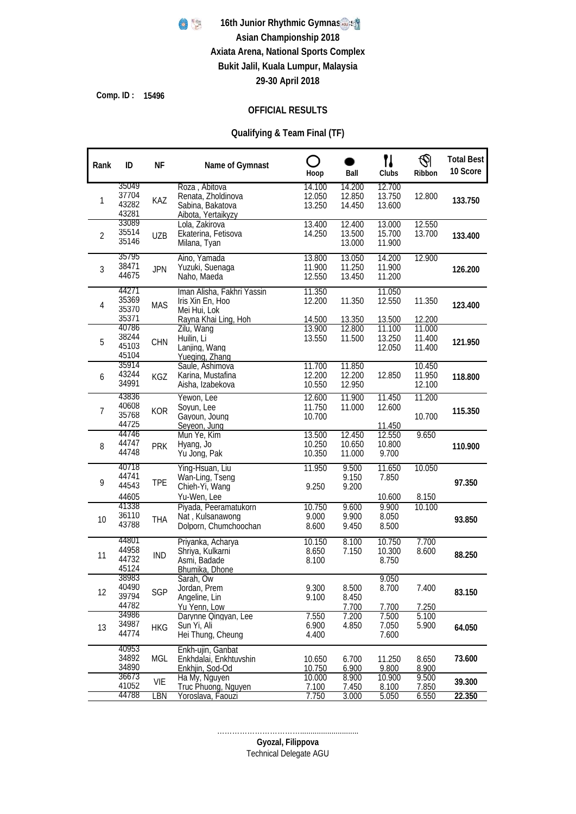

**15496 Comp. ID :**

#### **OFFICIAL RESULTS**

### **Qualifying & Team Final (TF)**

| Rank           | ID                               | <b>NF</b>  | Name of Gymnast                                                                        | ∩<br>Hoop                  | Ball                       | 11<br>Clubs                | ⊛<br>Ribbon                | <b>Total Best</b><br>10 Score |
|----------------|----------------------------------|------------|----------------------------------------------------------------------------------------|----------------------------|----------------------------|----------------------------|----------------------------|-------------------------------|
| 1              | 35049<br>37704<br>43282<br>43281 | KAZ        | Roza, Abitova<br>Renata, Zholdinova<br>Sabina, Bakatova<br>Aibota, Yertaikyzy          | 14.100<br>12.050<br>13.250 | 14.200<br>12.850<br>14.450 | 12.700<br>13.750<br>13.600 | 12.800                     | 133.750                       |
| $\overline{2}$ | 33089<br>35514<br>35146          | <b>UZB</b> | Lola, Zakirova<br>Ekaterina, Fetisova<br>Milana, Tyan                                  | 13.400<br>14.250           | 12.400<br>13.500<br>13.000 | 13.000<br>15.700<br>11.900 | 12.550<br>13.700           | 133.400                       |
| 3              | 35795<br>38471<br>44675          | <b>JPN</b> | Aino, Yamada<br>Yuzuki, Suenaga<br>Naho, Maeda                                         | 13.800<br>11.900<br>12.550 | 13.050<br>11.250<br>13.450 | 14.200<br>11.900<br>11.200 | 12.900                     | 126.200                       |
| 4              | 44271<br>35369<br>35370<br>35371 | <b>MAS</b> | Iman Alisha, Fakhri Yassin<br>Iris Xin En, Hoo<br>Mei Hui, Lok<br>Rayna Khai Ling, Hoh | 11.350<br>12.200<br>14.500 | 11.350<br>13.350           | 11.050<br>12.550<br>13.500 | 11.350<br>12.200           | 123.400                       |
| 5              | 40786<br>38244<br>45103<br>45104 | CHN        | Zilu, Wang<br>Huilin, Li<br>Lanjing, Wang<br>Yueging, Zhang                            | 13.900<br>13.550           | 12.800<br>11.500           | 11.100<br>13.250<br>12.050 | 11.000<br>11.400<br>11.400 | 121.950                       |
| 6              | 35914<br>43244<br>34991          | KGZ        | Saule, Ashimova<br>Karina, Mustafina<br>Aisha, Izabekova                               | 11.700<br>12.200<br>10.550 | 11.850<br>12.200<br>12.950 | 12.850                     | 10.450<br>11.950<br>12.100 | 118.800                       |
| 7              | 43836<br>40608<br>35768<br>44725 | <b>KOR</b> | Yewon, Lee<br>Soyun, Lee<br>Gayoun, Joung<br>Seyeon, Jung                              | 12.600<br>11.750<br>10.700 | 11.900<br>11.000           | 11.450<br>12.600<br>11.450 | 11.200<br>10.700           | 115.350                       |
| 8              | 44746<br>44747<br>44748          | <b>PRK</b> | Mun Ye, Kim<br>Hyang, Jo<br>Yu Jong, Pak                                               | 13.500<br>10.250<br>10.350 | 12.450<br>10.650<br>11.000 | 12.550<br>10.800<br>9.700  | 9.650                      | 110.900                       |
| 9              | 40/18<br>44741<br>44543<br>44605 | <b>TPE</b> | Ying-Hsuan, Liu<br>Wan-Ling, Tseng<br>Chieh-Yi, Wang<br>Yu-Wen, Lee                    | 11.950<br>9.250            | 9.500<br>9.150<br>9.200    | 11.650<br>7.850<br>10.600  | 10.050<br>8.150            | 97.350                        |
| 10             | 41338<br>36110<br>43788          | <b>THA</b> | Piyada, Peeramatukorn<br>Nat, Kulsanawong<br>Dolporn, Chumchoochan                     | 10.750<br>9.000<br>8.600   | 9.600<br>9.900<br>9.450    | 9.900<br>8.050<br>8.500    | 10.100                     | 93.850                        |
| 11             | 44801<br>44958<br>44732<br>45124 | <b>IND</b> | Priyanka, Acharya<br>Shriya, Kulkarni<br>Asmi, Badade<br>Bhumika, Dhone                | 10.150<br>8.650<br>8.100   | 8.100<br>7.150             | 10.750<br>10.300<br>8.750  | 7.700<br>8.600             | 88.250                        |
| 12             | 38983<br>40490<br>39794<br>44782 | SGP        | Sarah, Ow<br>Jordan, Prem<br>Angeline, Lin<br>Yu Yenn, Low                             | 9.300<br>9.100             | 8.500<br>8.450<br>7.700    | 9.050<br>8.700<br>7.700    | 7.400<br>7.250             | 83.150                        |
| 13             | 34986<br>34987<br>44774          | <b>HKG</b> | Darynne Qingyan, Lee<br>Sun Yi, Ali<br>Hei Thung, Cheung                               | 7.550<br>6.900<br>4.400    | 7.200<br>4.850             | 7.500<br>7.050<br>7.600    | 5.100<br>5.900             | 64.050                        |
|                | 40953<br>34892<br>34890          | MGL        | Enkh-ujin, Ganbat<br>Enkhdalai, Enkhtuvshin<br>Enkhjin, Sod-Od                         | 10.650<br>10.750           | 6.700<br>6.900             | 11.250<br>9.800            | 8.650<br>8.900             | 73.600                        |
|                | 36673<br>41052<br>44788          | VIE<br>LBN | Ha My, Nguyen<br>Truc Phuong, Nguyen<br><u>Yoroslava, Faouzi</u>                       | 10.000<br>7.100<br>7.750   | 8.900<br>7.450<br>3.000    | 10.900<br>8.100<br>5.050   | 9.500<br>7.850<br>6.550    | 39.300<br>22.350              |

Technical Delegate AGU **Gyozal, Filippova** ……………………………............................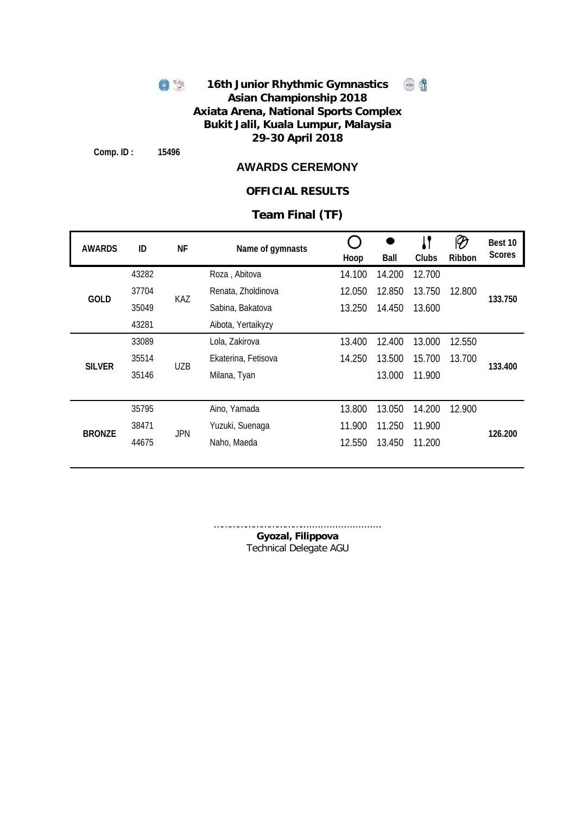

**Comp. ID : 15496**

### **AWARDS CEREMONY**

### **OFFICIAL RESULTS**

## **Team Final (TF)**

| <b>AWARDS</b> | ID    | ΝF         | Name of gymnasts    | Hoop   | Ball   | Clubs  | Ribbon | Best 10<br><b>Scores</b> |
|---------------|-------|------------|---------------------|--------|--------|--------|--------|--------------------------|
|               | 43282 |            | Roza, Abitova       | 14.100 | 14.200 | 12.700 |        |                          |
| <b>GOLD</b>   | 37704 | KAZ        | Renata, Zholdinova  | 12.050 | 12.850 | 13.750 | 12.800 | 133.750                  |
|               | 35049 |            | Sabina, Bakatova    | 13.250 | 14.450 | 13.600 |        |                          |
|               | 43281 |            | Aibota, Yertaikyzy  |        |        |        |        |                          |
|               | 33089 |            | Lola, Zakirova      | 13.400 | 12.400 | 13.000 | 12.550 |                          |
| <b>SILVER</b> | 35514 | <b>UZB</b> | Ekaterina, Fetisova | 14.250 | 13.500 | 15.700 | 13.700 | 133.400                  |
|               | 35146 |            | Milana, Tyan        |        | 13.000 | 11.900 |        |                          |
|               |       |            |                     |        |        |        |        |                          |
|               | 35795 |            | Aino, Yamada        | 13.800 | 13.050 | 14.200 | 12.900 |                          |
| <b>BRONZE</b> | 38471 | <b>JPN</b> | Yuzuki, Suenaga     | 11.900 | 11.250 | 11.900 |        | 126.200                  |
|               | 44675 |            | Naho, Maeda         | 12.550 | 13.450 | 11.200 |        |                          |
|               |       |            |                     |        |        |        |        |                          |

Technical Delegate AGU **Gyozal, Filippova** …………………………………………………………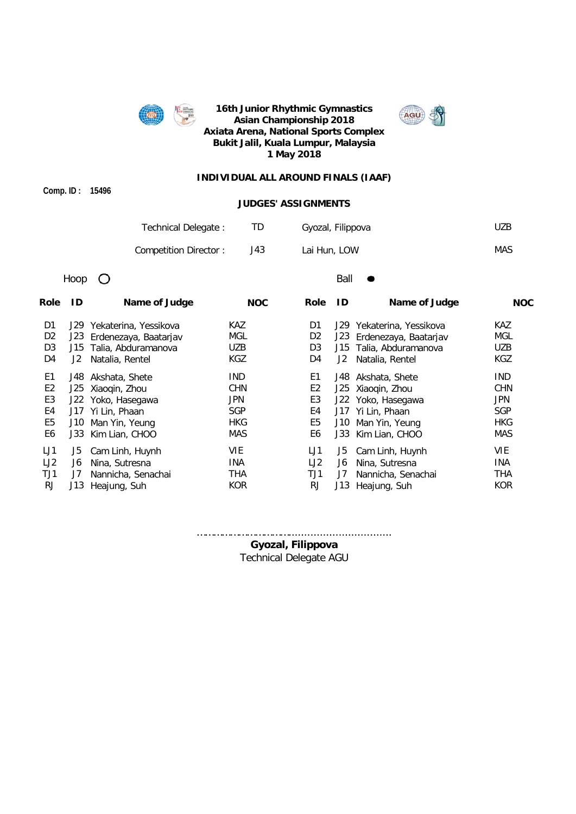



#### **INDIVIDUAL ALL AROUND FINALS (IAAF)**

**Comp. ID : 15496**

#### **JUDGES' ASSIGNMENTS**

| Technical Delegate:   |      | Gyozal, Filippova | UZB. |
|-----------------------|------|-------------------|------|
| Competition Director: | J43. | Lai Hun, LOW      | MAS  |

Hoop  $O$  Ball  $\bullet$ 

| Role           | ID  | Name of Judge             | <b>NOC</b> | <b>Role</b>    | ID   | Name of Judge             | <b>NOC</b> |
|----------------|-----|---------------------------|------------|----------------|------|---------------------------|------------|
| D1             |     | J29 Yekaterina, Yessikova | <b>KAZ</b> | D1             |      | J29 Yekaterina, Yessikova | <b>KAZ</b> |
| D <sub>2</sub> |     | J23 Erdenezaya, Baatarjav | MGL        | D <sub>2</sub> | J23  | Erdenezaya, Baatarjav     | MGL        |
| D <sub>3</sub> | J15 | Talia, Abduramanova       | <b>UZB</b> | D3             |      | J15 Talia, Abduramanova   | <b>UZB</b> |
| D4             | J2  | Natalia, Rentel           | <b>KGZ</b> | D4             | J2   | Natalia, Rentel           | KGZ        |
| E1             |     | J48 Akshata, Shete        | IND.       | E1             |      | J48 Akshata, Shete        | <b>IND</b> |
| E <sub>2</sub> |     | J25 Xiaoqin, Zhou         | <b>CHN</b> | E <sub>2</sub> |      | J25 Xiaoqin, Zhou         | <b>CHN</b> |
| E <sub>3</sub> |     | J22 Yoko, Hasegawa        | <b>JPN</b> | E3             |      | J22 Yoko, Hasegawa        | <b>JPN</b> |
| E4             |     | J17 Yi Lin, Phaan         | <b>SGP</b> | E4             |      | J17 Yi Lin, Phaan         | <b>SGP</b> |
| E5             | J10 | Man Yin, Yeung            | <b>HKG</b> | E5             | J10  | Man Yin, Yeung            | <b>HKG</b> |
| E6             |     | J33 Kim Lian, CHOO        | <b>MAS</b> | E6             | J33. | Kim Lian, CHOO            | MAS        |
| LJ1            | J5. | Cam Linh, Huynh           | VIE        | LJ1            | J5   | Cam Linh, Huynh           | <b>VIE</b> |
| LJ2            | J6  | Nina, Sutresna            | INA        | LJ2            | J6   | Nina, Sutresna            | INA        |
| TJ1            | J7  | Nannicha, Senachai        | <b>THA</b> | TJ1            | J7   | Nannicha, Senachai        | <b>THA</b> |
| RJ.            | J13 | Heajung, Suh              | <b>KOR</b> | <b>RJ</b>      | J13  | Heajung, Suh              | <b>KOR</b> |

…………………………….................................

Technical Delegate AGU **Gyozal, Filippova**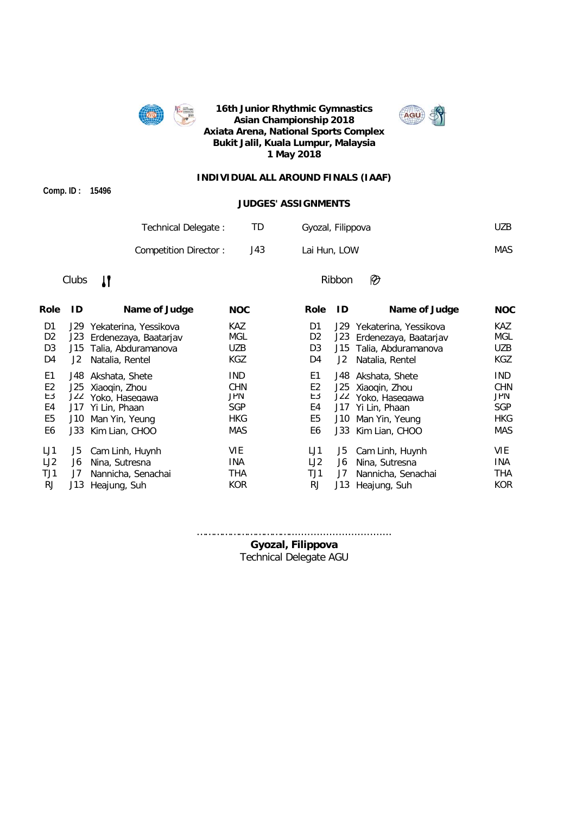



#### **INDIVIDUAL ALL AROUND FINALS (IAAF)**

**Comp. ID : 15496**

#### **JUDGES' ASSIGNMENTS**

| Technical Delegate:   |      | Gyozal, Filippova | UZB. |
|-----------------------|------|-------------------|------|
| Competition Director: | J43. | Lai Hun, LOW      | MAS  |

## Clubs  $\mathbf{I}$  Ribbon

Ø

| ID    | Name of Judge   | <b>NOC</b>                                                                                                                                                                                            | <b>Role</b>    | ID  | Name of Judge   | <b>NOC</b>                                                                                                                                                                                             |
|-------|-----------------|-------------------------------------------------------------------------------------------------------------------------------------------------------------------------------------------------------|----------------|-----|-----------------|--------------------------------------------------------------------------------------------------------------------------------------------------------------------------------------------------------|
|       |                 | <b>KAZ</b>                                                                                                                                                                                            | D1             |     |                 | KAZ.                                                                                                                                                                                                   |
| J23.  |                 | MGL                                                                                                                                                                                                   | D <sub>2</sub> |     |                 | MGL                                                                                                                                                                                                    |
|       |                 | <b>UZB</b>                                                                                                                                                                                            | D <sub>3</sub> |     |                 | UZB                                                                                                                                                                                                    |
| J2    | Natalia, Rentel | <b>KGZ</b>                                                                                                                                                                                            | D4             | J2  | Natalia, Rentel | <b>KGZ</b>                                                                                                                                                                                             |
| J48.  |                 | <b>IND</b>                                                                                                                                                                                            | E1             |     | Akshata, Shete  | <b>IND</b>                                                                                                                                                                                             |
|       |                 | <b>CHN</b>                                                                                                                                                                                            | E <sub>2</sub> |     |                 | <b>CHN</b>                                                                                                                                                                                             |
| J22 I | Yoko, Hasegawa  | JPN                                                                                                                                                                                                   | E3             |     |                 | <b>JPN</b>                                                                                                                                                                                             |
|       |                 | <b>SGP</b>                                                                                                                                                                                            | E4             |     |                 | <b>SGP</b>                                                                                                                                                                                             |
| J10.  | Man Yin, Yeung  | <b>HKG</b>                                                                                                                                                                                            | E <sub>5</sub> | J10 | Man Yin, Yeung  | <b>HKG</b>                                                                                                                                                                                             |
|       |                 | MAS                                                                                                                                                                                                   | E6             | J33 | Kim Lian, CHOO  | <b>MAS</b>                                                                                                                                                                                             |
| J5    | Cam Linh, Huynh | <b>VIE</b>                                                                                                                                                                                            | LJ1            | J5  | Cam Linh, Huynh | <b>VIE</b>                                                                                                                                                                                             |
| J6    | Nina, Sutresna  | <b>INA</b>                                                                                                                                                                                            | LJ2            | J6  | Nina, Sutresna  | <b>INA</b>                                                                                                                                                                                             |
| J7    |                 | <b>THA</b>                                                                                                                                                                                            | TJ1            | J7  |                 | <b>THA</b>                                                                                                                                                                                             |
| J13.  |                 | <b>KOR</b>                                                                                                                                                                                            | RJ.            |     |                 | <b>KOR</b>                                                                                                                                                                                             |
|       |                 | J29 Yekaterina, Yessikova<br>Erdenezaya, Baatarjav<br>J15 Talia, Abduramanova<br>Akshata, Shete<br>J25 Xiaoqin, Zhou<br>J17 Yi Lin, Phaan<br>J33 Kim Lian, CHOO<br>Nannicha, Senachai<br>Heajung, Suh |                |     |                 | J29 Yekaterina, Yessikova<br>J23<br>Erdenezaya, Baatarjav<br>J15 Talia, Abduramanova<br>J48.<br>J25 Xiaoqin, Zhou<br>J22 Yoko, Hasegawa<br>J17 Yi Lin, Phaan<br>Nannicha, Senachai<br>J13 Heajung, Suh |

…………………………….................................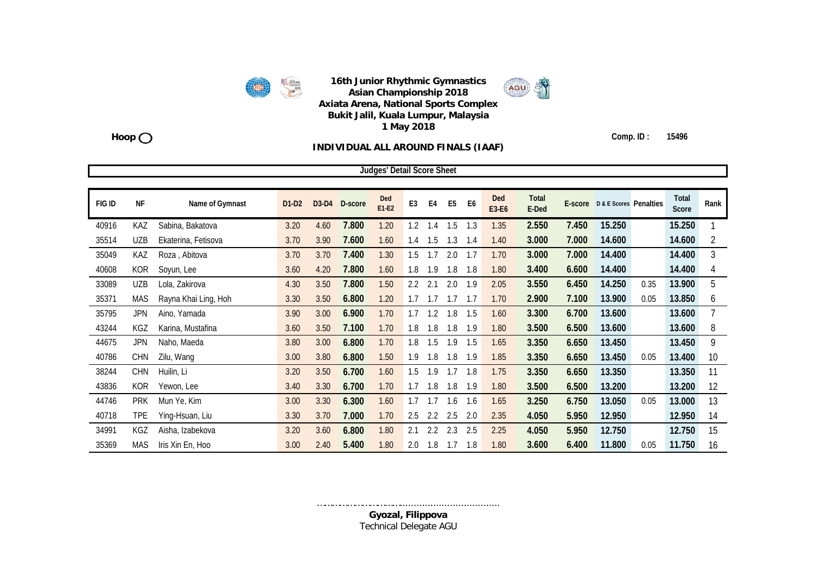

AGU

#### **Hoop Comp. ID : 15496**

#### **INDIVIDUAL ALL AROUND FINALS (IAAF)**

|        |            |                      |         |         |         | <b>Judges' Detail Score Sheet</b> |                |                |                |                |              |                       |       |                                |      |                |      |
|--------|------------|----------------------|---------|---------|---------|-----------------------------------|----------------|----------------|----------------|----------------|--------------|-----------------------|-------|--------------------------------|------|----------------|------|
|        |            |                      |         |         |         |                                   |                |                |                |                |              |                       |       |                                |      |                |      |
| FIG ID | <b>NF</b>  | Name of Gymnast      | $D1-D2$ | $D3-D4$ | D-score | Ded<br>$E1-E2$                    | E <sub>3</sub> | E <sub>4</sub> | E <sub>5</sub> | E <sub>6</sub> | Ded<br>E3-E6 | <b>Total</b><br>E-Ded |       | E-score D & E Scores Penalties |      | Total<br>Score | Rank |
| 40916  | KAZ        | Sabina, Bakatova     | 3.20    | 4.60    | 7.800   | 1.20                              | 1.2            | 1.4            | 1.5            | 1.3            | 1.35         | 2.550                 | 7.450 | 15.250                         |      | 15.250         |      |
| 35514  | <b>UZB</b> | Ekaterina, Fetisova  | 3.70    | 3.90    | 7.600   | 1.60                              | 1.4            | 1.5            | 1.3            | 1.4            | 1.40         | 3.000                 | 7.000 | 14.600                         |      | 14.600         | 2    |
| 35049  | KAZ        | Roza, Abitova        | 3.70    | 3.70    | 7.400   | 1.30                              | 1.5            | 1.7            | 2.0            | 1.7            | 1.70         | 3.000                 | 7.000 | 14.400                         |      | 14.400         | 3    |
| 40608  | <b>KOR</b> | Soyun, Lee           | 3.60    | 4.20    | 7.800   | 1.60                              | 1.8            | 1.9            | 1.8            | 1.8            | 1.80         | 3.400                 | 6.600 | 14.400                         |      | 14.400         | 4    |
| 33089  | <b>UZB</b> | Lola, Zakirova       | 4.30    | 3.50    | 7.800   | 1.50                              | 2.2            | 2.1            | 2.0            | 1.9            | 2.05         | 3.550                 | 6.450 | 14.250                         | 0.35 | 13.900         | 5    |
| 35371  | <b>MAS</b> | Rayna Khai Ling, Hoh | 3.30    | 3.50    | 6.800   | 1.20                              | 1.7            | 1.7            | 1.7            | 1.7            | 1.70         | 2.900                 | 7.100 | 13.900                         | 0.05 | 13.850         | 6    |
| 35795  | <b>JPN</b> | Aino, Yamada         | 3.90    | 3.00    | 6.900   | 1.70                              | 1.7            | 1.2            | 1.8            | 1.5            | 1.60         | 3.300                 | 6.700 | 13.600                         |      | 13.600         |      |
| 43244  | KGZ        | Karina, Mustafina    | 3.60    | 3.50    | 7.100   | 1.70                              | 1.8            | 1.8            | 1.8            | 1.9            | 1.80         | 3.500                 | 6.500 | 13.600                         |      | 13.600         | 8    |
| 44675  | <b>JPN</b> | Naho, Maeda          | 3.80    | 3.00    | 6.800   | 1.70                              | 1.8            | 1.5            | 1.9            | 1.5            | 1.65         | 3.350                 | 6.650 | 13.450                         |      | 13.450         | 9    |
| 40786  | <b>CHN</b> | Zilu, Wang           | 3.00    | 3.80    | 6.800   | 1.50                              | 1.9            | 1.8            | 1.8            | 1.9            | 1.85         | 3.350                 | 6.650 | 13.450                         | 0.05 | 13.400         | 10   |
| 38244  | <b>CHN</b> | Huilin, Li           | 3.20    | 3.50    | 6.700   | 1.60                              | 1.5            | 1.9            | 1.7            | 1.8            | 1.75         | 3.350                 | 6.650 | 13.350                         |      | 13.350         | 11   |
| 43836  | <b>KOR</b> | Yewon, Lee           | 3.40    | 3.30    | 6.700   | 1.70                              | 1.7            | 1.8            | 1.8            | 1.9            | 1.80         | 3.500                 | 6.500 | 13.200                         |      | 13.200         | 12   |
| 44746  | <b>PRK</b> | Mun Ye, Kim          | 3.00    | 3.30    | 6.300   | 1.60                              | 1.7            | 1.7            | 1.6            | 1.6            | 1.65         | 3.250                 | 6.750 | 13.050                         | 0.05 | 13.000         | 13   |
| 40718  | <b>TPE</b> | Ying-Hsuan, Liu      | 3.30    | 3.70    | 7.000   | 1.70                              | 2.5            | 2.2            | 2.5            | 2.0            | 2.35         | 4.050                 | 5.950 | 12.950                         |      | 12.950         | 14   |
| 34991  | KGZ        | Aisha, Izabekova     | 3.20    | 3.60    | 6.800   | 1.80                              | 2.1            | 2.2            | 2.3            | 2.5            | 2.25         | 4.050                 | 5.950 | 12.750                         |      | 12.750         | 15   |
| 35369  | <b>MAS</b> | Iris Xin En, Hoo     | 3.00    | 2.40    | 5.400   | 1.80                              | 2.0            | 1.8            | 1.7            | 1.8            | 1.80         | 3.600                 | 6.400 | 11.800                         | 0.05 | 11.750         | 16   |

…………………………………………………………………………… **Gyozal, Filippova** Technical Delegate AGU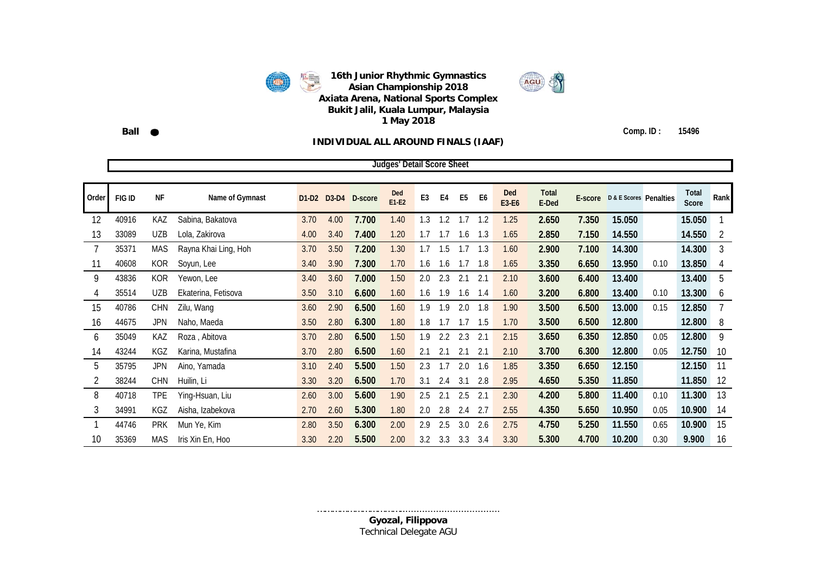

AGU

**Ball Comp. ID : 15496**

#### **INDIVIDUAL ALL AROUND FINALS (IAAF)**

|       |        |            |                      |      |             |         | <b>Judges' Detail Score Sheet</b> |                |                  |                |      |              |                       |         |                        |      |                |      |
|-------|--------|------------|----------------------|------|-------------|---------|-----------------------------------|----------------|------------------|----------------|------|--------------|-----------------------|---------|------------------------|------|----------------|------|
|       |        |            |                      |      |             |         |                                   |                |                  |                |      |              |                       |         |                        |      |                |      |
| Order | FIG ID | <b>NF</b>  | Name of Gymnast      |      | D1-D2 D3-D4 | D-score | Ded<br>E1-E2                      | E <sub>3</sub> | E <sub>4</sub>   | E <sub>5</sub> | E6   | Ded<br>E3-E6 | <b>Total</b><br>E-Ded | E-score | D & E Scores Penalties |      | Total<br>Score | Rank |
| 12    | 40916  | KAZ        | Sabina, Bakatova     | 3.70 | 4.00        | 7.700   | 1.40                              | 1.3            | 1.2              | 1.7            | 1.2  | 1.25         | 2.650                 | 7.350   | 15.050                 |      | 15.050         |      |
| 13    | 33089  | <b>UZB</b> | Lola, Zakirova       | 4.00 | 3.40        | 7.400   | 1.20                              | 1.7            | 1.7              | 1.6            | 1.3  | 1.65         | 2.850                 | 7.150   | 14.550                 |      | 14.550         | 2    |
|       | 35371  | MAS        | Rayna Khai Ling, Hoh | 3.70 | 3.50        | 7.200   | 1.30                              | 1.7            | 1.5              | 1.7            | 1.3  | 1.60         | 2.900                 | 7.100   | 14.300                 |      | 14.300         | 3    |
| 11    | 40608  | <b>KOR</b> | Soyun, Lee           | 3.40 | 3.90        | 7.300   | 1.70                              | 1.6            | 1.6              | 1.7            | 1.8  | 1.65         | 3.350                 | 6.650   | 13.950                 | 0.10 | 13.850         | 4    |
| 9     | 43836  | <b>KOR</b> | Yewon, Lee           | 3.40 | 3.60        | 7.000   | 1.50                              | 2.0            | 2.3              | 2.1            | 2.1  | 2.10         | 3.600                 | 6.400   | 13.400                 |      | 13.400         | 5    |
| 4     | 35514  | <b>UZB</b> | Ekaterina, Fetisova  | 3.50 | 3.10        | 6.600   | 1.60                              | 1.6            | 1.9              | 1.6            | 1.4  | 1.60         | 3.200                 | 6.800   | 13.400                 | 0.10 | 13.300         | 6    |
| 15    | 40786  | <b>CHN</b> | Zilu, Wang           | 3.60 | 2.90        | 6.500   | 1.60                              | 1.9            | 1.9              | 2.0            | 1.8  | 1.90         | 3.500                 | 6.500   | 13.000                 | 0.15 | 12.850         |      |
| 16    | 44675  | <b>JPN</b> | Naho, Maeda          | 3.50 | 2.80        | 6.300   | 1.80                              | 1.8            | 1.7              | 1.7            | 1.5  | 1.70         | 3.500                 | 6.500   | 12.800                 |      | 12.800         | 8    |
| 6     | 35049  | KAZ        | Roza, Abitova        | 3.70 | 2.80        | 6.500   | 1.50                              | 1.9            | $2.2\phantom{0}$ | 2.3            | 2.1  | 2.15         | 3.650                 | 6.350   | 12.850                 | 0.05 | 12.800         | 9    |
| 14    | 43244  | KGZ        | Karina, Mustafina    | 3.70 | 2.80        | 6.500   | 1.60                              | 2.1            | 2.1              | 2.1            | -2.1 | 2.10         | 3.700                 | 6.300   | 12.800                 | 0.05 | 12.750         | 10   |
| 5     | 35795  | <b>JPN</b> | Aino, Yamada         | 3.10 | 2.40        | 5.500   | 1.50                              | 2.3            | 1.7              | 2.0            | 1.6  | 1.85         | 3.350                 | 6.650   | 12.150                 |      | 12.150         | 11   |
|       | 38244  | <b>CHN</b> | Huilin, Li           | 3.30 | 3.20        | 6.500   | 1.70                              | 3.1            | 2.4              | 3.1            | 2.8  | 2.95         | 4.650                 | 5.350   | 11.850                 |      | 11.850         | 12   |
| 8     | 40718  | TPE        | Ying-Hsuan, Liu      | 2.60 | 3.00        | 5.600   | 1.90                              | 2.5            | 2.1              | 2.5            | 2.1  | 2.30         | 4.200                 | 5.800   | 11.400                 | 0.10 | 11.300         | 13   |
| 3     | 34991  | KGZ        | Aisha, Izabekova     | 2.70 | 2.60        | 5.300   | 1.80                              | 2.0            | 2.8              | 2.4            | -2.7 | 2.55         | 4.350                 | 5.650   | 10.950                 | 0.05 | 10.900         | 14   |
|       | 44746  | <b>PRK</b> | Mun Ye, Kim          | 2.80 | 3.50        | 6.300   | 2.00                              | 2.9            | 2.5              | 3.0            | 2.6  | 2.75         | 4.750                 | 5.250   | 11.550                 | 0.65 | 10.900         | 15   |
| 10    | 35369  | MAS        | Iris Xin En, Hoo     | 3.30 | 2.20        | 5.500   | 2.00                              | 3.2            | 3.3              | 3.3            | 3.4  | 3.30         | 5.300                 | 4.700   | 10.200                 | 0.30 | 9.900          | 16   |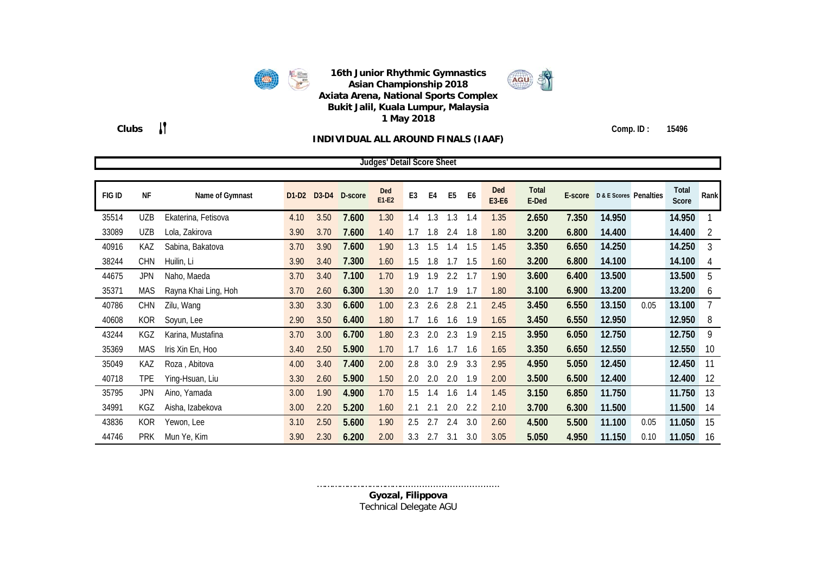

**Clubs Comp. ID : 15496**

#### **INDIVIDUAL ALL AROUND FINALS (IAAF)**

|        |            |                      |         |      |               | Judges' Detail Score Sheet |                |     |                |                |              |                       |       |                                |      |                |                |
|--------|------------|----------------------|---------|------|---------------|----------------------------|----------------|-----|----------------|----------------|--------------|-----------------------|-------|--------------------------------|------|----------------|----------------|
|        |            |                      |         |      |               |                            |                |     |                |                |              |                       |       |                                |      |                |                |
| FIG ID | <b>NF</b>  | Name of Gymnast      | $D1-D2$ |      | D3-D4 D-score | Ded<br>$E1-E2$             | E <sub>3</sub> | E4  | E <sub>5</sub> | E <sub>6</sub> | Ded<br>E3-E6 | <b>Total</b><br>E-Ded |       | E-score D & E Scores Penalties |      | Total<br>Score | Rank           |
| 35514  | <b>UZB</b> | Ekaterina, Fetisova  | 4.10    | 3.50 | 7.600         | 1.30                       | 1.4            | 1.3 | 1.3            | -1.4           | 1.35         | 2.650                 | 7.350 | 14.950                         |      | 14.950         |                |
| 33089  | <b>UZB</b> | Lola, Zakirova       | 3.90    | 3.70 | 7.600         | 1.40                       | 1.7            | 1.8 | 2.4            | 1.8            | 1.80         | 3.200                 | 6.800 | 14.400                         |      | 14.400         | $\overline{2}$ |
| 40916  | KAZ        | Sabina, Bakatova     | 3.70    | 3.90 | 7.600         | 1.90                       | 1.3            | 1.5 | 1.4            | 1.5            | 1.45         | 3.350                 | 6.650 | 14.250                         |      | 14.250         | 3              |
| 38244  | CHN        | Huilin, Li           | 3.90    | 3.40 | 7.300         | 1.60                       | 1.5            | 1.8 | 1.7            | 1.5            | 1.60         | 3.200                 | 6.800 | 14.100                         |      | 14.100         | 4              |
| 44675  | JPN        | Naho, Maeda          | 3.70    | 3.40 | 7.100         | 1.70                       | 1.9            | 1.9 | 2.2            | 1.7            | 1.90         | 3.600                 | 6.400 | 13.500                         |      | 13.500         | 5              |
| 35371  | <b>MAS</b> | Rayna Khai Ling, Hoh | 3.70    | 2.60 | 6.300         | 1.30                       | 2.0            | 1.7 | 1.9            | 1.7            | 1.80         | 3.100                 | 6.900 | 13.200                         |      | 13.200         | 6              |
| 40786  | <b>CHN</b> | Zilu, Wang           | 3.30    | 3.30 | 6.600         | 1.00                       | 2.3            | 2.6 | 2.8            | 2.1            | 2.45         | 3.450                 | 6.550 | 13.150                         | 0.05 | 13.100         |                |
| 40608  | <b>KOR</b> | Soyun, Lee           | 2.90    | 3.50 | 6.400         | 1.80                       | 1.7            | 1.6 | 1.6            | 1.9            | 1.65         | 3.450                 | 6.550 | 12.950                         |      | 12.950         | 8              |
| 43244  | KGZ        | Karina, Mustafina    | 3.70    | 3.00 | 6.700         | 1.80                       | 2.3            | 2.0 | 2.3            | 1.9            | 2.15         | 3.950                 | 6.050 | 12.750                         |      | 12.750         | 9              |
| 35369  | <b>MAS</b> | Iris Xin En, Hoo     | 3.40    | 2.50 | 5.900         | 1.70                       | 1.7            | 1.6 | 1.7            | 1.6            | 1.65         | 3.350                 | 6.650 | 12.550                         |      | 12.550         | 10             |
| 35049  | KAZ        | Roza, Abitova        | 4.00    | 3.40 | 7.400         | 2.00                       | 2.8            | 3.0 | 2.9            | 3.3            | 2.95         | 4.950                 | 5.050 | 12.450                         |      | 12.450         | 11             |
| 40718  | <b>TPE</b> | Ying-Hsuan, Liu      | 3.30    | 2.60 | 5.900         | 1.50                       | 2.0            | 2.0 | 2.0            | 1.9            | 2.00         | 3.500                 | 6.500 | 12.400                         |      | 12.400         | 12             |
| 35795  | <b>JPN</b> | Aino, Yamada         | 3.00    | 1.90 | 4.900         | 1.70                       | 1.5            | 1.4 | 1.6            | 1.4            | 1.45         | 3.150                 | 6.850 | 11.750                         |      | 11.750         | 13             |
| 34991  | KGZ        | Aisha, Izabekova     | 3.00    | 2.20 | 5.200         | 1.60                       | 2.1            | 2.1 | 2.0            | 2.2            | 2.10         | 3.700                 | 6.300 | 11.500                         |      | 11.500         | 14             |
| 43836  | KOR        | Yewon, Lee           | 3.10    | 2.50 | 5.600         | 1.90                       | 2.5            | 2.7 | 2.4            | 3.0            | 2.60         | 4.500                 | 5.500 | 11.100                         | 0.05 | 11.050         | 15             |
| 44746  | <b>PRK</b> | Mun Ye, Kim          | 3.90    | 2.30 | 6.200         | 2.00                       | 3.3            | 2.7 | 3.1            | 3.0            | 3.05         | 5.050                 | 4.950 | 11.150                         | 0.10 | 11.050         | 16             |

………………………………………………………………………………… **Gyozal, Filippova** Technical Delegate AGU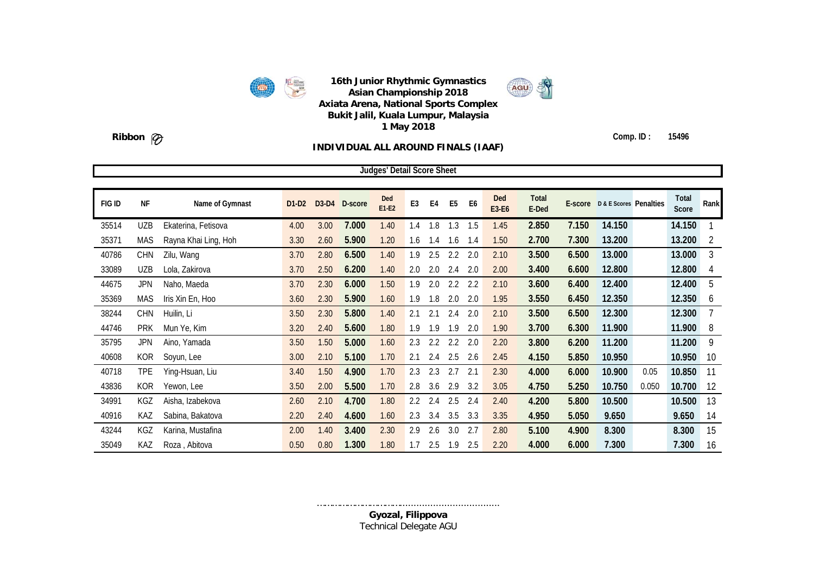



### **Ribbon Comp. ID : 15496**

#### **INDIVIDUAL ALL AROUND FINALS (IAAF)**

|        |            |                      |         |      |               | <b>Judges' Detail Score Sheet</b> |                |                |                |                |                     |                       |       |                                |       |                |                |
|--------|------------|----------------------|---------|------|---------------|-----------------------------------|----------------|----------------|----------------|----------------|---------------------|-----------------------|-------|--------------------------------|-------|----------------|----------------|
|        |            |                      |         |      |               |                                   |                |                |                |                |                     |                       |       |                                |       |                |                |
| FIG ID | <b>NF</b>  | Name of Gymnast      | $D1-D2$ |      | D3-D4 D-score | Ded<br>$E1-E2$                    | E <sub>3</sub> | E <sub>4</sub> | E <sub>5</sub> | E <sub>6</sub> | <b>Ded</b><br>E3-E6 | <b>Total</b><br>E-Ded |       | E-score D & E Scores Penalties |       | Total<br>Score | Rank           |
| 35514  | <b>UZB</b> | Ekaterina, Fetisova  | 4.00    | 3.00 | 7.000         | 1.40                              | 1.4            | 1.8            | 1.3            | 1.5            | 1.45                | 2.850                 | 7.150 | 14.150                         |       | 14.150         |                |
| 35371  | <b>MAS</b> | Rayna Khai Ling, Hoh | 3.30    | 2.60 | 5.900         | 1.20                              | 1.6            | 1.4            | 1.6            | 1.4            | 1.50                | 2.700                 | 7.300 | 13.200                         |       | 13.200         | $\overline{2}$ |
| 40786  | <b>CHN</b> | Zilu, Wang           | 3.70    | 2.80 | 6.500         | 1.40                              | 1.9            | 2.5            | 2.2            | 2.0            | 2.10                | 3.500                 | 6.500 | 13.000                         |       | 13.000         | 3              |
| 33089  | <b>UZB</b> | Lola, Zakirova       | 3.70    | 2.50 | 6.200         | 1.40                              | 2.0            | 2.0            | 2.4            | 2.0            | 2.00                | 3.400                 | 6.600 | 12.800                         |       | 12.800         | 4              |
| 44675  | <b>JPN</b> | Naho, Maeda          | 3.70    | 2.30 | 6.000         | 1.50                              | 1.9            | 2.0            | 2.2            | 2.2            | 2.10                | 3.600                 | 6.400 | 12.400                         |       | 12.400         | 5              |
| 35369  | <b>MAS</b> | Iris Xin En, Hoo     | 3.60    | 2.30 | 5.900         | 1.60                              | 1.9            | 1.8            | 2.0            | 2.0            | 1.95                | 3.550                 | 6.450 | 12.350                         |       | 12.350         | 6              |
| 38244  | CHN        | Huilin, Li           | 3.50    | 2.30 | 5.800         | 1.40                              | 2.1            | 2.1            | 2.4            | 2.0            | 2.10                | 3.500                 | 6.500 | 12.300                         |       | 12.300         | 7              |
| 44746  | <b>PRK</b> | Mun Ye, Kim          | 3.20    | 2.40 | 5.600         | 1.80                              | 1.9            | 1.9            | 1.9            | 2.0            | 1.90                | 3.700                 | 6.300 | 11.900                         |       | 11.900         | 8              |
| 35795  | <b>JPN</b> | Aino, Yamada         | 3.50    | 1.50 | 5.000         | 1.60                              | 2.3            | 2.2            | 2.2            | 2.0            | 2.20                | 3.800                 | 6.200 | 11.200                         |       | 11.200         | 9              |
| 40608  | <b>KOR</b> | Soyun, Lee           | 3.00    | 2.10 | 5.100         | 1.70                              | 2.1            | 2.4            | 2.5            | 2.6            | 2.45                | 4.150                 | 5.850 | 10.950                         |       | 10.950         | 10             |
| 40718  | TPE        | Ying-Hsuan, Liu      | 3.40    | 1.50 | 4.900         | 1.70                              | 2.3            | 2.3            | 2.7            | 2.1            | 2.30                | 4.000                 | 6.000 | 10.900                         | 0.05  | 10.850         | 11             |
| 43836  | <b>KOR</b> | Yewon, Lee           | 3.50    | 2.00 | 5.500         | 1.70                              | 2.8            | 3.6            | 2.9            | 3.2            | 3.05                | 4.750                 | 5.250 | 10.750                         | 0.050 | 10.700         | 12             |
| 34991  | KGZ        | Aisha, Izabekova     | 2.60    | 2.10 | 4.700         | 1.80                              | 2.2            | 2.4            | 2.5            | 2.4            | 2.40                | 4.200                 | 5.800 | 10.500                         |       | 10.500         | 13             |
| 40916  | KAZ        | Sabina, Bakatova     | 2.20    | 2.40 | 4.600         | 1.60                              | 2.3            | 3.4            | 3.5            | 3.3            | 3.35                | 4.950                 | 5.050 | 9.650                          |       | 9.650          | 14             |
| 43244  | KGZ        | Karina, Mustafina    | 2.00    | 1.40 | 3.400         | 2.30                              | 2.9            | 2.6            | 3.0            | 2.7            | 2.80                | 5.100                 | 4.900 | 8.300                          |       | 8.300          | 15             |
| 35049  | KAZ        | Roza, Abitova        | 0.50    | 0.80 | 1.300         | 1.80                              | 1.7            | 2.5            | 1.9            | 2.5            | 2.20                | 4.000                 | 6.000 | 7.300                          |       | 7.300          | 16             |

…………………………………………………………………………… **Gyozal, Filippova** Technical Delegate AGU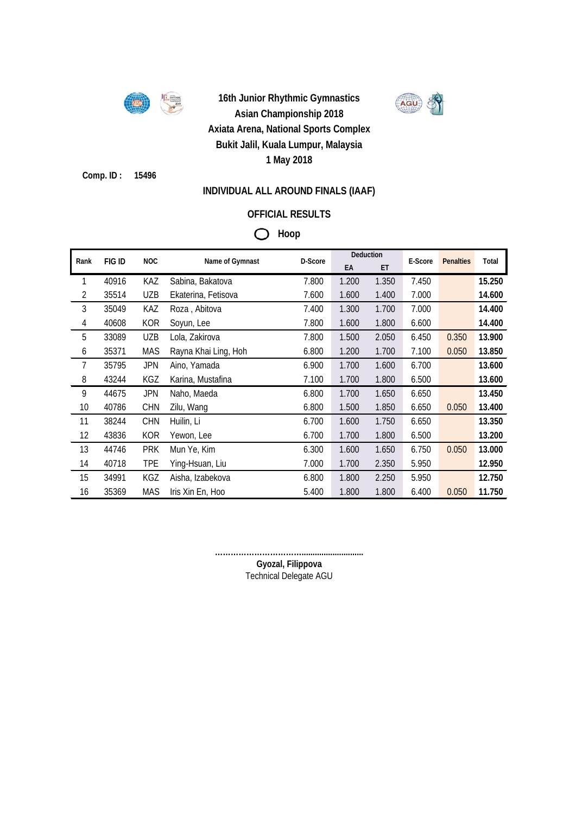

AGU

**Comp. ID : 15496**

### **INDIVIDUAL ALL AROUND FINALS (IAAF)**

## **OFFICIAL RESULTS**

## **Hoop**

| Rank           | FIG ID | <b>NOC</b> | Name of Gymnast      | D-Score | Deduction |       | E-Score | <b>Penalties</b> | Total  |
|----------------|--------|------------|----------------------|---------|-----------|-------|---------|------------------|--------|
|                |        |            |                      |         | EA        | ET    |         |                  |        |
| 1              | 40916  | <b>KAZ</b> | Sabina, Bakatova     | 7.800   | 1.200     | 1.350 | 7.450   |                  | 15.250 |
| $\overline{2}$ | 35514  | <b>UZB</b> | Ekaterina, Fetisova  | 7.600   | 1.600     | 1.400 | 7.000   |                  | 14.600 |
| 3              | 35049  | KAZ        | Roza, Abitova        | 7.400   | 1.300     | 1.700 | 7.000   |                  | 14.400 |
| $\overline{4}$ | 40608  | <b>KOR</b> | Soyun, Lee           | 7.800   | 1.600     | 1.800 | 6.600   |                  | 14.400 |
| 5              | 33089  | UZB        | Lola, Zakirova       | 7.800   | 1.500     | 2.050 | 6.450   | 0.350            | 13.900 |
| 6              | 35371  | <b>MAS</b> | Rayna Khai Ling, Hoh | 6.800   | 1.200     | 1.700 | 7.100   | 0.050            | 13.850 |
| 7              | 35795  | <b>JPN</b> | Aino, Yamada         | 6.900   | 1.700     | 1.600 | 6.700   |                  | 13.600 |
| 8              | 43244  | KGZ        | Karina, Mustafina    | 7.100   | 1.700     | 1.800 | 6.500   |                  | 13.600 |
| 9              | 44675  | <b>JPN</b> | Naho, Maeda          | 6.800   | 1.700     | 1.650 | 6.650   |                  | 13.450 |
| 10             | 40786  | <b>CHN</b> | Zilu, Wang           | 6.800   | 1.500     | 1.850 | 6.650   | 0.050            | 13.400 |
| 11             | 38244  | <b>CHN</b> | Huilin, Li           | 6.700   | 1.600     | 1.750 | 6.650   |                  | 13.350 |
| 12             | 43836  | KOR        | Yewon, Lee           | 6.700   | 1.700     | 1.800 | 6.500   |                  | 13.200 |
| 13             | 44746  | <b>PRK</b> | Mun Ye, Kim          | 6.300   | 1.600     | 1.650 | 6.750   | 0.050            | 13.000 |
| 14             | 40718  | <b>TPE</b> | Ying-Hsuan, Liu      | 7.000   | 1.700     | 2.350 | 5.950   |                  | 12.950 |
| 15             | 34991  | KGZ        | Aisha, Izabekova     | 6.800   | 1.800     | 2.250 | 5.950   |                  | 12.750 |
| 16             | 35369  | <b>MAS</b> | Iris Xin En, Hoo     | 5.400   | 1.800     | 1.800 | 6.400   | 0.050            | 11.750 |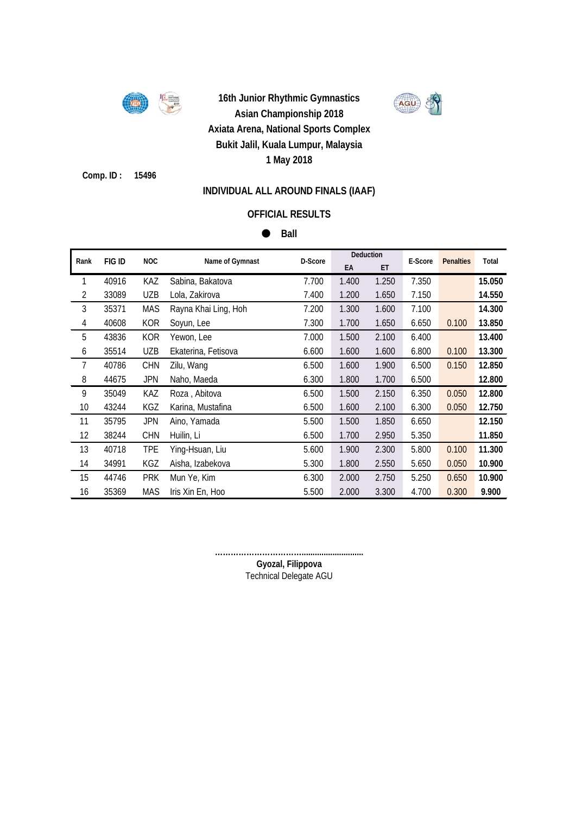

AGU

**Comp. ID : 15496**

### **INDIVIDUAL ALL AROUND FINALS (IAAF)**

### **OFFICIAL RESULTS**

 $B$ 

| Rank           | <b>FIG ID</b> | <b>NOC</b> | Name of Gymnast      | D-Score | Deduction |       | E-Score | <b>Penalties</b> | Total  |
|----------------|---------------|------------|----------------------|---------|-----------|-------|---------|------------------|--------|
|                |               |            |                      |         | EA        | ET    |         |                  |        |
| 1              | 40916         | KAZ        | Sabina, Bakatova     | 7.700   | 1.400     | 1.250 | 7.350   |                  | 15.050 |
| $\overline{2}$ | 33089         | <b>UZB</b> | Lola, Zakirova       | 7.400   | 1.200     | 1.650 | 7.150   |                  | 14.550 |
| 3              | 35371         | <b>MAS</b> | Rayna Khai Ling, Hoh | 7.200   | 1.300     | 1.600 | 7.100   |                  | 14.300 |
| $\overline{4}$ | 40608         | <b>KOR</b> | Soyun, Lee           | 7.300   | 1.700     | 1.650 | 6.650   | 0.100            | 13.850 |
| 5              | 43836         | <b>KOR</b> | Yewon, Lee           | 7.000   | 1.500     | 2.100 | 6.400   |                  | 13.400 |
| 6              | 35514         | <b>UZB</b> | Ekaterina, Fetisova  | 6.600   | 1.600     | 1.600 | 6.800   | 0.100            | 13.300 |
| 7              | 40786         | <b>CHN</b> | Zilu, Wang           | 6.500   | 1.600     | 1.900 | 6.500   | 0.150            | 12.850 |
| 8              | 44675         | JPN        | Naho, Maeda          | 6.300   | 1.800     | 1.700 | 6.500   |                  | 12.800 |
| 9              | 35049         | KAZ        | Roza, Abitova        | 6.500   | 1.500     | 2.150 | 6.350   | 0.050            | 12.800 |
| 10             | 43244         | KGZ        | Karina, Mustafina    | 6.500   | 1.600     | 2.100 | 6.300   | 0.050            | 12.750 |
| 11             | 35795         | <b>JPN</b> | Aino, Yamada         | 5.500   | 1.500     | 1.850 | 6.650   |                  | 12.150 |
| 12             | 38244         | <b>CHN</b> | Huilin, Li           | 6.500   | 1.700     | 2.950 | 5.350   |                  | 11.850 |
| 13             | 40718         | <b>TPE</b> | Ying-Hsuan, Liu      | 5.600   | 1.900     | 2.300 | 5.800   | 0.100            | 11.300 |
| 14             | 34991         | KGZ        | Aisha, Izabekova     | 5.300   | 1.800     | 2.550 | 5.650   | 0.050            | 10.900 |
| 15             | 44746         | <b>PRK</b> | Mun Ye, Kim          | 6.300   | 2.000     | 2.750 | 5.250   | 0.650            | 10.900 |
| 16             | 35369         | <b>MAS</b> | Iris Xin En, Hoo     | 5.500   | 2.000     | 3.300 | 4.700   | 0.300            | 9.900  |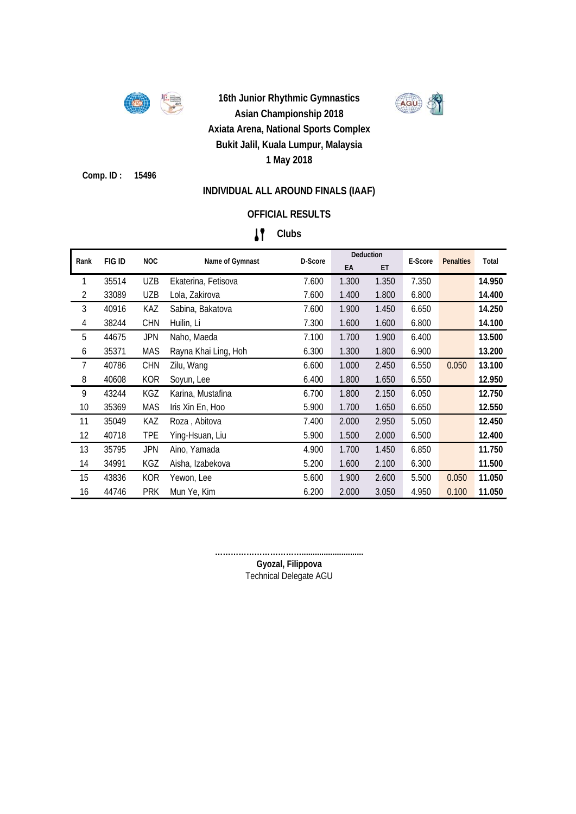

AGU

**Comp. ID : 15496**

### **INDIVIDUAL ALL AROUND FINALS (IAAF)**

## **OFFICIAL RESULTS**

## **Clubs**

|      |               |            |                      |         |       | Deduction |         |                  |        |
|------|---------------|------------|----------------------|---------|-------|-----------|---------|------------------|--------|
| Rank | <b>FIG ID</b> | <b>NOC</b> | Name of Gymnast      | D-Score | EA    | ET        | E-Score | <b>Penalties</b> | Total  |
| 1    | 35514         | <b>UZB</b> | Ekaterina, Fetisova  | 7.600   | 1.300 | 1.350     | 7.350   |                  | 14.950 |
| 2    | 33089         | <b>UZB</b> | Lola, Zakirova       | 7.600   | 1.400 | 1.800     | 6.800   |                  | 14.400 |
| 3    | 40916         | KAZ        | Sabina, Bakatova     | 7.600   | 1.900 | 1.450     | 6.650   |                  | 14.250 |
| 4    | 38244         | <b>CHN</b> | Huilin, Li           | 7.300   | 1.600 | 1.600     | 6.800   |                  | 14.100 |
| 5    | 44675         | JPN        | Naho, Maeda          | 7.100   | 1.700 | 1.900     | 6.400   |                  | 13.500 |
| 6    | 35371         | MAS        | Rayna Khai Ling, Hoh | 6.300   | 1.300 | 1.800     | 6.900   |                  | 13.200 |
| 7    | 40786         | <b>CHN</b> | Zilu, Wang           | 6.600   | 1.000 | 2.450     | 6.550   | 0.050            | 13.100 |
| 8    | 40608         | <b>KOR</b> | Soyun, Lee           | 6.400   | 1.800 | 1.650     | 6.550   |                  | 12.950 |
| 9    | 43244         | KGZ        | Karina, Mustafina    | 6.700   | 1.800 | 2.150     | 6.050   |                  | 12.750 |
| 10   | 35369         | <b>MAS</b> | Iris Xin En, Hoo     | 5.900   | 1.700 | 1.650     | 6.650   |                  | 12.550 |
| 11   | 35049         | KAZ        | Roza, Abitova        | 7.400   | 2.000 | 2.950     | 5.050   |                  | 12.450 |
| 12   | 40718         | <b>TPE</b> | Ying-Hsuan, Liu      | 5.900   | 1.500 | 2.000     | 6.500   |                  | 12.400 |
| 13   | 35795         | <b>JPN</b> | Aino, Yamada         | 4.900   | 1.700 | 1.450     | 6.850   |                  | 11.750 |
| 14   | 34991         | KGZ        | Aisha, Izabekova     | 5.200   | 1.600 | 2.100     | 6.300   |                  | 11.500 |
| 15   | 43836         | <b>KOR</b> | Yewon, Lee           | 5.600   | 1.900 | 2.600     | 5.500   | 0.050            | 11.050 |
| 16   | 44746         | <b>PRK</b> | Mun Ye, Kim          | 6.200   | 2.000 | 3.050     | 4.950   | 0.100            | 11.050 |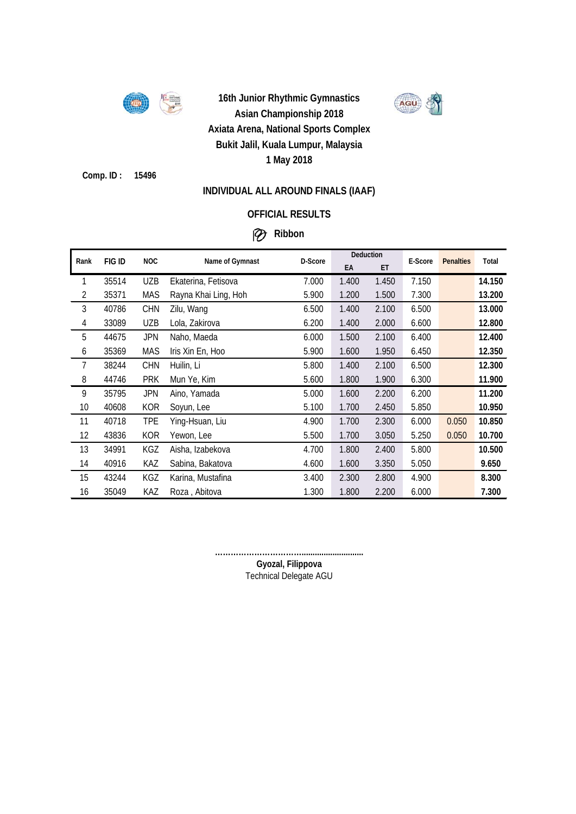

AGU

**Comp. ID : 15496**

### **INDIVIDUAL ALL AROUND FINALS (IAAF)**

### **OFFICIAL RESULTS**

## **Ribbon**

|                |        |            |                      | D-Score | Deduction |       | E-Score |                  | Total  |
|----------------|--------|------------|----------------------|---------|-----------|-------|---------|------------------|--------|
| Rank           | FIG ID | <b>NOC</b> | Name of Gymnast      |         | EA        | ET    |         | <b>Penalties</b> |        |
| 1              | 35514  | <b>UZB</b> | Ekaterina, Fetisova  | 7.000   | 1.400     | 1.450 | 7.150   |                  | 14.150 |
| $\overline{2}$ | 35371  | <b>MAS</b> | Rayna Khai Ling, Hoh | 5.900   | 1.200     | 1.500 | 7.300   |                  | 13.200 |
| 3              | 40786  | <b>CHN</b> | Zilu, Wang           | 6.500   | 1.400     | 2.100 | 6.500   |                  | 13.000 |
| $\overline{4}$ | 33089  | <b>UZB</b> | Lola, Zakirova       | 6.200   | 1.400     | 2.000 | 6.600   |                  | 12.800 |
| 5              | 44675  | <b>JPN</b> | Naho, Maeda          | 6.000   | 1.500     | 2.100 | 6.400   |                  | 12.400 |
| 6              | 35369  | <b>MAS</b> | Iris Xin En, Hoo     | 5.900   | 1.600     | 1.950 | 6.450   |                  | 12.350 |
| 7              | 38244  | <b>CHN</b> | Huilin, Li           | 5.800   | 1.400     | 2.100 | 6.500   |                  | 12.300 |
| 8              | 44746  | <b>PRK</b> | Mun Ye, Kim          | 5.600   | 1.800     | 1.900 | 6.300   |                  | 11.900 |
| 9              | 35795  | <b>JPN</b> | Aino, Yamada         | 5.000   | 1.600     | 2.200 | 6.200   |                  | 11.200 |
| 10             | 40608  | <b>KOR</b> | Soyun, Lee           | 5.100   | 1.700     | 2.450 | 5.850   |                  | 10.950 |
| 11             | 40718  | <b>TPE</b> | Ying-Hsuan, Liu      | 4.900   | 1.700     | 2.300 | 6.000   | 0.050            | 10.850 |
| 12             | 43836  | KOR        | Yewon, Lee           | 5.500   | 1.700     | 3.050 | 5.250   | 0.050            | 10.700 |
| 13             | 34991  | KGZ        | Aisha, Izabekova     | 4.700   | 1.800     | 2.400 | 5.800   |                  | 10.500 |
| 14             | 40916  | KAZ        | Sabina, Bakatova     | 4.600   | 1.600     | 3.350 | 5.050   |                  | 9.650  |
| 15             | 43244  | KGZ        | Karina, Mustafina    | 3.400   | 2.300     | 2.800 | 4.900   |                  | 8.300  |
| 16             | 35049  | KAZ        | Roza, Abitova        | 1.300   | 1.800     | 2.200 | 6.000   |                  | 7.300  |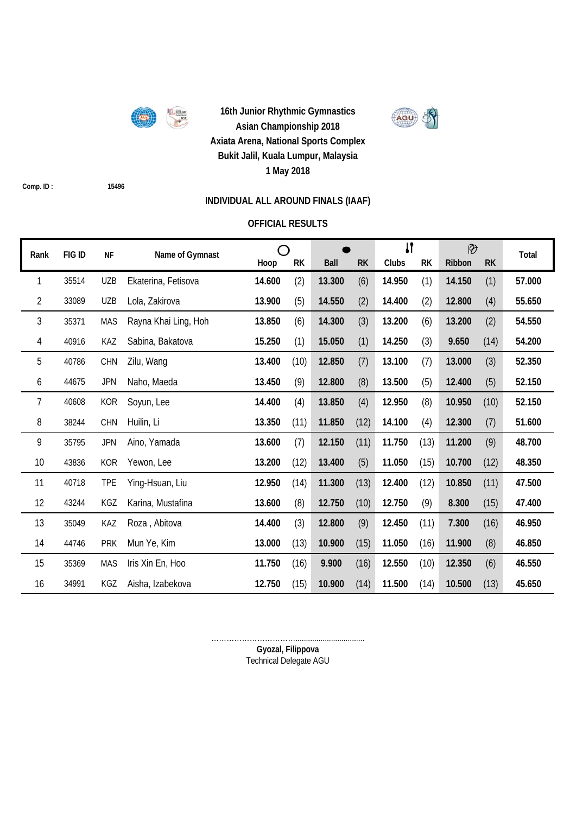

AGU

**Comp. ID : 15496**

## **INDIVIDUAL ALL AROUND FINALS (IAAF)**

### **OFFICIAL RESULTS**

| Rank | FIG ID | <b>NF</b>  | Name of Gymnast      | ∩      |           |             |           | $\mathbf{I}$ |           | $\circledR$ |           | Total  |
|------|--------|------------|----------------------|--------|-----------|-------------|-----------|--------------|-----------|-------------|-----------|--------|
|      |        |            |                      | Hoop   | <b>RK</b> | <b>Ball</b> | <b>RK</b> | Clubs        | <b>RK</b> | Ribbon      | <b>RK</b> |        |
| 1    | 35514  | <b>UZB</b> | Ekaterina, Fetisova  | 14.600 | (2)       | 13.300      | (6)       | 14.950       | (1)       | 14.150      | (1)       | 57.000 |
| 2    | 33089  | <b>UZB</b> | Lola, Zakirova       | 13.900 | (5)       | 14.550      | (2)       | 14.400       | (2)       | 12.800      | (4)       | 55.650 |
| 3    | 35371  | <b>MAS</b> | Rayna Khai Ling, Hoh | 13.850 | (6)       | 14.300      | (3)       | 13.200       | (6)       | 13.200      | (2)       | 54.550 |
| 4    | 40916  | KAZ        | Sabina, Bakatova     | 15.250 | (1)       | 15.050      | (1)       | 14.250       | (3)       | 9.650       | (14)      | 54.200 |
| 5    | 40786  | CHN        | Zilu, Wang           | 13.400 | (10)      | 12.850      | (7)       | 13.100       | (7)       | 13.000      | (3)       | 52.350 |
| 6    | 44675  | <b>JPN</b> | Naho, Maeda          | 13.450 | (9)       | 12.800      | (8)       | 13.500       | (5)       | 12.400      | (5)       | 52.150 |
| 7    | 40608  | <b>KOR</b> | Soyun, Lee           | 14.400 | (4)       | 13.850      | (4)       | 12.950       | (8)       | 10.950      | (10)      | 52.150 |
| 8    | 38244  | CHN        | Huilin, Li           | 13.350 | (11)      | 11.850      | (12)      | 14.100       | (4)       | 12.300      | (7)       | 51.600 |
| 9    | 35795  | <b>JPN</b> | Aino, Yamada         | 13.600 | (7)       | 12.150      | (11)      | 11.750       | (13)      | 11.200      | (9)       | 48.700 |
| 10   | 43836  | <b>KOR</b> | Yewon, Lee           | 13.200 | (12)      | 13.400      | (5)       | 11.050       | (15)      | 10.700      | (12)      | 48.350 |
| 11   | 40718  | <b>TPE</b> | Ying-Hsuan, Liu      | 12.950 | (14)      | 11.300      | (13)      | 12.400       | (12)      | 10.850      | (11)      | 47.500 |
| 12   | 43244  | KGZ        | Karina, Mustafina    | 13.600 | (8)       | 12.750      | (10)      | 12.750       | (9)       | 8.300       | (15)      | 47.400 |
| 13   | 35049  | KAZ        | Roza, Abitova        | 14.400 | (3)       | 12.800      | (9)       | 12.450       | (11)      | 7.300       | (16)      | 46.950 |
| 14   | 44746  | <b>PRK</b> | Mun Ye, Kim          | 13.000 | (13)      | 10.900      | (15)      | 11.050       | (16)      | 11.900      | (8)       | 46.850 |
| 15   | 35369  | <b>MAS</b> | Iris Xin En, Hoo     | 11.750 | (16)      | 9.900       | (16)      | 12.550       | (10)      | 12.350      | (6)       | 46.550 |
| 16   | 34991  | KGZ        | Aisha, Izabekova     | 12.750 | (15)      | 10.900      | (14)      | 11.500       | (14)      | 10.500      | (13)      | 45.650 |

**Gyozal, Filippova** ……………………………................................. Technical Delegate AGU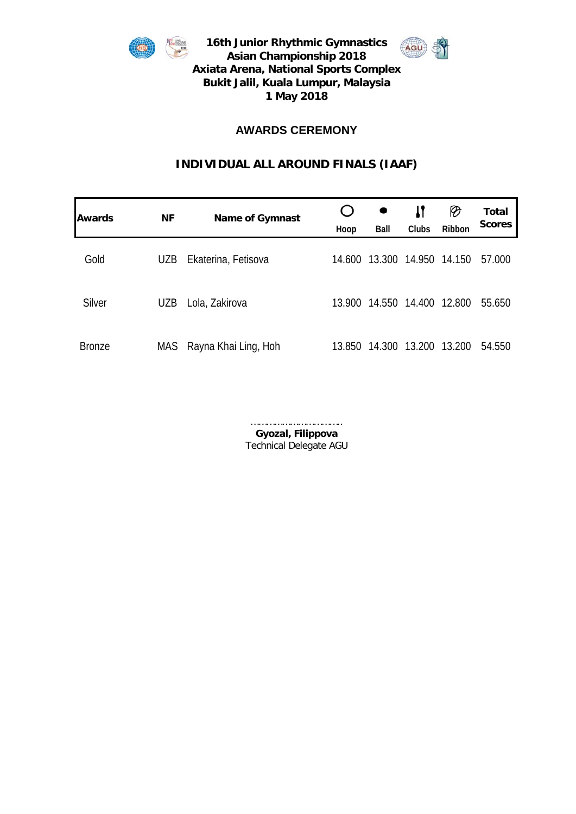



## **AWARDS CEREMONY**

## **INDIVIDUAL ALL AROUND FINALS (IAAF)**

| Awards        | <b>NF</b> | <b>Name of Gymnast</b> | Hoop   | Ball   | IJ<br>Clubs | $\vartheta$<br>Ribbon | <b>Total</b><br><b>Scores</b> |
|---------------|-----------|------------------------|--------|--------|-------------|-----------------------|-------------------------------|
| Gold          | UZB       | Ekaterina, Fetisova    | 14.600 | 13.300 | 14.950      | 14.150                | 57.000                        |
| Silver        | UZB       | Lola, Zakirova         | 13.900 | 14.550 | 14.400      | 12.800                | 55.650                        |
| <b>Bronze</b> | MAS       | Rayna Khai Ling, Hoh   | 13.850 | 14.300 | 13.200      | 13.200                | 54.550                        |

**Gyozal, Filippova** Technical Delegate AGU ……………………………..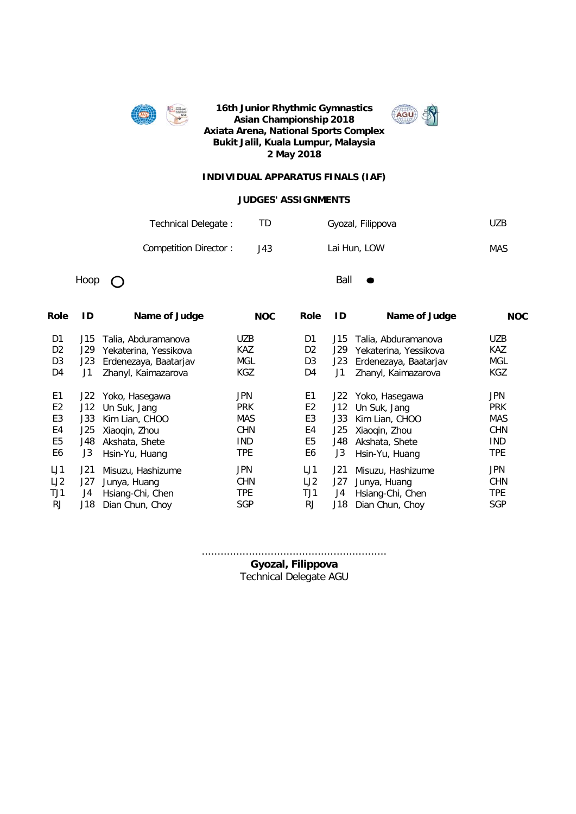



#### **INDIVIDUAL APPARATUS FINALS (IAF)**

#### **JUDGES' ASSIGNMENTS**

| Technical Delegate:   |      | Gyozal, Filippova | UZB. |
|-----------------------|------|-------------------|------|
| Competition Director: | J43. | Lai Hun, LOW      | MAS  |

Hoop  $\bigcap$ 

| Role           | ID  | Name of Judge         | <b>NOC</b> | Role           | ID  | Name of Judge         | <b>NOC</b> |
|----------------|-----|-----------------------|------------|----------------|-----|-----------------------|------------|
| D <sub>1</sub> | J15 | Talia, Abduramanova   | <b>UZB</b> | D <sub>1</sub> | J15 | Talia, Abduramanova   | <b>UZB</b> |
| D <sub>2</sub> | J29 | Yekaterina, Yessikova | <b>KAZ</b> | D <sub>2</sub> | J29 | Yekaterina, Yessikova | <b>KAZ</b> |
| D <sub>3</sub> | J23 | Erdenezaya, Baatarjav | MGL        | D <sub>3</sub> | J23 | Erdenezaya, Baatarjav | <b>MGL</b> |
| D4             | J1  | Zhanyl, Kaimazarova   | KGZ        | D4             | J1  | Zhanyl, Kaimazarova   | <b>KGZ</b> |
| E <sub>1</sub> | J22 | Yoko, Hasegawa        | <b>JPN</b> | E <sub>1</sub> | J22 | Yoko, Hasegawa        | JPN        |
| E <sub>2</sub> | J12 | Un Suk, Jang          | <b>PRK</b> | E <sub>2</sub> | J12 | Un Suk, Jang          | <b>PRK</b> |
| E <sub>3</sub> | J33 | Kim Lian, CHOO        | <b>MAS</b> | E <sub>3</sub> | J33 | Kim Lian, CHOO        | <b>MAS</b> |
| E4             | J25 | Xiaogin, Zhou         | <b>CHN</b> | E4             | J25 | Xiaogin, Zhou         | <b>CHN</b> |
| E <sub>5</sub> | J48 | Akshata, Shete        | <b>IND</b> | E <sub>5</sub> | J48 | Akshata, Shete        | <b>IND</b> |
| E6             | J3  | Hsin-Yu, Huang        | <b>TPE</b> | E6             | J3  | Hsin-Yu, Huang        | <b>TPE</b> |
| LJ1            | J21 | Misuzu, Hashizume     | <b>JPN</b> | LJ1            | J21 | Misuzu, Hashizume     | <b>JPN</b> |
| LJ2            | J27 | Junya, Huang          | <b>CHN</b> | LJ2            | J27 | Junya, Huang          | <b>CHN</b> |
| TJ1            | J4  | Hsiang-Chi, Chen      | <b>TPE</b> | TJ1            | J4  | Hsiang-Chi, Chen      | <b>TPE</b> |
| RJ             | J18 | Dian Chun, Choy       | <b>SGP</b> | <b>RJ</b>      | J18 | Dian Chun, Choy       | <b>SGP</b> |

...........................................................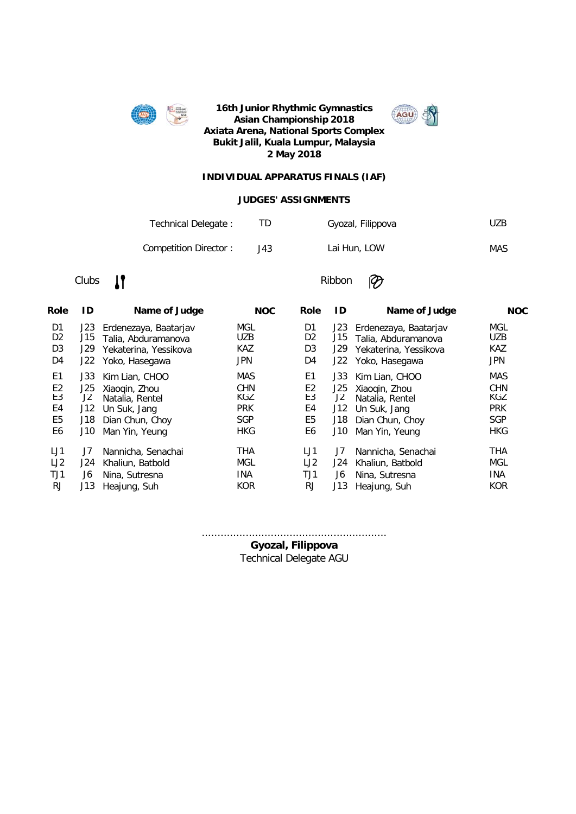



#### **INDIVIDUAL APPARATUS FINALS (IAF)**

#### **JUDGES' ASSIGNMENTS**

| Technical Delegate:   |     | Gyozal, Filippova | UZB. |
|-----------------------|-----|-------------------|------|
| Competition Director: | J43 | Lai Hun, LOW      | MAS  |

### Clubs **IT** Ribbon

 $\circledR$ 

| ID  | Name of Judge         | <b>NOC</b>                                                | <b>Role</b>    | ID   | Name of Judge         | <b>NOC</b>                         |
|-----|-----------------------|-----------------------------------------------------------|----------------|------|-----------------------|------------------------------------|
| J23 | Erdenezaya, Baatarjav | MGL                                                       | D1             | J23  | Erdenezaya, Baatarjav | MGL                                |
| J15 |                       | <b>UZB</b>                                                | D <sub>2</sub> | J15  | Talia, Abduramanova   | <b>UZB</b>                         |
| J29 | Yekaterina, Yessikova | <b>KAZ</b>                                                | D <sub>3</sub> | J29  | Yekaterina, Yessikova | <b>KAZ</b>                         |
| J22 | Yoko, Hasegawa        | <b>JPN</b>                                                | D4             | J22  | Yoko, Hasegawa        | <b>JPN</b>                         |
| J33 | Kim Lian, CHOO        | <b>MAS</b>                                                | E1             | J33  | Kim Lian, CHOO        | <b>MAS</b>                         |
| J25 | Xiaogin, Zhou         | <b>CHN</b>                                                | E <sub>2</sub> | J25. | Xiaogin, Zhou         | <b>CHN</b>                         |
| J2  | Natalia, Rentel       | KGZ                                                       | E3             | J2   | Natalia, Rentel       | KGZ                                |
| J12 | Un Suk, Jang          | <b>PRK</b>                                                | E4             | J12  | Un Suk, Jang          | <b>PRK</b>                         |
| J18 | Dian Chun, Choy       | <b>SGP</b>                                                | E <sub>5</sub> | J18  | Dian Chun, Choy       | <b>SGP</b>                         |
| J10 | Man Yin, Yeung        | <b>HKG</b>                                                | E6             | J10  | Man Yin, Yeung        | <b>HKG</b>                         |
| J7  | Nannicha, Senachai    | THA                                                       | LJ1            | J7   | Nannicha, Senachai    | <b>THA</b>                         |
| J24 |                       | MGL                                                       | LJ2            | J24  |                       | MGL                                |
| J6  |                       | <b>INA</b>                                                | TJ1            | J6   |                       | <b>INA</b>                         |
| J13 | Heajung, Suh          | <b>KOR</b>                                                | <b>RJ</b>      | J13  | Heajung, Suh          | <b>KOR</b>                         |
|     |                       | Talia, Abduramanova<br>Khaliun, Batbold<br>Nina, Sutresna |                |      |                       | Khaliun, Batbold<br>Nina, Sutresna |

...........................................................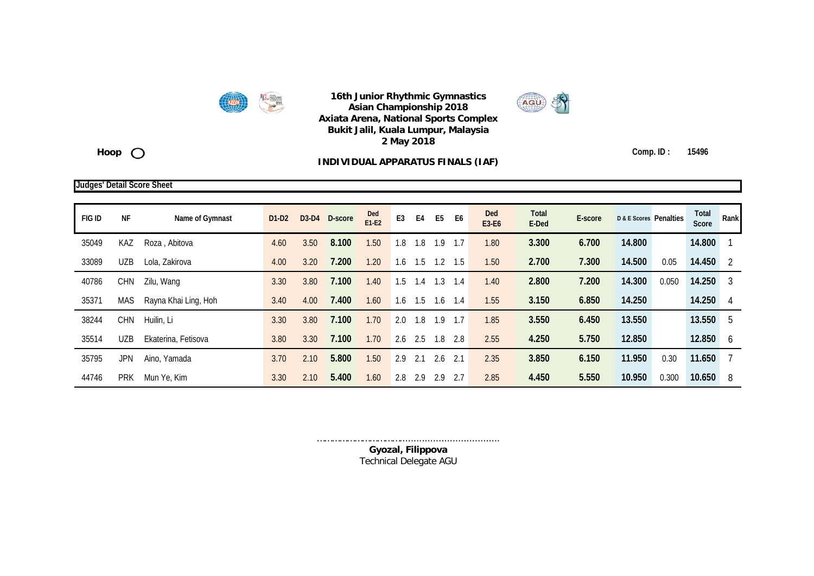



Hoop<sub>O</sub>

#### **INDIVIDUAL APPARATUS FINALS (IAF)**

**Comp. ID : 15496**

#### **Judges' Detail Score Sheet**

| <b>FIG ID</b> | <b>NF</b>  | Name of Gymnast      | D <sub>1</sub> -D <sub>2</sub> | $D3-D4$ | D-score | Ded<br>$E1-E2$ | E <sub>3</sub><br>E4 | E <sub>5</sub> | E <sub>6</sub> | Ded<br>E3-E6 | Total<br>E-Ded | E-score | <b>D &amp; E Scores</b> Penalties |       | Total<br><b>Score</b> | Rank |
|---------------|------------|----------------------|--------------------------------|---------|---------|----------------|----------------------|----------------|----------------|--------------|----------------|---------|-----------------------------------|-------|-----------------------|------|
| 35049         | KAZ        | Roza, Abitova        | 4.60                           | 3.50    | 8.100   | 1.50           | 1.8<br>1.8           | .9             | 1.7            | 1.80         | 3.300          | 6.700   | 14.800                            |       | 14.800                |      |
| 33089         | <b>UZB</b> | Lola, Zakirova       | 4.00                           | 3.20    | 7.200   | 1.20           | 1.5<br>1.6           | 1.2            | 1.5            | 1.50         | 2.700          | 7.300   | 14.500                            | 0.05  | 14.450                | -2   |
| 40786         | <b>CHN</b> | Zilu, Wang           | 3.30                           | 3.80    | 7.100   | 1.40           | 1.5<br>1.4           | .3             | 1.4            | 1.40         | 2.800          | 7.200   | 14.300                            | 0.050 | 14.250                | 3    |
| 35371         | MAS        | Rayna Khai Ling, Hoh | 3.40                           | 4.00    | 7.400   | 1.60           | 1.6<br>1.5           | $\cdot$        | 1.4            | 1.55         | 3.150          | 6.850   | 14.250                            |       | 14.250                |      |
| 38244         | <b>CHN</b> | Huilin, Li           | 3.30                           | 3.80    | 7.100   | 1.70           | 2.0<br>1.8           | .9             |                | 1.85         | 3.550          | 6.450   | 13.550                            |       | 13.550                | 5    |
| 35514         | <b>UZB</b> | Ekaterina, Fetisova  | 3.80                           | 3.30    | 7.100   | 1.70           | 2.6<br>2.5           | 1.8            | -2.8           | 2.55         | 4.250          | 5.750   | 12.850                            |       | 12.850                | 6    |
| 35795         | JPN        | Aino, Yamada         | 3.70                           | 2.10    | 5.800   | 1.50           | 2.9<br>2.1           | 2.6            | 2.1            | 2.35         | 3.850          | 6.150   | 11.950                            | 0.30  | 11.650                |      |
| 44746         | <b>PRK</b> | Mun Ye, Kim          | 3.30                           | 2.10    | 5.400   | 1.60           | 2.8<br>2.9           | 2.9            | 2.7            | 2.85         | 4.450          | 5.550   | 10.950                            | 0.300 | 10.650                | 8    |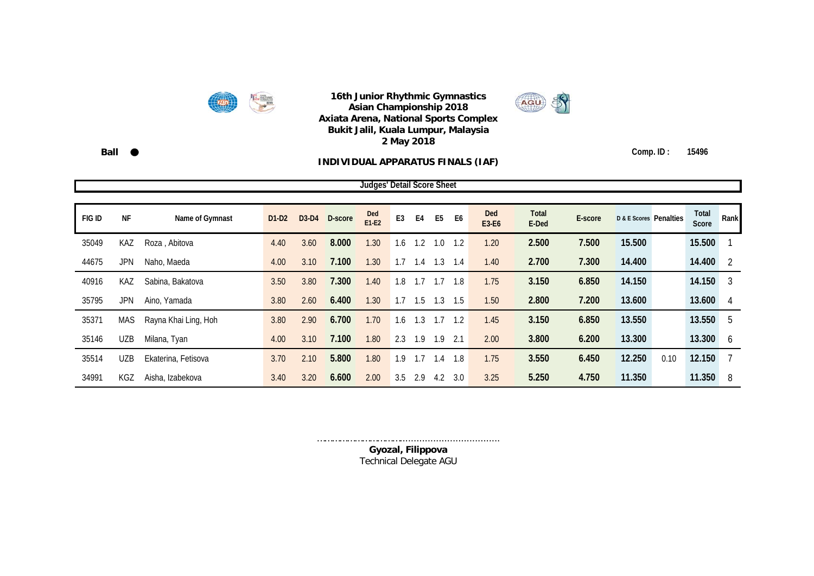



**Ball Comp. ID : 15496**

#### **INDIVIDUAL APPARATUS FINALS (IAF)**

**FIG ID NF Name of Gymnast D1-D2 D3-D4 D-score Ded E1-E2 E3 E4 E5 E6 Ded E3-E6 Total E-Ded E-score D & E Scores Penalties Total Score Rank** 35049 KAZ Roza , Abitova 4.40 3.60 **8.000** 1.30 1.6 1.2 1.0 1.2 1.20 **2.500 7.500 15.500 15.500** 1 44675 JPN Naho, Maeda 4.00 3.10 **7.100** 1.30 1.7 1.4 1.3 1.4 1.40 **2.700 7.300 14.400 14.400** 2 40916 KAZ Sabina, Bakatova 3.50 3.80 **7.300** 1.40 1.8 1.7 1.7 1.8 1.75 **3.150 6.850 14.150 14.150** 3 35795 JPN Aino, Yamada 3.80 2.60 **6.400** 1.30 1.7 1.5 1.3 1.5 1.50 **2.800 7.200 13.600 13.600** 4 35371 MAS Rayna Khai Ling, Hoh 3.80 2.90 **6.700** 1.70 1.6 1.3 1.7 1.2 1.45 **3.150 6.850 13.550 13.550** 5 35146 UZB Milana, Tyan 4.00 3.10 **7.100** 1.80 2.3 1.9 1.9 2.1 2.00 **3.800 6.200 13.300 13.300** 6 35514 UZB Ekaterina, Fetisova 3.70 2.10 **5.800** 1.80 1.9 1.7 1.4 1.8 1.75 **3.550 6.450 12.250** 0.10 **12.150** 7 34991 KGZ Aisha, Izabekova 3.40 3.20 **6.600** 2.00 3.5 2.9 4.2 3.0 3.25 **5.250 4.750 11.350 11.350** 8 **Judges' Detail Score Sheet**

> ………………………………………………………………………………… **Gyozal, Filippova** Technical Delegate AGU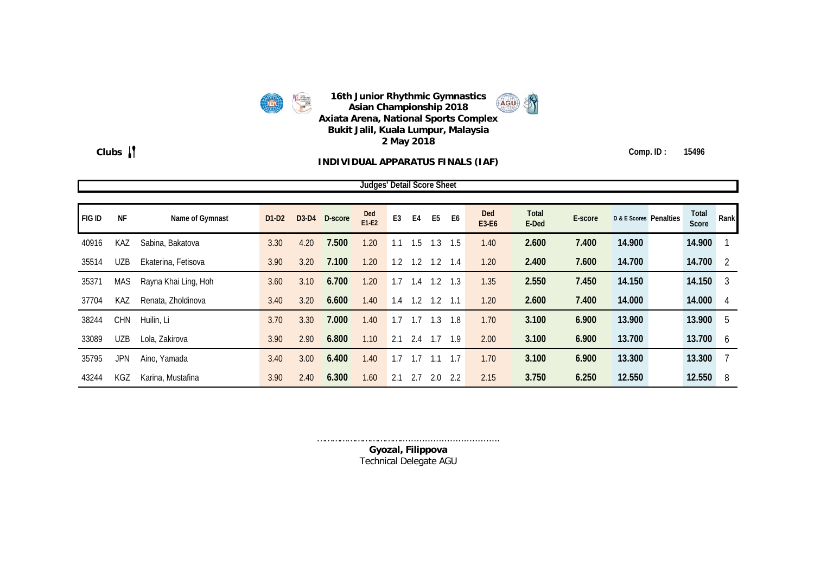

#### **INDIVIDUAL APPARATUS FINALS (IAF)**

**Clubs Comp. ID : 15496**

|        | Judges' Detail Score Sheet |                      |         |      |               |                |                |     |                |                |                     |                       |         |                        |                |      |
|--------|----------------------------|----------------------|---------|------|---------------|----------------|----------------|-----|----------------|----------------|---------------------|-----------------------|---------|------------------------|----------------|------|
| FIG ID | <b>NF</b>                  | Name of Gymnast      | $D1-D2$ |      | D3-D4 D-score | Ded<br>$E1-E2$ | E <sub>3</sub> | E4  | E <sub>5</sub> | E <sub>6</sub> | <b>Ded</b><br>E3-E6 | <b>Total</b><br>E-Ded | E-score | D & E Scores Penalties | Total<br>Score | Rank |
| 40916  | KAZ                        | Sabina, Bakatova     | 3.30    | 4.20 | 7.500         | 1.20           | 1.1            | 1.5 | 1.3            | 1.5            | 1.40                | 2.600                 | 7.400   | 14.900                 | 14.900         |      |
| 35514  | <b>UZB</b>                 | Ekaterina, Fetisova  | 3.90    | 3.20 | 7.100         | 1.20           | 1.2            | 1.2 | 1.2            | 1.4            | 1.20                | 2.400                 | 7.600   | 14.700                 | 14.700         | 2    |
| 35371  | MAS                        | Rayna Khai Ling, Hoh | 3.60    | 3.10 | 6.700         | 1.20           | 1.7            | 1.4 | 1.2            | 1.3            | 1.35                | 2.550                 | 7.450   | 14.150                 | 14.150         | 3    |
| 37704  | KAZ                        | Renata, Zholdinova   | 3.40    | 3.20 | 6.600         | 1.40           | 1.4            | 1.2 | $1.2$ 1.1      |                | 1.20                | 2.600                 | 7.400   | 14.000                 | 14.000         | 4    |
| 38244  | <b>CHN</b>                 | Huilin, Li           | 3.70    | 3.30 | 7.000         | 1.40           | 1.7            |     | 1.3            | 1.8            | 1.70                | 3.100                 | 6.900   | 13.900                 | 13.900         | 5    |
| 33089  | <b>UZB</b>                 | Lola, Zakirova       | 3.90    | 2.90 | 6.800         | 1.10           | 2.1            | 2.4 | $1.7$ 1.9      |                | 2.00                | 3.100                 | 6.900   | 13.700                 | 13.700         | 6    |
| 35795  | <b>JPN</b>                 | Aino, Yamada         | 3.40    | 3.00 | 6.400         | 1.40           | 1.7            |     | 1.1            | 1.7            | 1.70                | 3.100                 | 6.900   | 13.300                 | 13.300         |      |
| 43244  | KGZ                        | Karina, Mustafina    | 3.90    | 2.40 | 6.300         | 1.60           | 2.1            | 2.7 | 2.0            | 2.2            | 2.15                | 3.750                 | 6.250   | 12.550                 | 12.550         | 8    |

……………………………………………………………………………… **Gyozal, Filippova** Technical Delegate AGU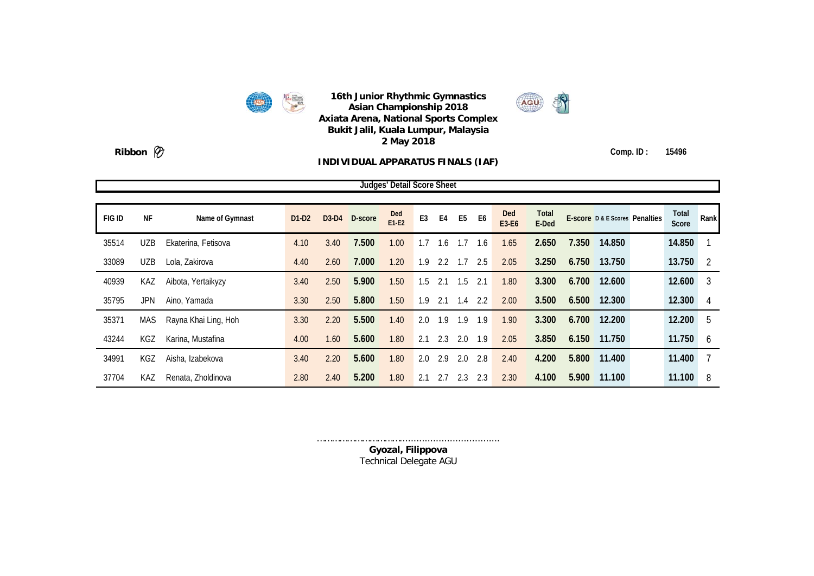



**Ribbon**  $\mathscr{D}$  Comp. ID : 15496

#### **INDIVIDUAL APPARATUS FINALS (IAF)**

**Judges' Detail Score Sheet**

**FIG ID NF Name of Gymnast D1-D2 D3-D4 D-score Ded E1-E2 E3 E4 E5 E6 Ded E3-E6 Total E-Score D & E Scores Penalties Fotal E-Ded Score Rank** 35514 UZB Ekaterina, Fetisova 4.10 3.40 **7.500** 1.00 1.7 1.6 1.7 1.6 1.65 **2.650 7.350 14.850 14.850** 1 33089 UZB Lola, Zakirova 4.40 2.60 **7.000** 1.20 1.9 2.2 1.7 2.5 2.05 **3.250 6.750 13.750 13.750** 2 40939 KAZ Aibota, Yertaikyzy 3.40 2.50 **5.900** 1.50 1.5 2.1 1.5 2.1 1.80 **3.300 6.700 12.600 12.600** 3 35795 JPN Aino, Yamada 3.30 2.50 **5.800** 1.50 1.9 2.1 1.4 2.2 2.00 **3.500 6.500 12.300 12.300** 4 35371 MAS Rayna Khai Ling, Hoh 3.30 2.20 **5.500** 1.40 2.0 1.9 1.9 1.9 1.90 **3.300 6.700 12.200 12.200** 5 43244 KGZ Karina, Mustafina 4.00 1.60 **5.600** 1.80 2.1 2.3 2.0 1.9 2.05 **3.850 6.150 11.750 11.750** 6 34991 KGZ Aisha, Izabekova 3.40 2.20 **5.600** 1.80 2.0 2.9 2.0 2.8 2.40 **4.200 5.800 11.400 11.400** 7 37704 KAZ Renata, Zholdinova 2.80 2.40 **5.200** 1.80 2.1 2.7 2.3 2.3 2.30 **4.100 5.900 11.100 11.100** 8

> ………………………………………………………………………………… **Gyozal, Filippova** Technical Delegate AGU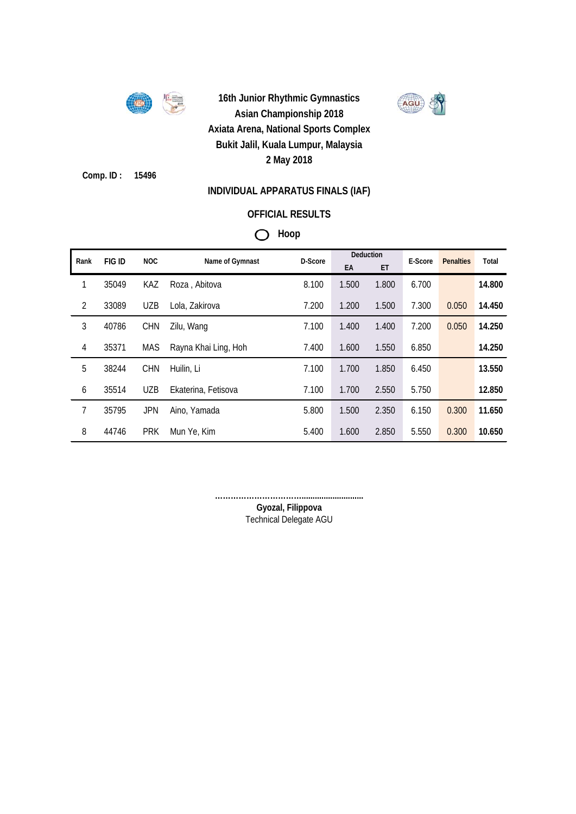

**Comp. ID : 15496**

### **INDIVIDUAL APPARATUS FINALS (IAF)**

## **OFFICIAL RESULTS**

## **Hoop**

| Rank           | FIG ID | <b>NOC</b> | Name of Gymnast      | D-Score |       | Deduction | E-Score | <b>Penalties</b> | Total  |
|----------------|--------|------------|----------------------|---------|-------|-----------|---------|------------------|--------|
|                |        |            |                      |         | EA    | ET        |         |                  |        |
| 1              | 35049  | KAZ        | Roza, Abitova        | 8.100   | 1.500 | 1.800     | 6.700   |                  | 14.800 |
| $\overline{2}$ | 33089  | <b>UZB</b> | Lola, Zakirova       | 7.200   | 1.200 | 1.500     | 7.300   | 0.050            | 14.450 |
| 3              | 40786  | <b>CHN</b> | Zilu, Wang           | 7.100   | 1.400 | 1.400     | 7.200   | 0.050            | 14.250 |
| $\overline{4}$ | 35371  | <b>MAS</b> | Rayna Khai Ling, Hoh | 7.400   | 1.600 | 1.550     | 6.850   |                  | 14.250 |
| 5              | 38244  | <b>CHN</b> | Huilin, Li           | 7.100   | 1.700 | 1.850     | 6.450   |                  | 13.550 |
| 6              | 35514  | <b>UZB</b> | Ekaterina, Fetisova  | 7.100   | 1.700 | 2.550     | 5.750   |                  | 12.850 |
| 7              | 35795  | <b>JPN</b> | Aino, Yamada         | 5.800   | 1.500 | 2.350     | 6.150   | 0.300            | 11.650 |
| 8              | 44746  | <b>PRK</b> | Mun Ye, Kim          | 5.400   | 1.600 | 2.850     | 5.550   | 0.300            | 10.650 |

**……………………………............................**

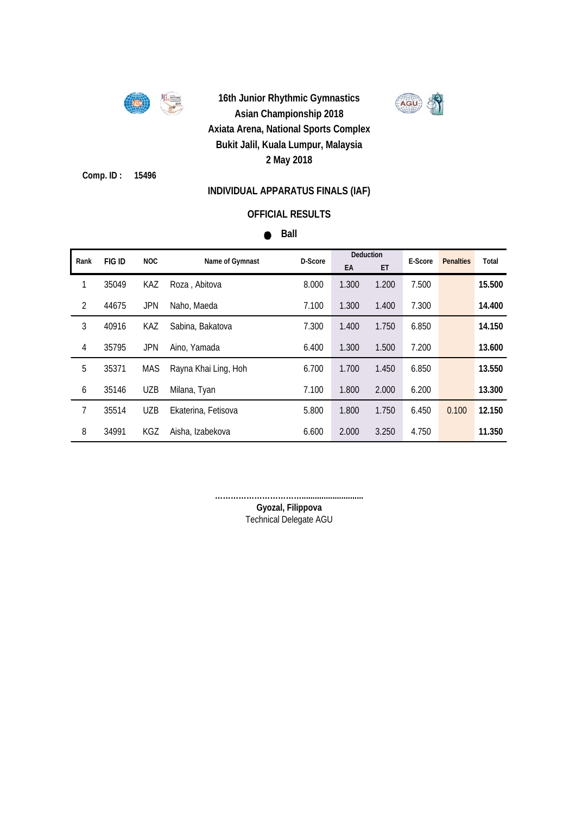

**Comp. ID : 15496**

### **INDIVIDUAL APPARATUS FINALS (IAF)**

### **OFFICIAL RESULTS**

### **Ball**

| Rank           | FIG ID | <b>NOC</b> | Name of Gymnast      | D-Score | <b>Deduction</b> |       | E-Score | <b>Penalties</b> | Total  |
|----------------|--------|------------|----------------------|---------|------------------|-------|---------|------------------|--------|
|                |        |            |                      |         | EA               | ET    |         |                  |        |
| 1              | 35049  | KAZ        | Roza, Abitova        | 8.000   | 1.300            | 1.200 | 7.500   |                  | 15.500 |
| $\overline{2}$ | 44675  | <b>JPN</b> | Naho, Maeda          | 7.100   | 1.300            | 1.400 | 7.300   |                  | 14.400 |
| 3              | 40916  | KAZ        | Sabina, Bakatova     | 7.300   | 1.400            | 1.750 | 6.850   |                  | 14.150 |
| 4              | 35795  | <b>JPN</b> | Aino, Yamada         | 6.400   | 1.300            | 1.500 | 7.200   |                  | 13.600 |
| 5              | 35371  | MAS        | Rayna Khai Ling, Hoh | 6.700   | 1.700            | 1.450 | 6.850   |                  | 13.550 |
| 6              | 35146  | <b>UZB</b> | Milana, Tyan         | 7.100   | 1.800            | 2.000 | 6.200   |                  | 13.300 |
| 7              | 35514  | UZB        | Ekaterina, Fetisova  | 5.800   | 1.800            | 1.750 | 6.450   | 0.100            | 12.150 |
| 8              | 34991  | KGZ        | Aisha, Izabekova     | 6.600   | 2.000            | 3.250 | 4.750   |                  | 11.350 |

**……………………………............................**

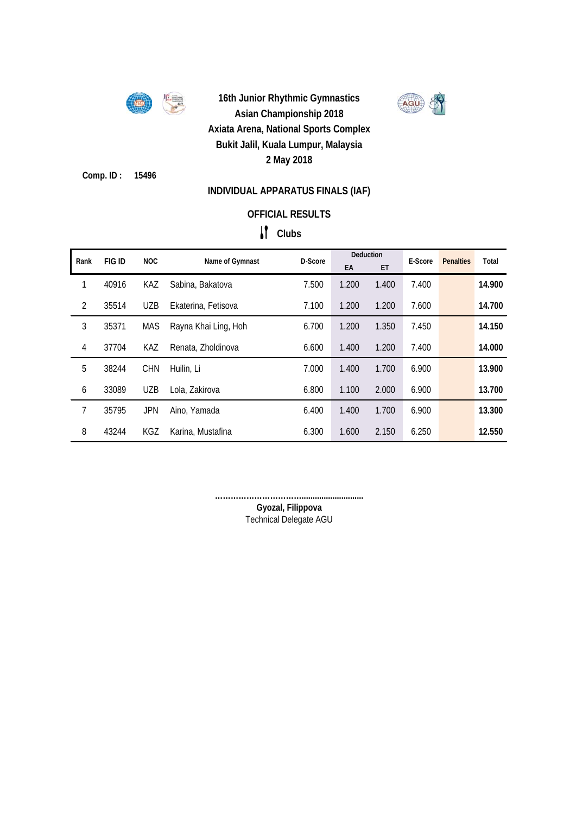

**Comp. ID : 15496**

## **INDIVIDUAL APPARATUS FINALS (IAF)**

### **OFFICIAL RESULTS**

# **Clubs**

| Rank           | FIG ID | <b>NOC</b> | Name of Gymnast      | D-Score | Deduction |       | E-Score | <b>Penalties</b> | Total  |
|----------------|--------|------------|----------------------|---------|-----------|-------|---------|------------------|--------|
|                |        |            |                      |         | EA        | ET    |         |                  |        |
| 1              | 40916  | <b>KAZ</b> | Sabina, Bakatova     | 7.500   | 1.200     | 1.400 | 7.400   |                  | 14.900 |
| $\overline{2}$ | 35514  | <b>UZB</b> | Ekaterina, Fetisova  | 7.100   | 1.200     | 1.200 | 7.600   |                  | 14.700 |
| 3              | 35371  | MAS        | Rayna Khai Ling, Hoh | 6.700   | 1.200     | 1.350 | 7.450   |                  | 14.150 |
| $\overline{4}$ | 37704  | KAZ        | Renata, Zholdinova   | 6.600   | 1.400     | 1.200 | 7.400   |                  | 14.000 |
| 5              | 38244  | <b>CHN</b> | Huilin, Li           | 7.000   | 1.400     | 1.700 | 6.900   |                  | 13.900 |
| 6              | 33089  | <b>UZB</b> | Lola, Zakirova       | 6.800   | 1.100     | 2.000 | 6.900   |                  | 13.700 |
| 7              | 35795  | <b>JPN</b> | Aino, Yamada         | 6.400   | 1.400     | 1.700 | 6.900   |                  | 13.300 |
| 8              | 43244  | KGZ        | Karina, Mustafina    | 6.300   | 1.600     | 2.150 | 6.250   |                  | 12.550 |

**……………………………............................**

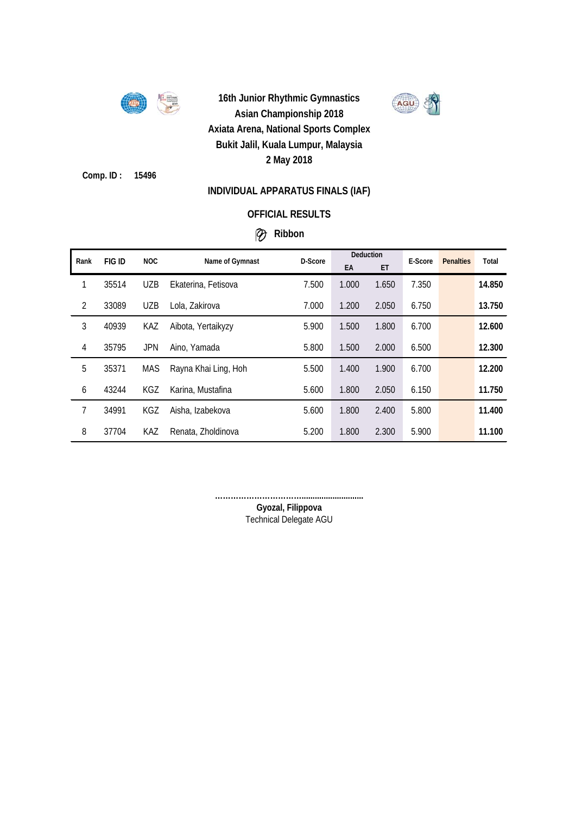

AGU

**Comp. ID : 15496**

### **INDIVIDUAL APPARATUS FINALS (IAF)**

### **OFFICIAL RESULTS**

## **Ribbon**

| Rank           | FIG ID | NOC.       | Name of Gymnast      | D-Score | Deduction |       | E-Score | <b>Penalties</b> | Total  |
|----------------|--------|------------|----------------------|---------|-----------|-------|---------|------------------|--------|
|                |        |            |                      |         | EA        | ET    |         |                  |        |
| 1              | 35514  | <b>UZB</b> | Ekaterina, Fetisova  | 7.500   | 1.000     | 1.650 | 7.350   |                  | 14.850 |
| $\overline{2}$ | 33089  | <b>UZB</b> | Lola, Zakirova       | 7.000   | 1.200     | 2.050 | 6.750   |                  | 13.750 |
| 3              | 40939  | KAZ        | Aibota, Yertaikyzy   | 5.900   | 1.500     | 1.800 | 6.700   |                  | 12.600 |
| 4              | 35795  | <b>JPN</b> | Aino, Yamada         | 5.800   | 1.500     | 2.000 | 6.500   |                  | 12.300 |
| 5              | 35371  | MAS        | Rayna Khai Ling, Hoh | 5.500   | 1.400     | 1.900 | 6.700   |                  | 12.200 |
| 6              | 43244  | KGZ        | Karina, Mustafina    | 5.600   | 1.800     | 2.050 | 6.150   |                  | 11.750 |
| 7              | 34991  | KGZ        | Aisha, Izabekova     | 5.600   | 1.800     | 2.400 | 5.800   |                  | 11.400 |
| 8              | 37704  | <b>KAZ</b> | Renata, Zholdinova   | 5.200   | 1.800     | 2.300 | 5.900   |                  | 11.100 |

**……………………………............................**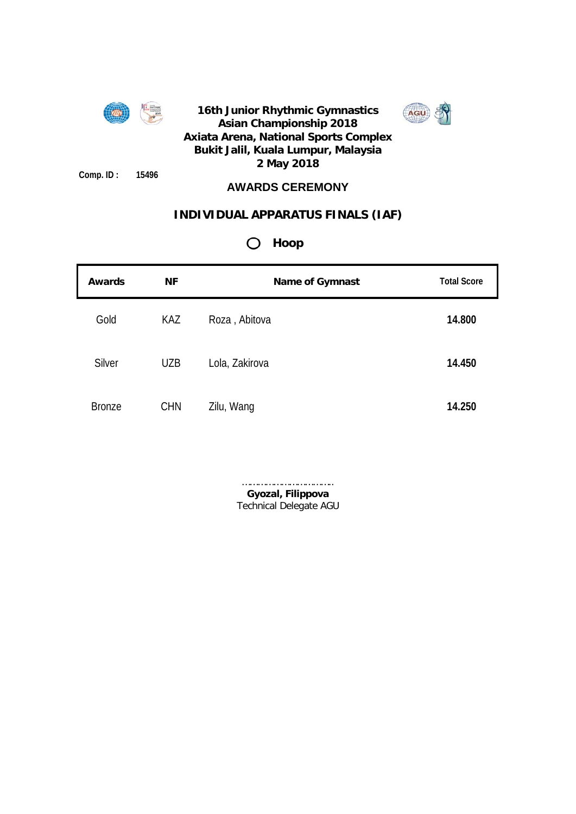



**Comp. ID : 15496**

## **AWARDS CEREMONY**

## **INDIVIDUAL APPARATUS FINALS (IAF)**

## **Hoop**

| <b>Awards</b> | <b>NF</b>  | <b>Name of Gymnast</b> | <b>Total Score</b> |
|---------------|------------|------------------------|--------------------|
| Gold          | KAZ        | Roza, Abitova          | 14.800             |
| Silver        | <b>UZB</b> | Lola, Zakirova         | 14.450             |
| <b>Bronze</b> | <b>CHN</b> | Zilu, Wang             | 14.250             |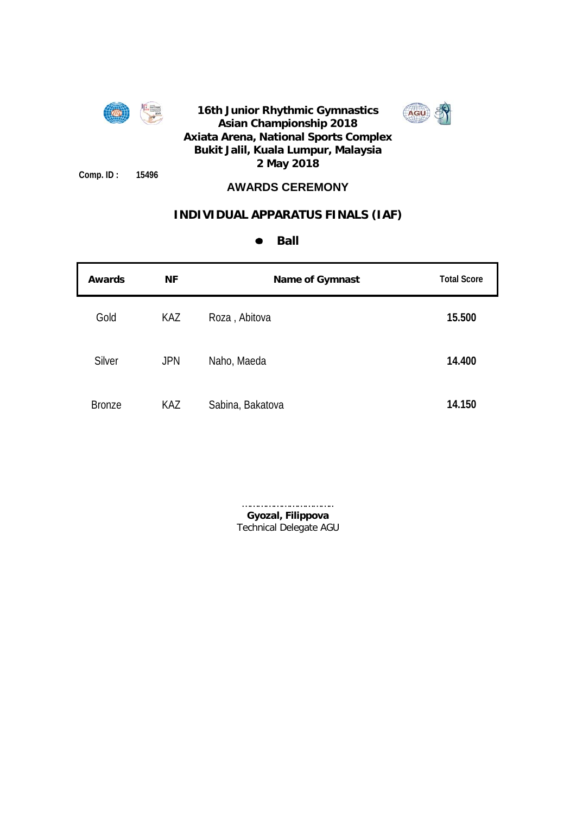

**Comp. ID : 15496**

## **16th Junior Rhythmic Gymnastics Asian Championship 2018 Axiata Arena, National Sports Complex Bukit Jalil, Kuala Lumpur, Malaysia 2 May 2018**



## **AWARDS CEREMONY**

## **INDIVIDUAL APPARATUS FINALS (IAF)**

#### **Ball**  $\bullet$

| <b>Awards</b> | <b>NF</b>  | <b>Name of Gymnast</b> | <b>Total Score</b> |
|---------------|------------|------------------------|--------------------|
| Gold          | KAZ        | Roza, Abitova          | 15.500             |
| Silver        | <b>JPN</b> | Naho, Maeda            | 14.400             |
| <b>Bronze</b> | <b>KAZ</b> | Sabina, Bakatova       | 14.150             |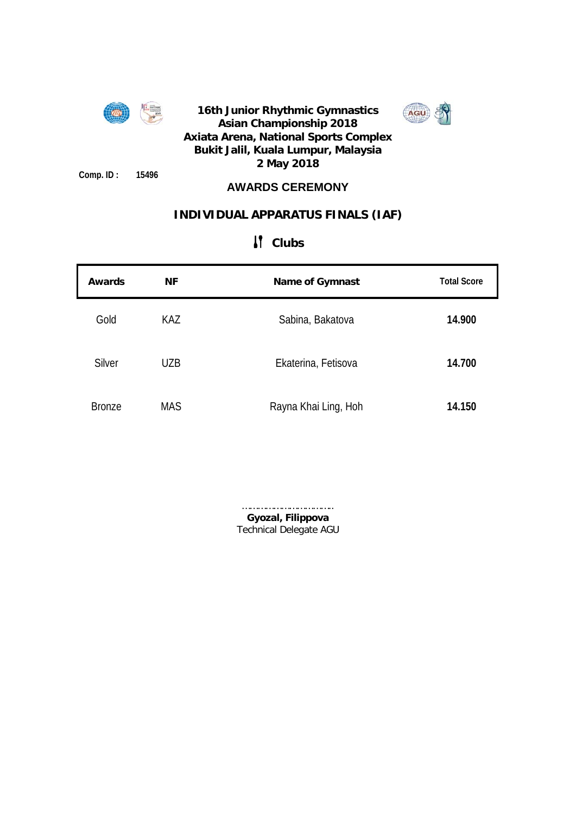

**Comp. ID : 15496**

## **16th Junior Rhythmic Gymnastics Asian Championship 2018 Axiata Arena, National Sports Complex Bukit Jalil, Kuala Lumpur, Malaysia 2 May 2018**



## **AWARDS CEREMONY**

## **INDIVIDUAL APPARATUS FINALS (IAF)**

| Awards        | <b>NF</b>  | <b>Name of Gymnast</b> | <b>Total Score</b> |
|---------------|------------|------------------------|--------------------|
| Gold          | KAZ        | Sabina, Bakatova       | 14.900             |
| <b>Silver</b> | <b>UZB</b> | Ekaterina, Fetisova    | 14.700             |
| <b>Bronze</b> | <b>MAS</b> | Rayna Khai Ling, Hoh   | 14.150             |

## **Clubs**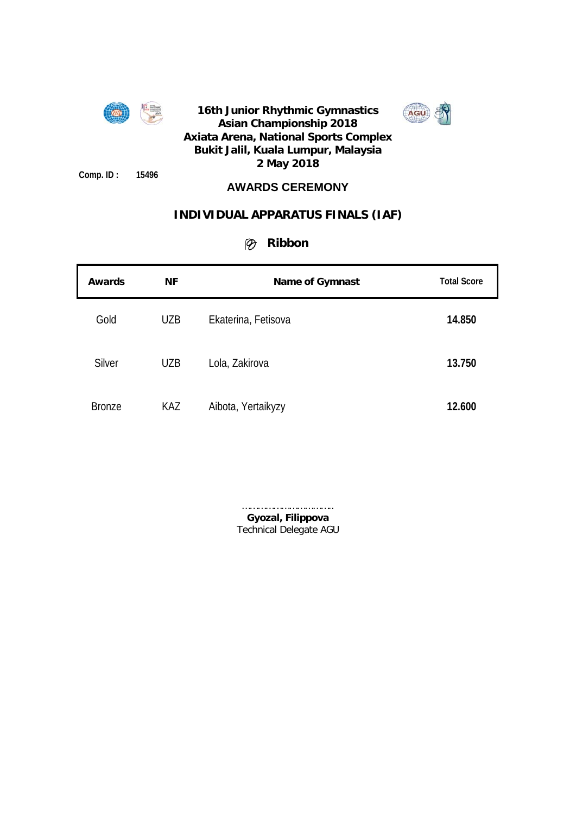

**Comp. ID : 15496**

## **AWARDS CEREMONY**

## **INDIVIDUAL APPARATUS FINALS (IAF)**

## **Ribbon**

| Awards        | <b>NF</b>  | Name of Gymnast     | <b>Total Score</b> |
|---------------|------------|---------------------|--------------------|
| Gold          | <b>UZB</b> | Ekaterina, Fetisova | 14.850             |
| <b>Silver</b> | <b>UZB</b> | Lola, Zakirova      | 13.750             |
| <b>Bronze</b> | KAZ        | Aibota, Yertaikyzy  | 12.600             |